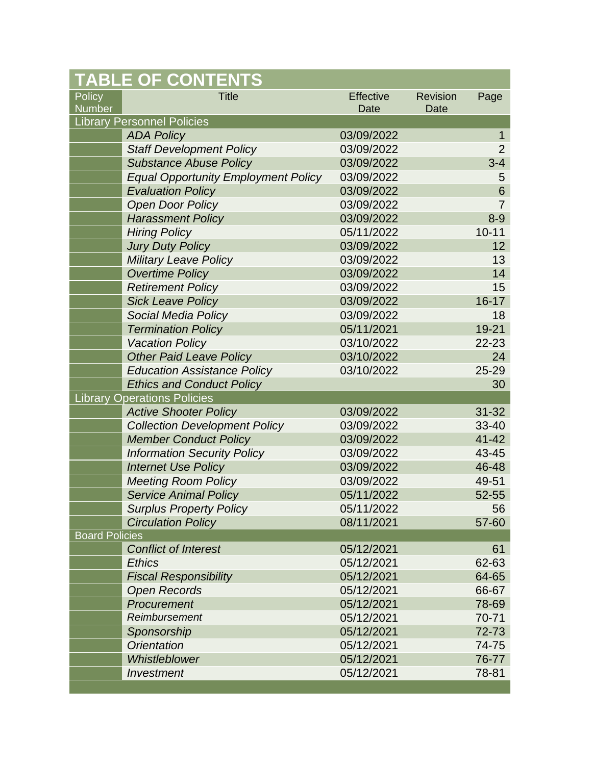| <b>TABLE OF CONTENTS</b>          |                                            |                  |                 |                |
|-----------------------------------|--------------------------------------------|------------------|-----------------|----------------|
| Policy                            | <b>Title</b>                               | <b>Effective</b> | <b>Revision</b> | Page           |
| <b>Number</b>                     |                                            | Date             | Date            |                |
| <b>Library Personnel Policies</b> |                                            |                  |                 |                |
|                                   | <b>ADA Policy</b>                          | 03/09/2022       |                 | 1              |
|                                   | <b>Staff Development Policy</b>            | 03/09/2022       |                 | $\overline{2}$ |
|                                   | <b>Substance Abuse Policy</b>              | 03/09/2022       |                 | $3 - 4$        |
|                                   | <b>Equal Opportunity Employment Policy</b> | 03/09/2022       |                 | 5              |
|                                   | <b>Evaluation Policy</b>                   | 03/09/2022       |                 | 6              |
|                                   | <b>Open Door Policy</b>                    | 03/09/2022       |                 | $\overline{7}$ |
|                                   | <b>Harassment Policy</b>                   | 03/09/2022       |                 | $8-9$          |
|                                   | <b>Hiring Policy</b>                       | 05/11/2022       |                 | $10 - 11$      |
|                                   | <b>Jury Duty Policy</b>                    | 03/09/2022       |                 | 12             |
|                                   | <b>Military Leave Policy</b>               | 03/09/2022       |                 | 13             |
|                                   | <b>Overtime Policy</b>                     | 03/09/2022       |                 | 14             |
|                                   | <b>Retirement Policy</b>                   | 03/09/2022       |                 | 15             |
|                                   | <b>Sick Leave Policy</b>                   | 03/09/2022       |                 | $16 - 17$      |
|                                   | Social Media Policy                        | 03/09/2022       |                 | 18             |
|                                   | <b>Termination Policy</b>                  | 05/11/2021       |                 | 19-21          |
|                                   | <b>Vacation Policy</b>                     | 03/10/2022       |                 | 22-23          |
|                                   | <b>Other Paid Leave Policy</b>             | 03/10/2022       |                 | 24             |
|                                   | <b>Education Assistance Policy</b>         | 03/10/2022       |                 | 25-29          |
|                                   | <b>Ethics and Conduct Policy</b>           |                  |                 | 30             |
|                                   | <b>Library Operations Policies</b>         |                  |                 |                |
|                                   | <b>Active Shooter Policy</b>               | 03/09/2022       |                 | $31 - 32$      |
|                                   | <b>Collection Development Policy</b>       | 03/09/2022       |                 | 33-40          |
|                                   | <b>Member Conduct Policy</b>               | 03/09/2022       |                 | 41-42          |
|                                   | <b>Information Security Policy</b>         | 03/09/2022       |                 | 43-45          |
|                                   | <b>Internet Use Policy</b>                 | 03/09/2022       |                 | 46-48          |
|                                   | <b>Meeting Room Policy</b>                 | 03/09/2022       |                 | 49-51          |
|                                   | <b>Service Animal Policy</b>               | 05/11/2022       |                 | 52-55          |
|                                   | <b>Surplus Property Policy</b>             | 05/11/2022       |                 | 56             |
|                                   | <b>Circulation Policy</b>                  | 08/11/2021       |                 | 57-60          |
| <b>Board Policies</b>             |                                            |                  |                 |                |
|                                   | <b>Conflict of Interest</b>                | 05/12/2021       |                 | 61             |
|                                   | <b>Ethics</b>                              | 05/12/2021       |                 | 62-63          |
|                                   | <b>Fiscal Responsibility</b>               | 05/12/2021       |                 | 64-65          |
|                                   | <b>Open Records</b>                        | 05/12/2021       |                 | 66-67          |
|                                   | Procurement                                | 05/12/2021       |                 | 78-69          |
|                                   | Reimbursement                              | 05/12/2021       |                 | 70-71          |
|                                   | Sponsorship                                | 05/12/2021       |                 | 72-73          |
|                                   | <b>Orientation</b>                         | 05/12/2021       |                 | 74-75          |
|                                   | Whistleblower                              | 05/12/2021       |                 | 76-77          |
|                                   | Investment                                 | 05/12/2021       |                 | 78-81          |
|                                   |                                            |                  |                 |                |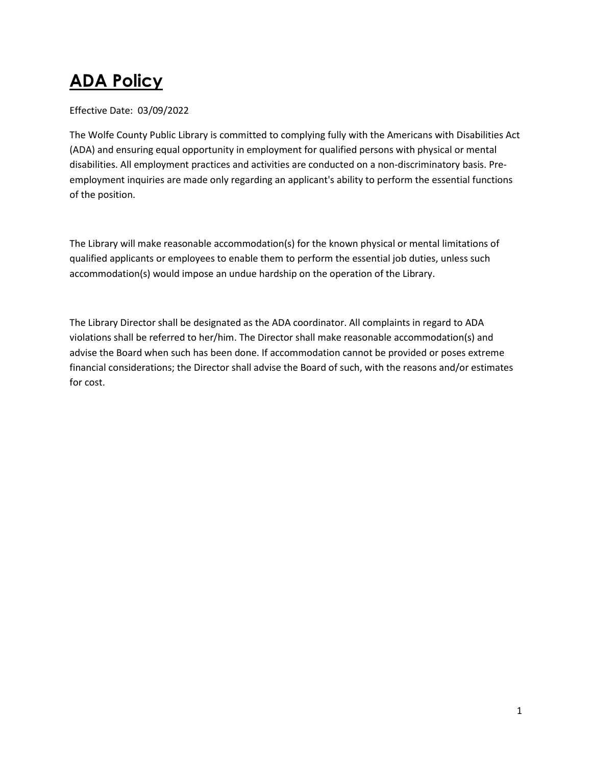# **ADA Policy**

# Effective Date: 03/09/2022

The Wolfe County Public Library is committed to complying fully with the Americans with Disabilities Act (ADA) and ensuring equal opportunity in employment for qualified persons with physical or mental disabilities. All employment practices and activities are conducted on a non-discriminatory basis. Preemployment inquiries are made only regarding an applicant's ability to perform the essential functions of the position.

The Library will make reasonable accommodation(s) for the known physical or mental limitations of qualified applicants or employees to enable them to perform the essential job duties, unless such accommodation(s) would impose an undue hardship on the operation of the Library.

The Library Director shall be designated as the ADA coordinator. All complaints in regard to ADA violations shall be referred to her/him. The Director shall make reasonable accommodation(s) and advise the Board when such has been done. If accommodation cannot be provided or poses extreme financial considerations; the Director shall advise the Board of such, with the reasons and/or estimates for cost.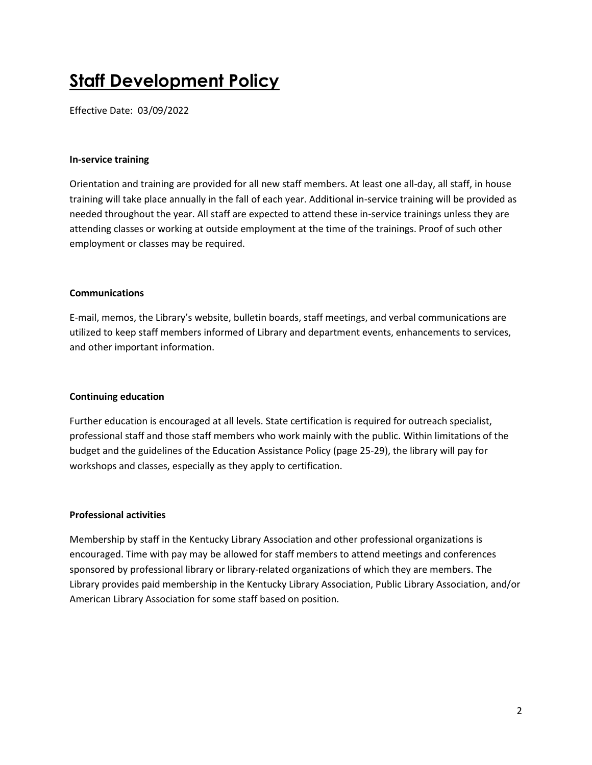# **Staff Development Policy**

Effective Date: 03/09/2022

### **In-service training**

Orientation and training are provided for all new staff members. At least one all-day, all staff, in house training will take place annually in the fall of each year. Additional in-service training will be provided as needed throughout the year. All staff are expected to attend these in-service trainings unless they are attending classes or working at outside employment at the time of the trainings. Proof of such other employment or classes may be required.

#### **Communications**

E-mail, memos, the Library's website, bulletin boards, staff meetings, and verbal communications are utilized to keep staff members informed of Library and department events, enhancements to services, and other important information.

### **Continuing education**

Further education is encouraged at all levels. State certification is required for outreach specialist, professional staff and those staff members who work mainly with the public. Within limitations of the budget and the guidelines of the Education Assistance Policy (page 25-29), the library will pay for workshops and classes, especially as they apply to certification.

### **Professional activities**

Membership by staff in the Kentucky Library Association and other professional organizations is encouraged. Time with pay may be allowed for staff members to attend meetings and conferences sponsored by professional library or library-related organizations of which they are members. The Library provides paid membership in the Kentucky Library Association, Public Library Association, and/or American Library Association for some staff based on position.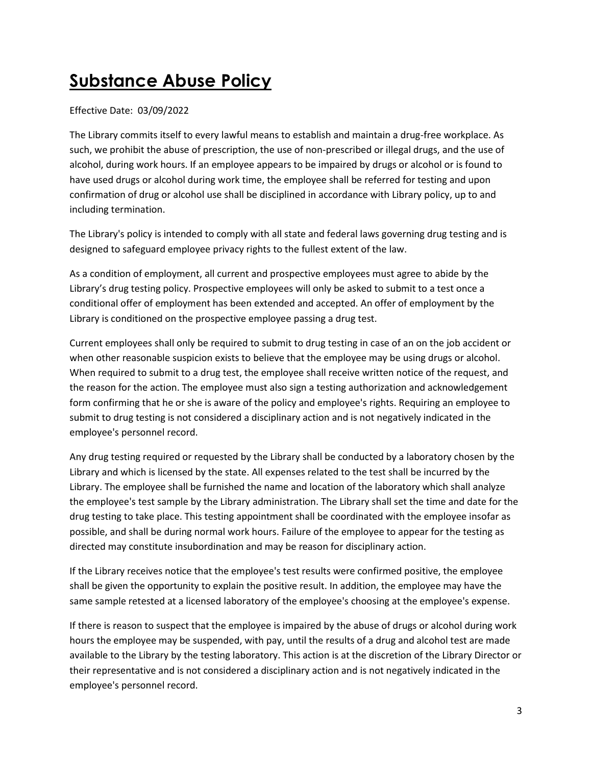# **Substance Abuse Policy**

# Effective Date: 03/09/2022

The Library commits itself to every lawful means to establish and maintain a drug-free workplace. As such, we prohibit the abuse of prescription, the use of non-prescribed or illegal drugs, and the use of alcohol, during work hours. If an employee appears to be impaired by drugs or alcohol or is found to have used drugs or alcohol during work time, the employee shall be referred for testing and upon confirmation of drug or alcohol use shall be disciplined in accordance with Library policy, up to and including termination.

The Library's policy is intended to comply with all state and federal laws governing drug testing and is designed to safeguard employee privacy rights to the fullest extent of the law.

As a condition of employment, all current and prospective employees must agree to abide by the Library's drug testing policy. Prospective employees will only be asked to submit to a test once a conditional offer of employment has been extended and accepted. An offer of employment by the Library is conditioned on the prospective employee passing a drug test.

Current employees shall only be required to submit to drug testing in case of an on the job accident or when other reasonable suspicion exists to believe that the employee may be using drugs or alcohol. When required to submit to a drug test, the employee shall receive written notice of the request, and the reason for the action. The employee must also sign a testing authorization and acknowledgement form confirming that he or she is aware of the policy and employee's rights. Requiring an employee to submit to drug testing is not considered a disciplinary action and is not negatively indicated in the employee's personnel record.

Any drug testing required or requested by the Library shall be conducted by a laboratory chosen by the Library and which is licensed by the state. All expenses related to the test shall be incurred by the Library. The employee shall be furnished the name and location of the laboratory which shall analyze the employee's test sample by the Library administration. The Library shall set the time and date for the drug testing to take place. This testing appointment shall be coordinated with the employee insofar as possible, and shall be during normal work hours. Failure of the employee to appear for the testing as directed may constitute insubordination and may be reason for disciplinary action.

If the Library receives notice that the employee's test results were confirmed positive, the employee shall be given the opportunity to explain the positive result. In addition, the employee may have the same sample retested at a licensed laboratory of the employee's choosing at the employee's expense.

If there is reason to suspect that the employee is impaired by the abuse of drugs or alcohol during work hours the employee may be suspended, with pay, until the results of a drug and alcohol test are made available to the Library by the testing laboratory. This action is at the discretion of the Library Director or their representative and is not considered a disciplinary action and is not negatively indicated in the employee's personnel record.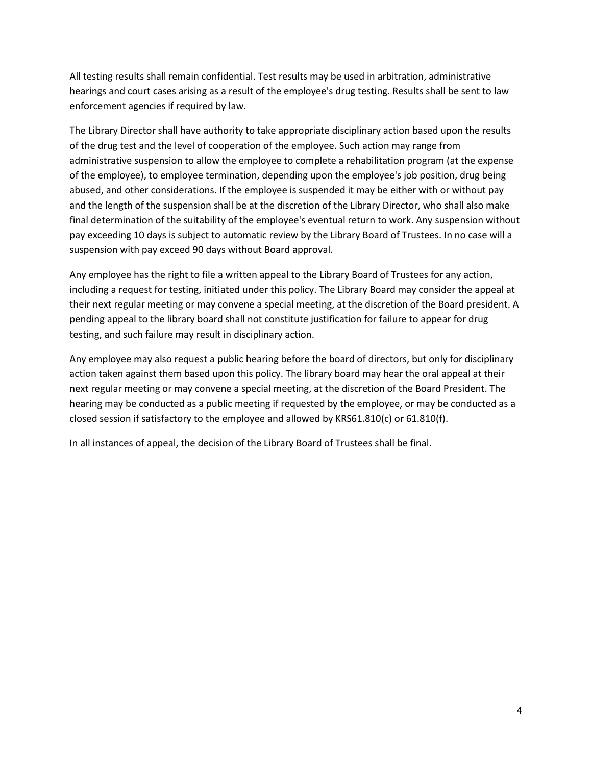All testing results shall remain confidential. Test results may be used in arbitration, administrative hearings and court cases arising as a result of the employee's drug testing. Results shall be sent to law enforcement agencies if required by law.

The Library Director shall have authority to take appropriate disciplinary action based upon the results of the drug test and the level of cooperation of the employee. Such action may range from administrative suspension to allow the employee to complete a rehabilitation program (at the expense of the employee), to employee termination, depending upon the employee's job position, drug being abused, and other considerations. If the employee is suspended it may be either with or without pay and the length of the suspension shall be at the discretion of the Library Director, who shall also make final determination of the suitability of the employee's eventual return to work. Any suspension without pay exceeding 10 days is subject to automatic review by the Library Board of Trustees. In no case will a suspension with pay exceed 90 days without Board approval.

Any employee has the right to file a written appeal to the Library Board of Trustees for any action, including a request for testing, initiated under this policy. The Library Board may consider the appeal at their next regular meeting or may convene a special meeting, at the discretion of the Board president. A pending appeal to the library board shall not constitute justification for failure to appear for drug testing, and such failure may result in disciplinary action.

Any employee may also request a public hearing before the board of directors, but only for disciplinary action taken against them based upon this policy. The library board may hear the oral appeal at their next regular meeting or may convene a special meeting, at the discretion of the Board President. The hearing may be conducted as a public meeting if requested by the employee, or may be conducted as a closed session if satisfactory to the employee and allowed by KRS61.810(c) or 61.810(f).

In all instances of appeal, the decision of the Library Board of Trustees shall be final.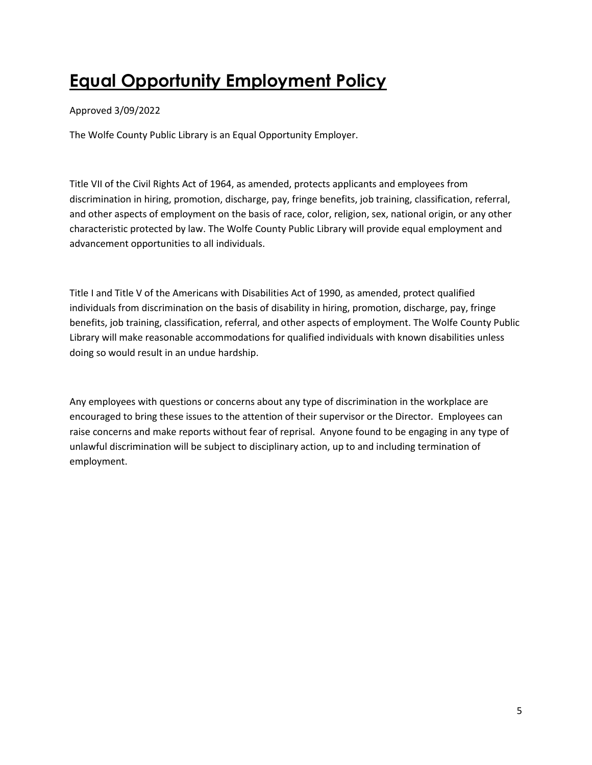# **Equal Opportunity Employment Policy**

# Approved 3/09/2022

The Wolfe County Public Library is an Equal Opportunity Employer.

Title VII of the Civil Rights Act of 1964, as amended, protects applicants and employees from discrimination in hiring, promotion, discharge, pay, fringe benefits, job training, classification, referral, and other aspects of employment on the basis of race, color, religion, sex, national origin, or any other characteristic protected by law. The Wolfe County Public Library will provide equal employment and advancement opportunities to all individuals.

Title I and Title V of the Americans with Disabilities Act of 1990, as amended, protect qualified individuals from discrimination on the basis of disability in hiring, promotion, discharge, pay, fringe benefits, job training, classification, referral, and other aspects of employment. The Wolfe County Public Library will make reasonable accommodations for qualified individuals with known disabilities unless doing so would result in an undue hardship.

Any employees with questions or concerns about any type of discrimination in the workplace are encouraged to bring these issues to the attention of their supervisor or the Director. Employees can raise concerns and make reports without fear of reprisal. Anyone found to be engaging in any type of unlawful discrimination will be subject to disciplinary action, up to and including termination of employment.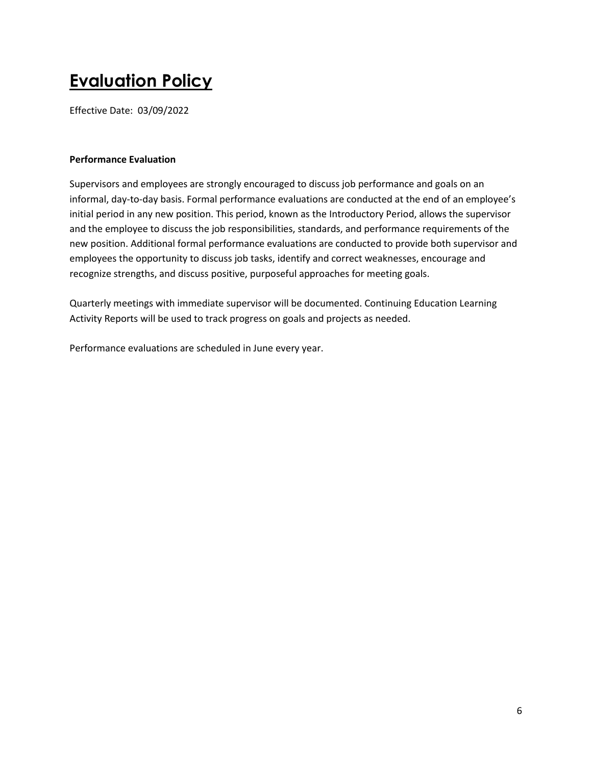# **Evaluation Policy**

Effective Date: 03/09/2022

### **Performance Evaluation**

Supervisors and employees are strongly encouraged to discuss job performance and goals on an informal, day-to-day basis. Formal performance evaluations are conducted at the end of an employee's initial period in any new position. This period, known as the Introductory Period, allows the supervisor and the employee to discuss the job responsibilities, standards, and performance requirements of the new position. Additional formal performance evaluations are conducted to provide both supervisor and employees the opportunity to discuss job tasks, identify and correct weaknesses, encourage and recognize strengths, and discuss positive, purposeful approaches for meeting goals.

Quarterly meetings with immediate supervisor will be documented. Continuing Education Learning Activity Reports will be used to track progress on goals and projects as needed.

Performance evaluations are scheduled in June every year.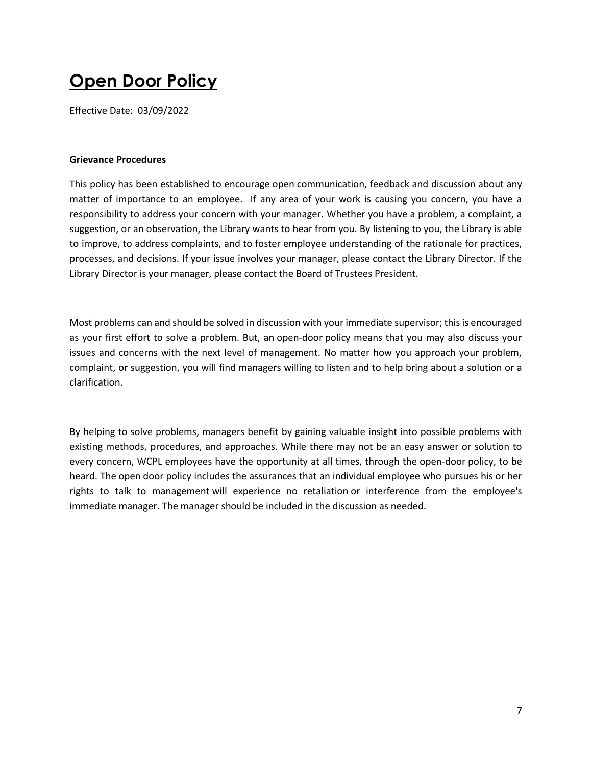# **Open Door Policy**

Effective Date: 03/09/2022

#### **Grievance Procedures**

This policy has been established to encourage open communication, feedback and discussion about any matter of importance to an employee. If any area of your work is causing you concern, you have a responsibility to address your concern with your manager. Whether you have a problem, a complaint, a suggestion, or an observation, the Library wants to hear from you. By listening to you, the Library is able to improve, to address complaints, and to foster employee understanding of the rationale for practices, processes, and decisions. If your issue involves your manager, please contact the Library Director. If the Library Director is your manager, please contact the Board of Trustees President.

Most problems can and should be solved in discussion with your immediate supervisor; this is encouraged as your first effort to solve a problem. But, an open-door policy means that you may also discuss your issues and concerns with the next level of management. No matter how you approach your problem, complaint, or suggestion, you will find managers willing to listen and to help bring about a solution or a clarification.

By helping to solve problems, managers benefit by gaining valuable insight into possible problems with existing methods, procedures, and approaches. While there may not be an easy answer or solution to every concern, WCPL employees have the opportunity at all times, through the open-door policy, to be heard. The open door policy includes the assurances that an individual employee who pursues his or her rights to talk to management [will experience no retaliation](https://www.thebalance.com/retaliation-is-illegal-1917921) or interference from the employee's immediate manager. The manager should be included in the discussion as needed.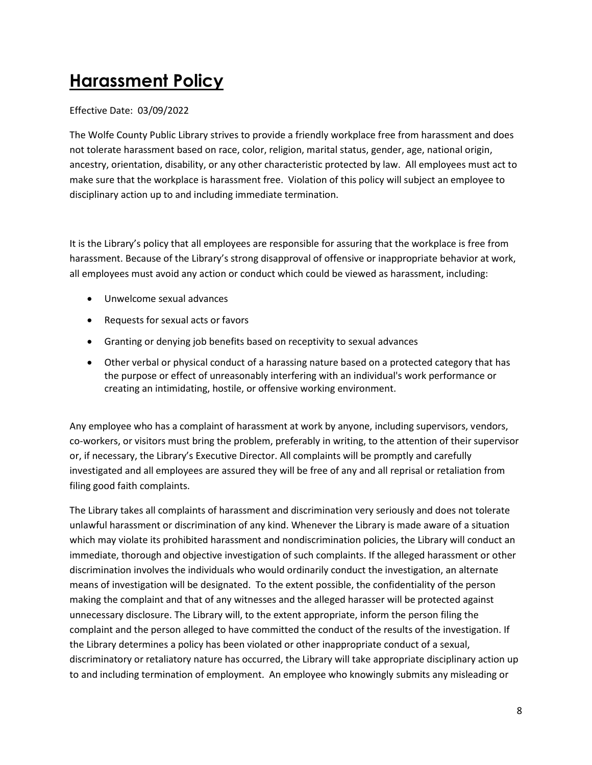# **Harassment Policy**

# Effective Date: 03/09/2022

The Wolfe County Public Library strives to provide a friendly workplace free from harassment and does not tolerate harassment based on race, color, religion, marital status, gender, age, national origin, ancestry, orientation, disability, or any other characteristic protected by law. All employees must act to make sure that the workplace is harassment free. Violation of this policy will subject an employee to disciplinary action up to and including immediate termination.

It is the Library's policy that all employees are responsible for assuring that the workplace is free from harassment. Because of the Library's strong disapproval of offensive or inappropriate behavior at work, all employees must avoid any action or conduct which could be viewed as harassment, including:

- Unwelcome sexual advances
- Requests for sexual acts or favors
- Granting or denying job benefits based on receptivity to sexual advances
- Other verbal or physical conduct of a harassing nature based on a protected category that has the purpose or effect of unreasonably interfering with an individual's work performance or creating an intimidating, hostile, or offensive working environment.

Any employee who has a complaint of harassment at work by anyone, including supervisors, vendors, co-workers, or visitors must bring the problem, preferably in writing, to the attention of their supervisor or, if necessary, the Library's Executive Director. All complaints will be promptly and carefully investigated and all employees are assured they will be free of any and all reprisal or retaliation from filing good faith complaints.

The Library takes all complaints of harassment and discrimination very seriously and does not tolerate unlawful harassment or discrimination of any kind. Whenever the Library is made aware of a situation which may violate its prohibited harassment and nondiscrimination policies, the Library will conduct an immediate, thorough and objective investigation of such complaints. If the alleged harassment or other discrimination involves the individuals who would ordinarily conduct the investigation, an alternate means of investigation will be designated. To the extent possible, the confidentiality of the person making the complaint and that of any witnesses and the alleged harasser will be protected against unnecessary disclosure. The Library will, to the extent appropriate, inform the person filing the complaint and the person alleged to have committed the conduct of the results of the investigation. If the Library determines a policy has been violated or other inappropriate conduct of a sexual, discriminatory or retaliatory nature has occurred, the Library will take appropriate disciplinary action up to and including termination of employment. An employee who knowingly submits any misleading or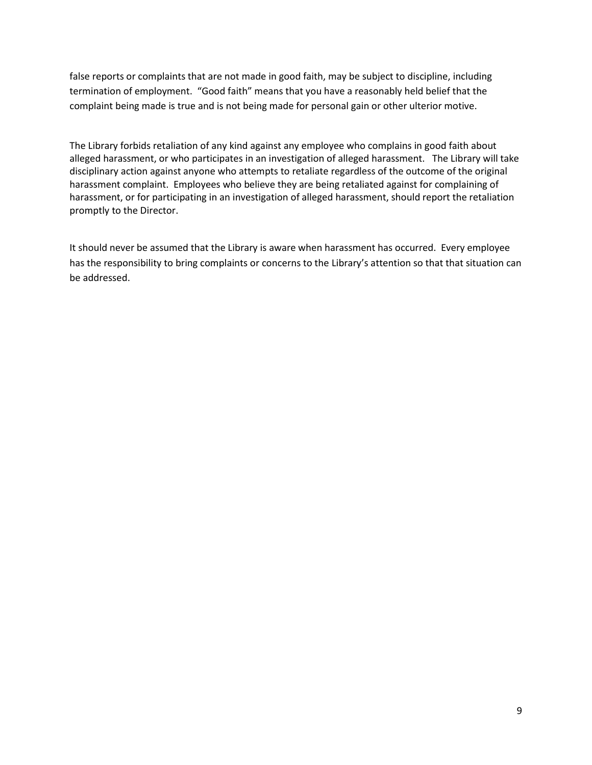false reports or complaints that are not made in good faith, may be subject to discipline, including termination of employment. "Good faith" means that you have a reasonably held belief that the complaint being made is true and is not being made for personal gain or other ulterior motive.

The Library forbids retaliation of any kind against any employee who complains in good faith about alleged harassment, or who participates in an investigation of alleged harassment. The Library will take disciplinary action against anyone who attempts to retaliate regardless of the outcome of the original harassment complaint. Employees who believe they are being retaliated against for complaining of harassment, or for participating in an investigation of alleged harassment, should report the retaliation promptly to the Director.

It should never be assumed that the Library is aware when harassment has occurred. Every employee has the responsibility to bring complaints or concerns to the Library's attention so that that situation can be addressed.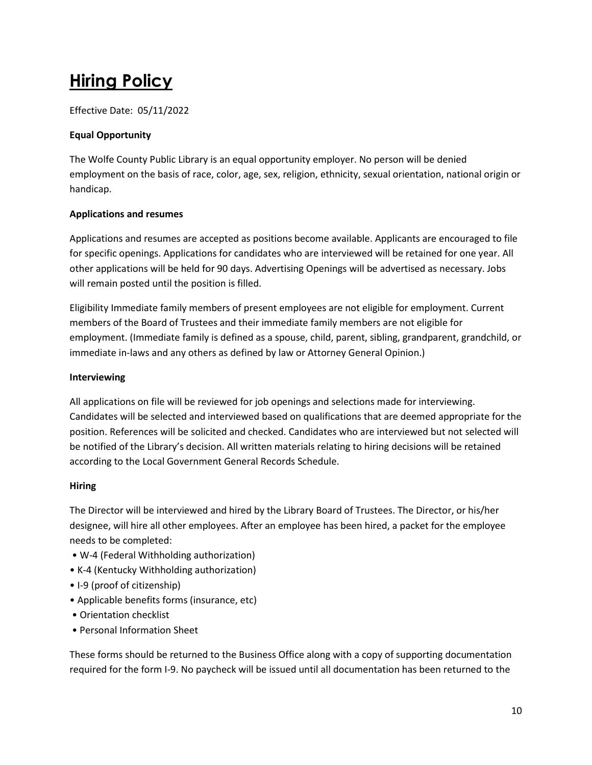# **Hiring Policy**

Effective Date: 05/11/2022

# **Equal Opportunity**

The Wolfe County Public Library is an equal opportunity employer. No person will be denied employment on the basis of race, color, age, sex, religion, ethnicity, sexual orientation, national origin or handicap.

## **Applications and resumes**

Applications and resumes are accepted as positions become available. Applicants are encouraged to file for specific openings. Applications for candidates who are interviewed will be retained for one year. All other applications will be held for 90 days. Advertising Openings will be advertised as necessary. Jobs will remain posted until the position is filled.

Eligibility Immediate family members of present employees are not eligible for employment. Current members of the Board of Trustees and their immediate family members are not eligible for employment. (Immediate family is defined as a spouse, child, parent, sibling, grandparent, grandchild, or immediate in-laws and any others as defined by law or Attorney General Opinion.)

## **Interviewing**

All applications on file will be reviewed for job openings and selections made for interviewing. Candidates will be selected and interviewed based on qualifications that are deemed appropriate for the position. References will be solicited and checked. Candidates who are interviewed but not selected will be notified of the Library's decision. All written materials relating to hiring decisions will be retained according to the Local Government General Records Schedule.

## **Hiring**

The Director will be interviewed and hired by the Library Board of Trustees. The Director, or his/her designee, will hire all other employees. After an employee has been hired, a packet for the employee needs to be completed:

- W-4 (Federal Withholding authorization)
- K-4 (Kentucky Withholding authorization)
- I-9 (proof of citizenship)
- Applicable benefits forms (insurance, etc)
- Orientation checklist
- Personal Information Sheet

These forms should be returned to the Business Office along with a copy of supporting documentation required for the form I-9. No paycheck will be issued until all documentation has been returned to the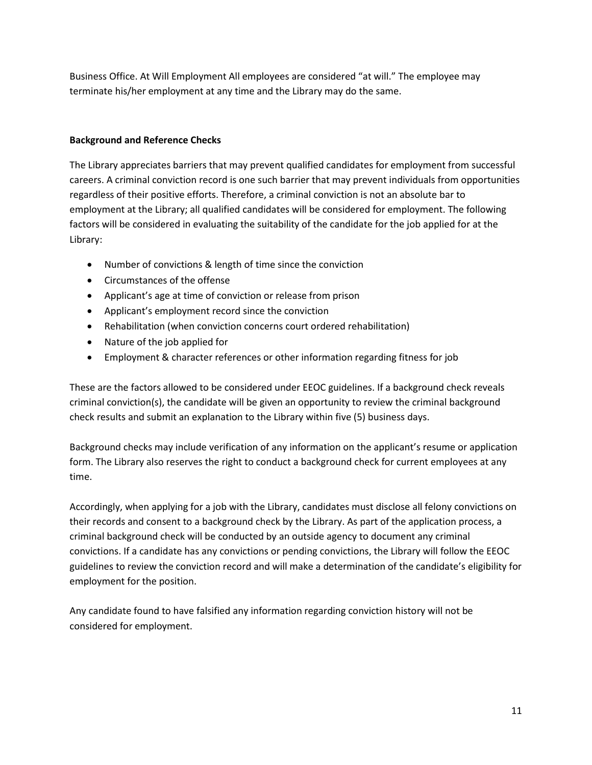Business Office. At Will Employment All employees are considered "at will." The employee may terminate his/her employment at any time and the Library may do the same.

## **Background and Reference Checks**

The Library appreciates barriers that may prevent qualified candidates for employment from successful careers. A criminal conviction record is one such barrier that may prevent individuals from opportunities regardless of their positive efforts. Therefore, a criminal conviction is not an absolute bar to employment at the Library; all qualified candidates will be considered for employment. The following factors will be considered in evaluating the suitability of the candidate for the job applied for at the Library:

- Number of convictions & length of time since the conviction
- Circumstances of the offense
- Applicant's age at time of conviction or release from prison
- Applicant's employment record since the conviction
- Rehabilitation (when conviction concerns court ordered rehabilitation)
- Nature of the job applied for
- Employment & character references or other information regarding fitness for job

These are the factors allowed to be considered under EEOC guidelines. If a background check reveals criminal conviction(s), the candidate will be given an opportunity to review the criminal background check results and submit an explanation to the Library within five (5) business days.

Background checks may include verification of any information on the applicant's resume or application form. The Library also reserves the right to conduct a background check for current employees at any time.

Accordingly, when applying for a job with the Library, candidates must disclose all felony convictions on their records and consent to a background check by the Library. As part of the application process, a criminal background check will be conducted by an outside agency to document any criminal convictions. If a candidate has any convictions or pending convictions, the Library will follow the EEOC guidelines to review the conviction record and will make a determination of the candidate's eligibility for employment for the position.

Any candidate found to have falsified any information regarding conviction history will not be considered for employment.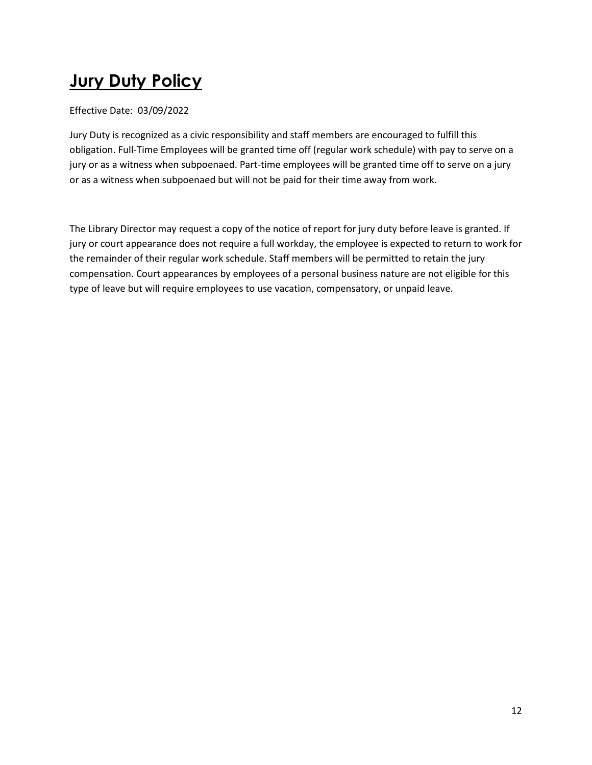# **Jury Duty Policy**

# Effective Date: 03/09/2022

Jury Duty is recognized as a civic responsibility and staff members are encouraged to fulfill this obligation. Full-Time Employees will be granted time off (regular work schedule) with pay to serve on a jury or as a witness when subpoenaed. Part-time employees will be granted time off to serve on a jury or as a witness when subpoenaed but will not be paid for their time away from work.

The Library Director may request a copy of the notice of report for jury duty before leave is granted. If jury or court appearance does not require a full workday, the employee is expected to return to work for the remainder of their regular work schedule. Staff members will be permitted to retain the jury compensation. Court appearances by employees of a personal business nature are not eligible for this type of leave but will require employees to use vacation, compensatory, or unpaid leave.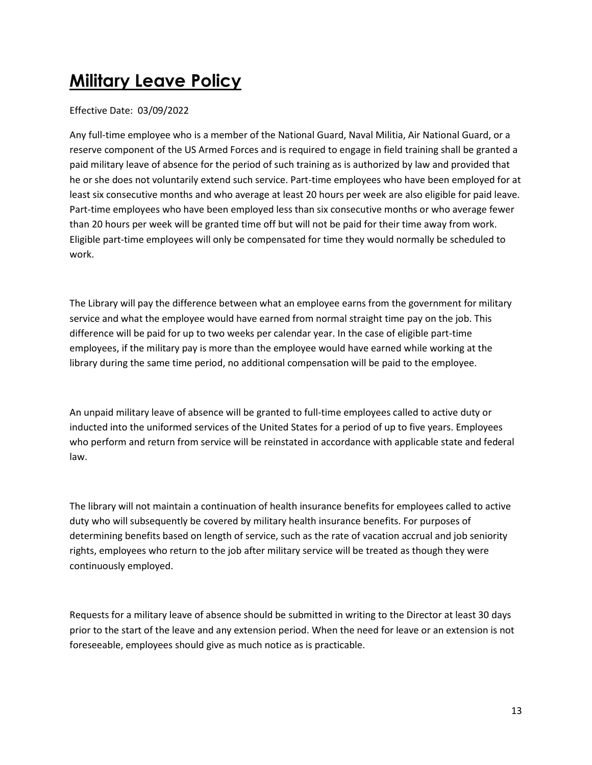# **Military Leave Policy**

## Effective Date: 03/09/2022

Any full-time employee who is a member of the National Guard, Naval Militia, Air National Guard, or a reserve component of the US Armed Forces and is required to engage in field training shall be granted a paid military leave of absence for the period of such training as is authorized by law and provided that he or she does not voluntarily extend such service. Part-time employees who have been employed for at least six consecutive months and who average at least 20 hours per week are also eligible for paid leave. Part-time employees who have been employed less than six consecutive months or who average fewer than 20 hours per week will be granted time off but will not be paid for their time away from work. Eligible part-time employees will only be compensated for time they would normally be scheduled to work.

The Library will pay the difference between what an employee earns from the government for military service and what the employee would have earned from normal straight time pay on the job. This difference will be paid for up to two weeks per calendar year. In the case of eligible part-time employees, if the military pay is more than the employee would have earned while working at the library during the same time period, no additional compensation will be paid to the employee.

An unpaid military leave of absence will be granted to full-time employees called to active duty or inducted into the uniformed services of the United States for a period of up to five years. Employees who perform and return from service will be reinstated in accordance with applicable state and federal law.

The library will not maintain a continuation of health insurance benefits for employees called to active duty who will subsequently be covered by military health insurance benefits. For purposes of determining benefits based on length of service, such as the rate of vacation accrual and job seniority rights, employees who return to the job after military service will be treated as though they were continuously employed.

Requests for a military leave of absence should be submitted in writing to the Director at least 30 days prior to the start of the leave and any extension period. When the need for leave or an extension is not foreseeable, employees should give as much notice as is practicable.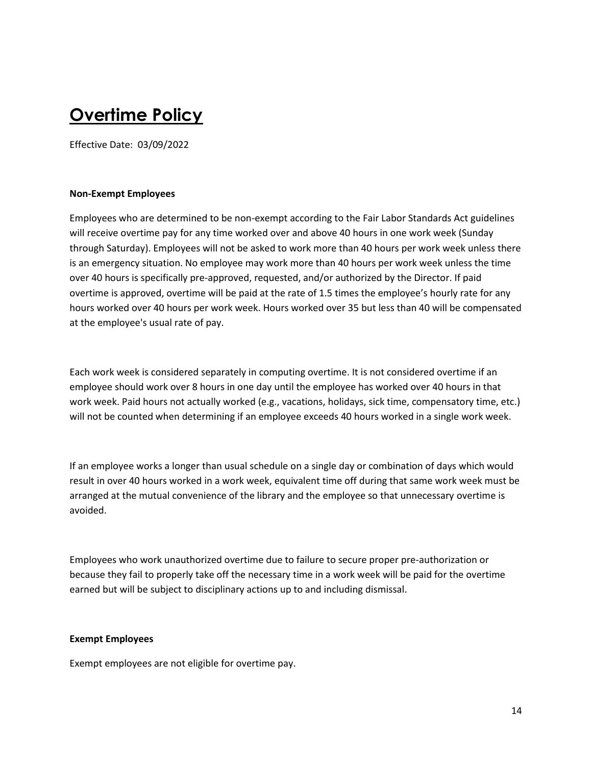# **Overtime Policy**

Effective Date: 03/09/2022

### **Non-Exempt Employees**

Employees who are determined to be non-exempt according to the Fair Labor Standards Act guidelines will receive overtime pay for any time worked over and above 40 hours in one work week (Sunday through Saturday). Employees will not be asked to work more than 40 hours per work week unless there is an emergency situation. No employee may work more than 40 hours per work week unless the time over 40 hours is specifically pre-approved, requested, and/or authorized by the Director. If paid overtime is approved, overtime will be paid at the rate of 1.5 times the employee's hourly rate for any hours worked over 40 hours per work week. Hours worked over 35 but less than 40 will be compensated at the employee's usual rate of pay.

Each work week is considered separately in computing overtime. It is not considered overtime if an employee should work over 8 hours in one day until the employee has worked over 40 hours in that work week. Paid hours not actually worked (e.g., vacations, holidays, sick time, compensatory time, etc.) will not be counted when determining if an employee exceeds 40 hours worked in a single work week.

If an employee works a longer than usual schedule on a single day or combination of days which would result in over 40 hours worked in a work week, equivalent time off during that same work week must be arranged at the mutual convenience of the library and the employee so that unnecessary overtime is avoided.

Employees who work unauthorized overtime due to failure to secure proper pre-authorization or because they fail to properly take off the necessary time in a work week will be paid for the overtime earned but will be subject to disciplinary actions up to and including dismissal.

#### **Exempt Employees**

Exempt employees are not eligible for overtime pay.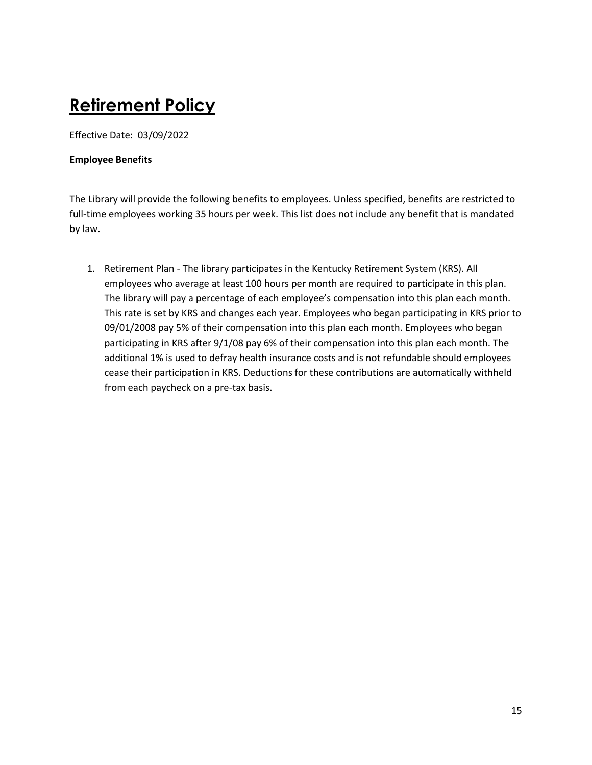# **Retirement Policy**

Effective Date: 03/09/2022

### **Employee Benefits**

The Library will provide the following benefits to employees. Unless specified, benefits are restricted to full-time employees working 35 hours per week. This list does not include any benefit that is mandated by law.

1. Retirement Plan - The library participates in the Kentucky Retirement System (KRS). All employees who average at least 100 hours per month are required to participate in this plan. The library will pay a percentage of each employee's compensation into this plan each month. This rate is set by KRS and changes each year. Employees who began participating in KRS prior to 09/01/2008 pay 5% of their compensation into this plan each month. Employees who began participating in KRS after 9/1/08 pay 6% of their compensation into this plan each month. The additional 1% is used to defray health insurance costs and is not refundable should employees cease their participation in KRS. Deductions for these contributions are automatically withheld from each paycheck on a pre-tax basis.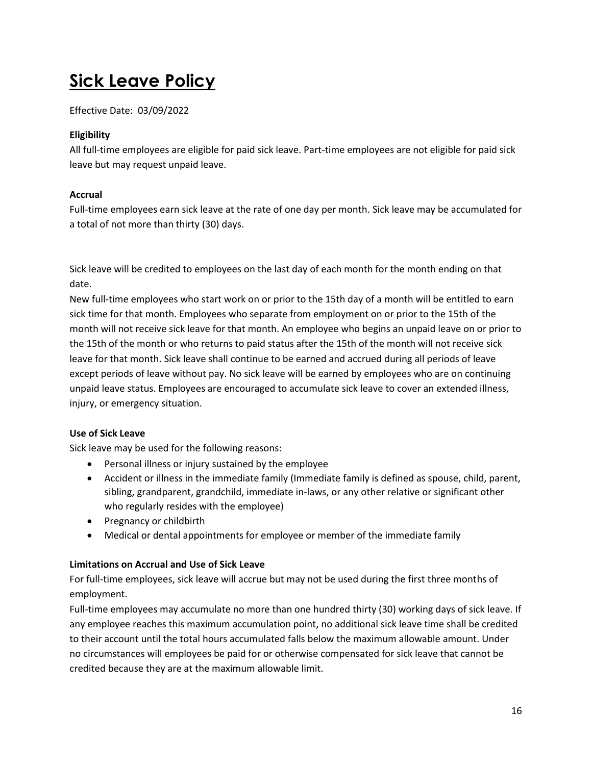# **Sick Leave Policy**

Effective Date: 03/09/2022

## **Eligibility**

All full-time employees are eligible for paid sick leave. Part-time employees are not eligible for paid sick leave but may request unpaid leave.

### **Accrual**

Full-time employees earn sick leave at the rate of one day per month. Sick leave may be accumulated for a total of not more than thirty (30) days.

Sick leave will be credited to employees on the last day of each month for the month ending on that date.

New full-time employees who start work on or prior to the 15th day of a month will be entitled to earn sick time for that month. Employees who separate from employment on or prior to the 15th of the month will not receive sick leave for that month. An employee who begins an unpaid leave on or prior to the 15th of the month or who returns to paid status after the 15th of the month will not receive sick leave for that month. Sick leave shall continue to be earned and accrued during all periods of leave except periods of leave without pay. No sick leave will be earned by employees who are on continuing unpaid leave status. Employees are encouraged to accumulate sick leave to cover an extended illness, injury, or emergency situation.

## **Use of Sick Leave**

Sick leave may be used for the following reasons:

- Personal illness or injury sustained by the employee
- Accident or illness in the immediate family (Immediate family is defined as spouse, child, parent, sibling, grandparent, grandchild, immediate in-laws, or any other relative or significant other who regularly resides with the employee)
- Pregnancy or childbirth
- Medical or dental appointments for employee or member of the immediate family

### **Limitations on Accrual and Use of Sick Leave**

For full-time employees, sick leave will accrue but may not be used during the first three months of employment.

Full-time employees may accumulate no more than one hundred thirty (30) working days of sick leave. If any employee reaches this maximum accumulation point, no additional sick leave time shall be credited to their account until the total hours accumulated falls below the maximum allowable amount. Under no circumstances will employees be paid for or otherwise compensated for sick leave that cannot be credited because they are at the maximum allowable limit.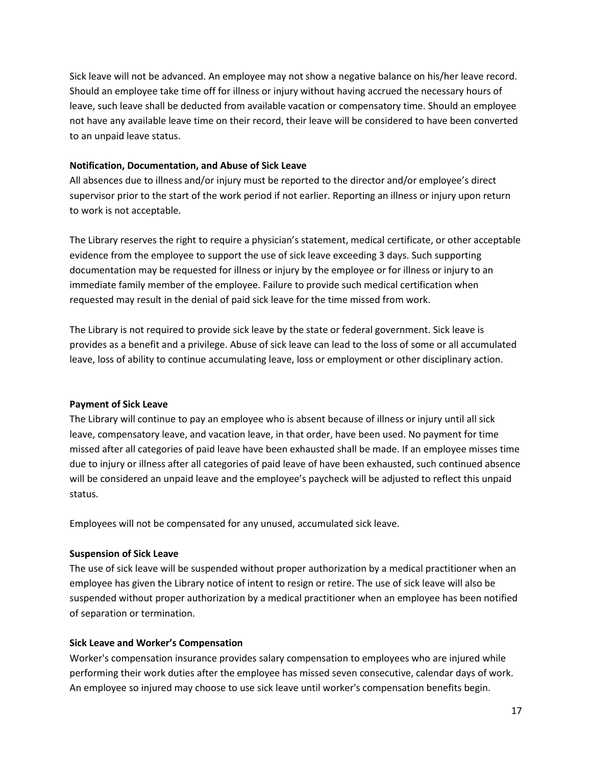Sick leave will not be advanced. An employee may not show a negative balance on his/her leave record. Should an employee take time off for illness or injury without having accrued the necessary hours of leave, such leave shall be deducted from available vacation or compensatory time. Should an employee not have any available leave time on their record, their leave will be considered to have been converted to an unpaid leave status.

### **Notification, Documentation, and Abuse of Sick Leave**

All absences due to illness and/or injury must be reported to the director and/or employee's direct supervisor prior to the start of the work period if not earlier. Reporting an illness or injury upon return to work is not acceptable.

The Library reserves the right to require a physician's statement, medical certificate, or other acceptable evidence from the employee to support the use of sick leave exceeding 3 days. Such supporting documentation may be requested for illness or injury by the employee or for illness or injury to an immediate family member of the employee. Failure to provide such medical certification when requested may result in the denial of paid sick leave for the time missed from work.

The Library is not required to provide sick leave by the state or federal government. Sick leave is provides as a benefit and a privilege. Abuse of sick leave can lead to the loss of some or all accumulated leave, loss of ability to continue accumulating leave, loss or employment or other disciplinary action.

### **Payment of Sick Leave**

The Library will continue to pay an employee who is absent because of illness or injury until all sick leave, compensatory leave, and vacation leave, in that order, have been used. No payment for time missed after all categories of paid leave have been exhausted shall be made. If an employee misses time due to injury or illness after all categories of paid leave of have been exhausted, such continued absence will be considered an unpaid leave and the employee's paycheck will be adjusted to reflect this unpaid status.

Employees will not be compensated for any unused, accumulated sick leave.

## **Suspension of Sick Leave**

The use of sick leave will be suspended without proper authorization by a medical practitioner when an employee has given the Library notice of intent to resign or retire. The use of sick leave will also be suspended without proper authorization by a medical practitioner when an employee has been notified of separation or termination.

## **Sick Leave and Worker's Compensation**

Worker's compensation insurance provides salary compensation to employees who are injured while performing their work duties after the employee has missed seven consecutive, calendar days of work. An employee so injured may choose to use sick leave until worker's compensation benefits begin.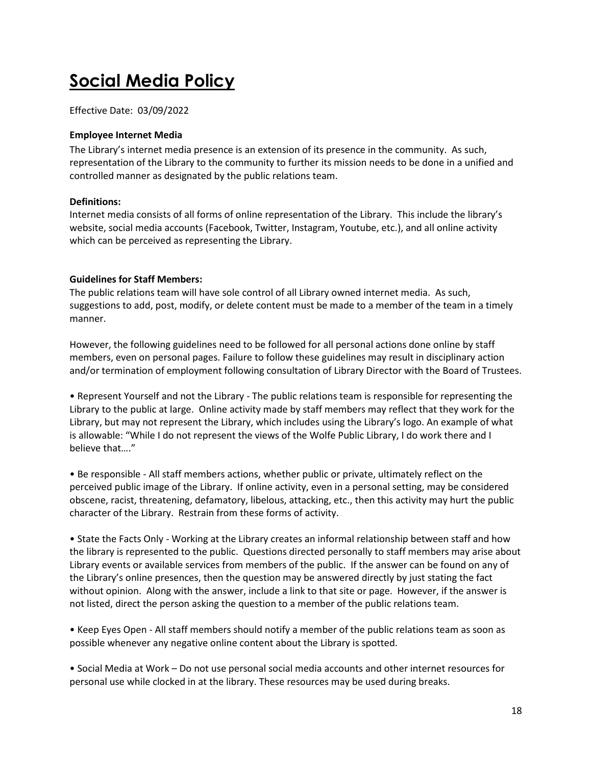# **Social Media Policy**

Effective Date: 03/09/2022

### **Employee Internet Media**

The Library's internet media presence is an extension of its presence in the community. As such, representation of the Library to the community to further its mission needs to be done in a unified and controlled manner as designated by the public relations team.

### **Definitions:**

Internet media consists of all forms of online representation of the Library. This include the library's website, social media accounts (Facebook, Twitter, Instagram, Youtube, etc.), and all online activity which can be perceived as representing the Library.

### **Guidelines for Staff Members:**

The public relations team will have sole control of all Library owned internet media. As such, suggestions to add, post, modify, or delete content must be made to a member of the team in a timely manner.

However, the following guidelines need to be followed for all personal actions done online by staff members, even on personal pages. Failure to follow these guidelines may result in disciplinary action and/or termination of employment following consultation of Library Director with the Board of Trustees.

• Represent Yourself and not the Library - The public relations team is responsible for representing the Library to the public at large. Online activity made by staff members may reflect that they work for the Library, but may not represent the Library, which includes using the Library's logo. An example of what is allowable: "While I do not represent the views of the Wolfe Public Library, I do work there and I believe that…."

• Be responsible - All staff members actions, whether public or private, ultimately reflect on the perceived public image of the Library. If online activity, even in a personal setting, may be considered obscene, racist, threatening, defamatory, libelous, attacking, etc., then this activity may hurt the public character of the Library. Restrain from these forms of activity.

• State the Facts Only - Working at the Library creates an informal relationship between staff and how the library is represented to the public. Questions directed personally to staff members may arise about Library events or available services from members of the public. If the answer can be found on any of the Library's online presences, then the question may be answered directly by just stating the fact without opinion. Along with the answer, include a link to that site or page. However, if the answer is not listed, direct the person asking the question to a member of the public relations team.

• Keep Eyes Open - All staff members should notify a member of the public relations team as soon as possible whenever any negative online content about the Library is spotted.

• Social Media at Work – Do not use personal social media accounts and other internet resources for personal use while clocked in at the library. These resources may be used during breaks.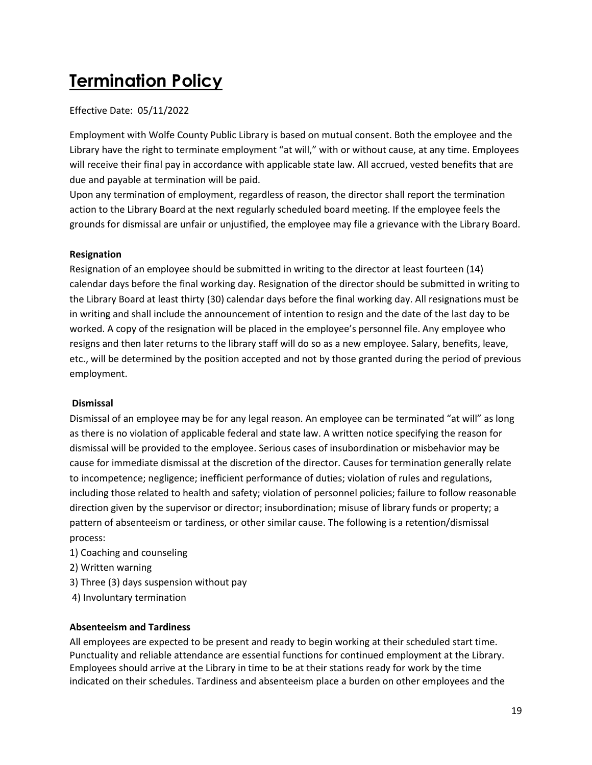# **Termination Policy**

# Effective Date: 05/11/2022

Employment with Wolfe County Public Library is based on mutual consent. Both the employee and the Library have the right to terminate employment "at will," with or without cause, at any time. Employees will receive their final pay in accordance with applicable state law. All accrued, vested benefits that are due and payable at termination will be paid.

Upon any termination of employment, regardless of reason, the director shall report the termination action to the Library Board at the next regularly scheduled board meeting. If the employee feels the grounds for dismissal are unfair or unjustified, the employee may file a grievance with the Library Board.

# **Resignation**

Resignation of an employee should be submitted in writing to the director at least fourteen (14) calendar days before the final working day. Resignation of the director should be submitted in writing to the Library Board at least thirty (30) calendar days before the final working day. All resignations must be in writing and shall include the announcement of intention to resign and the date of the last day to be worked. A copy of the resignation will be placed in the employee's personnel file. Any employee who resigns and then later returns to the library staff will do so as a new employee. Salary, benefits, leave, etc., will be determined by the position accepted and not by those granted during the period of previous employment.

## **Dismissal**

Dismissal of an employee may be for any legal reason. An employee can be terminated "at will" as long as there is no violation of applicable federal and state law. A written notice specifying the reason for dismissal will be provided to the employee. Serious cases of insubordination or misbehavior may be cause for immediate dismissal at the discretion of the director. Causes for termination generally relate to incompetence; negligence; inefficient performance of duties; violation of rules and regulations, including those related to health and safety; violation of personnel policies; failure to follow reasonable direction given by the supervisor or director; insubordination; misuse of library funds or property; a pattern of absenteeism or tardiness, or other similar cause. The following is a retention/dismissal process:

- 1) Coaching and counseling
- 2) Written warning
- 3) Three (3) days suspension without pay
- 4) Involuntary termination

## **Absenteeism and Tardiness**

All employees are expected to be present and ready to begin working at their scheduled start time. Punctuality and reliable attendance are essential functions for continued employment at the Library. Employees should arrive at the Library in time to be at their stations ready for work by the time indicated on their schedules. Tardiness and absenteeism place a burden on other employees and the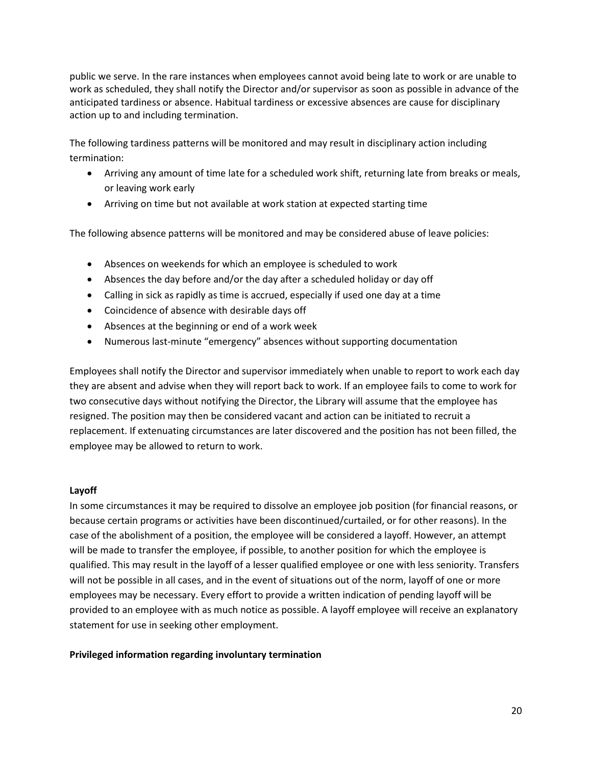public we serve. In the rare instances when employees cannot avoid being late to work or are unable to work as scheduled, they shall notify the Director and/or supervisor as soon as possible in advance of the anticipated tardiness or absence. Habitual tardiness or excessive absences are cause for disciplinary action up to and including termination.

The following tardiness patterns will be monitored and may result in disciplinary action including termination:

- Arriving any amount of time late for a scheduled work shift, returning late from breaks or meals, or leaving work early
- Arriving on time but not available at work station at expected starting time

The following absence patterns will be monitored and may be considered abuse of leave policies:

- Absences on weekends for which an employee is scheduled to work
- Absences the day before and/or the day after a scheduled holiday or day off
- Calling in sick as rapidly as time is accrued, especially if used one day at a time
- Coincidence of absence with desirable days off
- Absences at the beginning or end of a work week
- Numerous last-minute "emergency" absences without supporting documentation

Employees shall notify the Director and supervisor immediately when unable to report to work each day they are absent and advise when they will report back to work. If an employee fails to come to work for two consecutive days without notifying the Director, the Library will assume that the employee has resigned. The position may then be considered vacant and action can be initiated to recruit a replacement. If extenuating circumstances are later discovered and the position has not been filled, the employee may be allowed to return to work.

### **Layoff**

In some circumstances it may be required to dissolve an employee job position (for financial reasons, or because certain programs or activities have been discontinued/curtailed, or for other reasons). In the case of the abolishment of a position, the employee will be considered a layoff. However, an attempt will be made to transfer the employee, if possible, to another position for which the employee is qualified. This may result in the layoff of a lesser qualified employee or one with less seniority. Transfers will not be possible in all cases, and in the event of situations out of the norm, layoff of one or more employees may be necessary. Every effort to provide a written indication of pending layoff will be provided to an employee with as much notice as possible. A layoff employee will receive an explanatory statement for use in seeking other employment.

### **Privileged information regarding involuntary termination**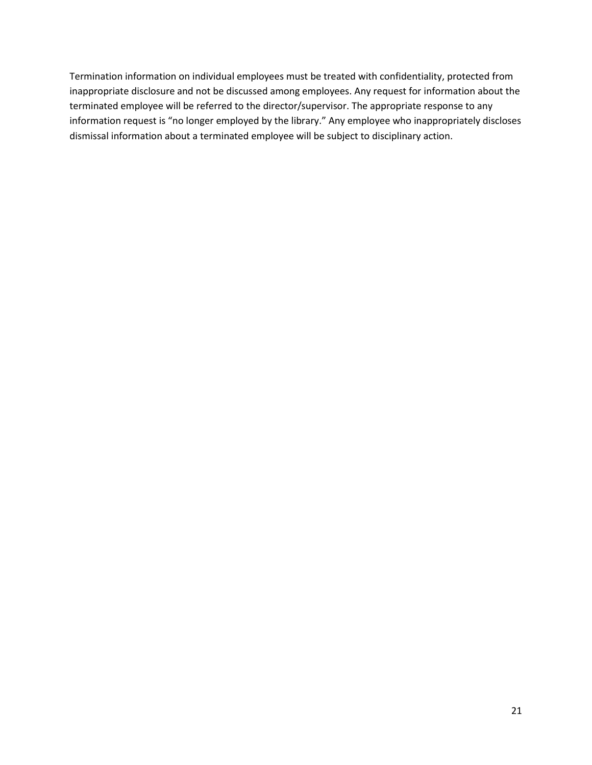Termination information on individual employees must be treated with confidentiality, protected from inappropriate disclosure and not be discussed among employees. Any request for information about the terminated employee will be referred to the director/supervisor. The appropriate response to any information request is "no longer employed by the library." Any employee who inappropriately discloses dismissal information about a terminated employee will be subject to disciplinary action.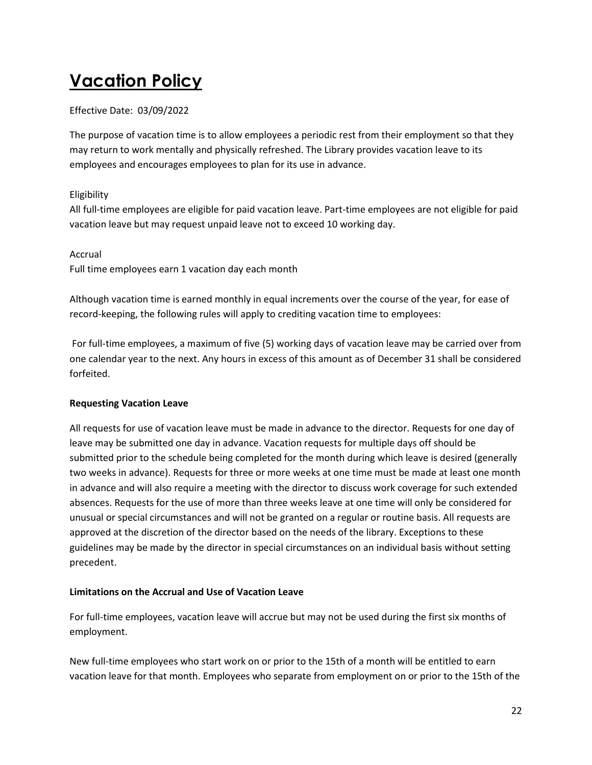# **Vacation Policy**

# Effective Date: 03/09/2022

The purpose of vacation time is to allow employees a periodic rest from their employment so that they may return to work mentally and physically refreshed. The Library provides vacation leave to its employees and encourages employees to plan for its use in advance.

# Eligibility

All full-time employees are eligible for paid vacation leave. Part-time employees are not eligible for paid vacation leave but may request unpaid leave not to exceed 10 working day.

### Accrual

Full time employees earn 1 vacation day each month

Although vacation time is earned monthly in equal increments over the course of the year, for ease of record-keeping, the following rules will apply to crediting vacation time to employees:

For full-time employees, a maximum of five (5) working days of vacation leave may be carried over from one calendar year to the next. Any hours in excess of this amount as of December 31 shall be considered forfeited.

## **Requesting Vacation Leave**

All requests for use of vacation leave must be made in advance to the director. Requests for one day of leave may be submitted one day in advance. Vacation requests for multiple days off should be submitted prior to the schedule being completed for the month during which leave is desired (generally two weeks in advance). Requests for three or more weeks at one time must be made at least one month in advance and will also require a meeting with the director to discuss work coverage for such extended absences. Requests for the use of more than three weeks leave at one time will only be considered for unusual or special circumstances and will not be granted on a regular or routine basis. All requests are approved at the discretion of the director based on the needs of the library. Exceptions to these guidelines may be made by the director in special circumstances on an individual basis without setting precedent.

## **Limitations on the Accrual and Use of Vacation Leave**

For full-time employees, vacation leave will accrue but may not be used during the first six months of employment.

New full-time employees who start work on or prior to the 15th of a month will be entitled to earn vacation leave for that month. Employees who separate from employment on or prior to the 15th of the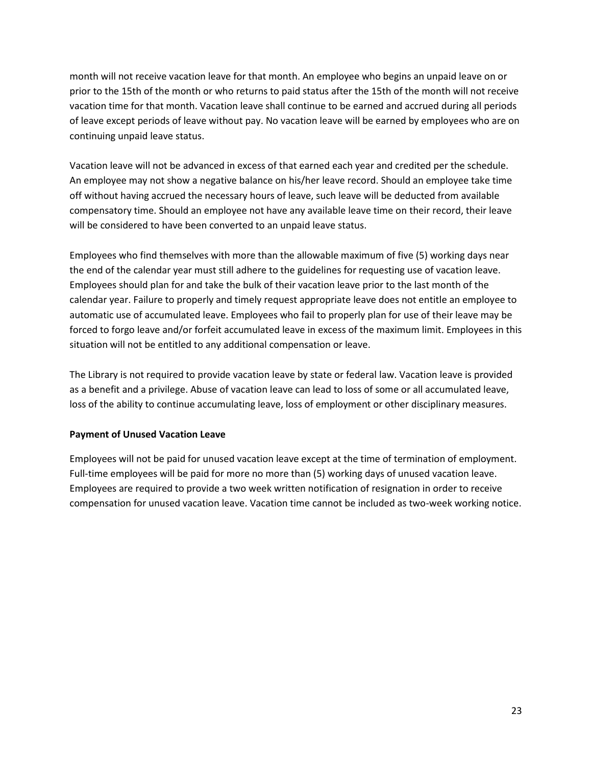month will not receive vacation leave for that month. An employee who begins an unpaid leave on or prior to the 15th of the month or who returns to paid status after the 15th of the month will not receive vacation time for that month. Vacation leave shall continue to be earned and accrued during all periods of leave except periods of leave without pay. No vacation leave will be earned by employees who are on continuing unpaid leave status.

Vacation leave will not be advanced in excess of that earned each year and credited per the schedule. An employee may not show a negative balance on his/her leave record. Should an employee take time off without having accrued the necessary hours of leave, such leave will be deducted from available compensatory time. Should an employee not have any available leave time on their record, their leave will be considered to have been converted to an unpaid leave status.

Employees who find themselves with more than the allowable maximum of five (5) working days near the end of the calendar year must still adhere to the guidelines for requesting use of vacation leave. Employees should plan for and take the bulk of their vacation leave prior to the last month of the calendar year. Failure to properly and timely request appropriate leave does not entitle an employee to automatic use of accumulated leave. Employees who fail to properly plan for use of their leave may be forced to forgo leave and/or forfeit accumulated leave in excess of the maximum limit. Employees in this situation will not be entitled to any additional compensation or leave.

The Library is not required to provide vacation leave by state or federal law. Vacation leave is provided as a benefit and a privilege. Abuse of vacation leave can lead to loss of some or all accumulated leave, loss of the ability to continue accumulating leave, loss of employment or other disciplinary measures.

### **Payment of Unused Vacation Leave**

Employees will not be paid for unused vacation leave except at the time of termination of employment. Full-time employees will be paid for more no more than (5) working days of unused vacation leave. Employees are required to provide a two week written notification of resignation in order to receive compensation for unused vacation leave. Vacation time cannot be included as two-week working notice.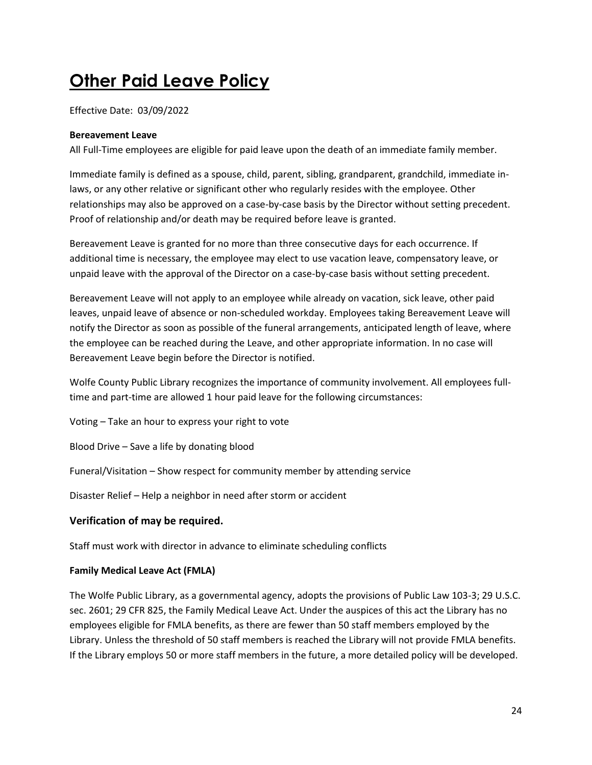# **Other Paid Leave Policy**

Effective Date: 03/09/2022

### **Bereavement Leave**

All Full-Time employees are eligible for paid leave upon the death of an immediate family member.

Immediate family is defined as a spouse, child, parent, sibling, grandparent, grandchild, immediate inlaws, or any other relative or significant other who regularly resides with the employee. Other relationships may also be approved on a case-by-case basis by the Director without setting precedent. Proof of relationship and/or death may be required before leave is granted.

Bereavement Leave is granted for no more than three consecutive days for each occurrence. If additional time is necessary, the employee may elect to use vacation leave, compensatory leave, or unpaid leave with the approval of the Director on a case-by-case basis without setting precedent.

Bereavement Leave will not apply to an employee while already on vacation, sick leave, other paid leaves, unpaid leave of absence or non-scheduled workday. Employees taking Bereavement Leave will notify the Director as soon as possible of the funeral arrangements, anticipated length of leave, where the employee can be reached during the Leave, and other appropriate information. In no case will Bereavement Leave begin before the Director is notified.

Wolfe County Public Library recognizes the importance of community involvement. All employees fulltime and part-time are allowed 1 hour paid leave for the following circumstances:

Voting – Take an hour to express your right to vote

Blood Drive – Save a life by donating blood

Funeral/Visitation – Show respect for community member by attending service

Disaster Relief – Help a neighbor in need after storm or accident

## **Verification of may be required.**

Staff must work with director in advance to eliminate scheduling conflicts

## **Family Medical Leave Act (FMLA)**

The Wolfe Public Library, as a governmental agency, adopts the provisions of Public Law 103-3; 29 U.S.C. sec. 2601; 29 CFR 825, the Family Medical Leave Act. Under the auspices of this act the Library has no employees eligible for FMLA benefits, as there are fewer than 50 staff members employed by the Library. Unless the threshold of 50 staff members is reached the Library will not provide FMLA benefits. If the Library employs 50 or more staff members in the future, a more detailed policy will be developed.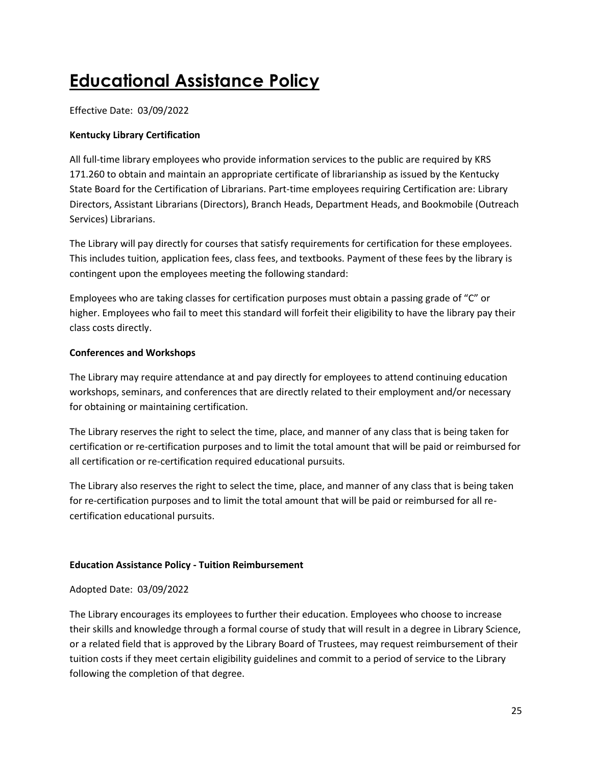# **Educational Assistance Policy**

Effective Date: 03/09/2022

## **Kentucky Library Certification**

All full-time library employees who provide information services to the public are required by KRS 171.260 to obtain and maintain an appropriate certificate of librarianship as issued by the Kentucky State Board for the Certification of Librarians. Part-time employees requiring Certification are: Library Directors, Assistant Librarians (Directors), Branch Heads, Department Heads, and Bookmobile (Outreach Services) Librarians.

The Library will pay directly for courses that satisfy requirements for certification for these employees. This includes tuition, application fees, class fees, and textbooks. Payment of these fees by the library is contingent upon the employees meeting the following standard:

Employees who are taking classes for certification purposes must obtain a passing grade of "C" or higher. Employees who fail to meet this standard will forfeit their eligibility to have the library pay their class costs directly.

### **Conferences and Workshops**

The Library may require attendance at and pay directly for employees to attend continuing education workshops, seminars, and conferences that are directly related to their employment and/or necessary for obtaining or maintaining certification.

The Library reserves the right to select the time, place, and manner of any class that is being taken for certification or re-certification purposes and to limit the total amount that will be paid or reimbursed for all certification or re-certification required educational pursuits.

The Library also reserves the right to select the time, place, and manner of any class that is being taken for re-certification purposes and to limit the total amount that will be paid or reimbursed for all recertification educational pursuits.

## **Education Assistance Policy - Tuition Reimbursement**

### Adopted Date: 03/09/2022

The Library encourages its employees to further their education. Employees who choose to increase their skills and knowledge through a formal course of study that will result in a degree in Library Science, or a related field that is approved by the Library Board of Trustees, may request reimbursement of their tuition costs if they meet certain eligibility guidelines and commit to a period of service to the Library following the completion of that degree.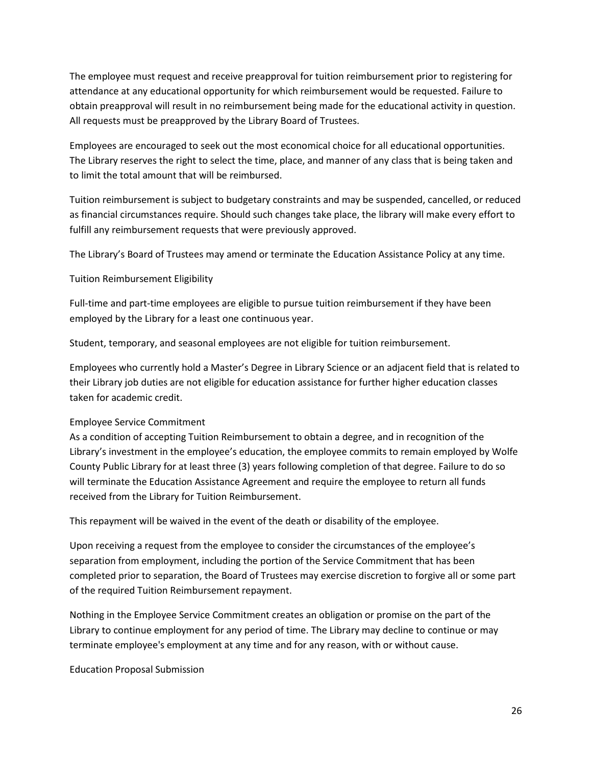The employee must request and receive preapproval for tuition reimbursement prior to registering for attendance at any educational opportunity for which reimbursement would be requested. Failure to obtain preapproval will result in no reimbursement being made for the educational activity in question. All requests must be preapproved by the Library Board of Trustees.

Employees are encouraged to seek out the most economical choice for all educational opportunities. The Library reserves the right to select the time, place, and manner of any class that is being taken and to limit the total amount that will be reimbursed.

Tuition reimbursement is subject to budgetary constraints and may be suspended, cancelled, or reduced as financial circumstances require. Should such changes take place, the library will make every effort to fulfill any reimbursement requests that were previously approved.

The Library's Board of Trustees may amend or terminate the Education Assistance Policy at any time.

### Tuition Reimbursement Eligibility

Full-time and part-time employees are eligible to pursue tuition reimbursement if they have been employed by the Library for a least one continuous year.

Student, temporary, and seasonal employees are not eligible for tuition reimbursement.

Employees who currently hold a Master's Degree in Library Science or an adjacent field that is related to their Library job duties are not eligible for education assistance for further higher education classes taken for academic credit.

### Employee Service Commitment

As a condition of accepting Tuition Reimbursement to obtain a degree, and in recognition of the Library's investment in the employee's education, the employee commits to remain employed by Wolfe County Public Library for at least three (3) years following completion of that degree. Failure to do so will terminate the Education Assistance Agreement and require the employee to return all funds received from the Library for Tuition Reimbursement.

This repayment will be waived in the event of the death or disability of the employee.

Upon receiving a request from the employee to consider the circumstances of the employee's separation from employment, including the portion of the Service Commitment that has been completed prior to separation, the Board of Trustees may exercise discretion to forgive all or some part of the required Tuition Reimbursement repayment.

Nothing in the Employee Service Commitment creates an obligation or promise on the part of the Library to continue employment for any period of time. The Library may decline to continue or may terminate employee's employment at any time and for any reason, with or without cause.

Education Proposal Submission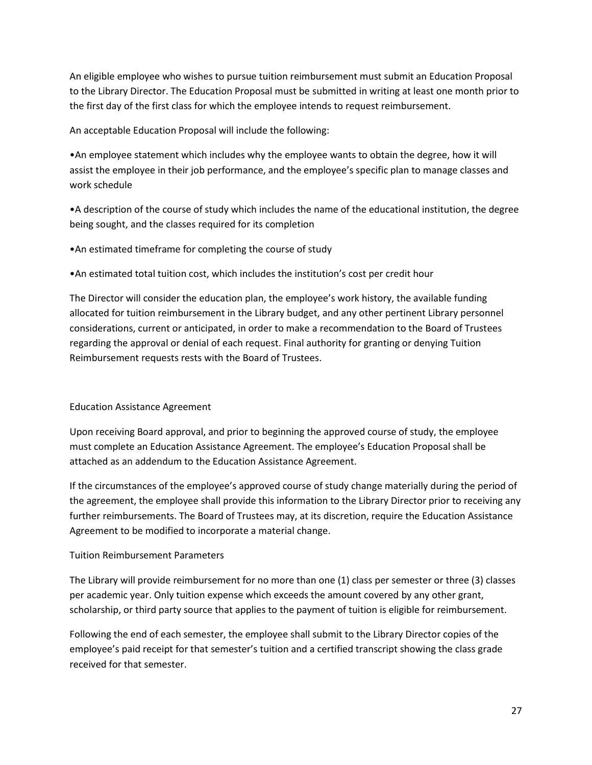An eligible employee who wishes to pursue tuition reimbursement must submit an Education Proposal to the Library Director. The Education Proposal must be submitted in writing at least one month prior to the first day of the first class for which the employee intends to request reimbursement.

An acceptable Education Proposal will include the following:

•An employee statement which includes why the employee wants to obtain the degree, how it will assist the employee in their job performance, and the employee's specific plan to manage classes and work schedule

•A description of the course of study which includes the name of the educational institution, the degree being sought, and the classes required for its completion

•An estimated timeframe for completing the course of study

•An estimated total tuition cost, which includes the institution's cost per credit hour

The Director will consider the education plan, the employee's work history, the available funding allocated for tuition reimbursement in the Library budget, and any other pertinent Library personnel considerations, current or anticipated, in order to make a recommendation to the Board of Trustees regarding the approval or denial of each request. Final authority for granting or denying Tuition Reimbursement requests rests with the Board of Trustees.

## Education Assistance Agreement

Upon receiving Board approval, and prior to beginning the approved course of study, the employee must complete an Education Assistance Agreement. The employee's Education Proposal shall be attached as an addendum to the Education Assistance Agreement.

If the circumstances of the employee's approved course of study change materially during the period of the agreement, the employee shall provide this information to the Library Director prior to receiving any further reimbursements. The Board of Trustees may, at its discretion, require the Education Assistance Agreement to be modified to incorporate a material change.

### Tuition Reimbursement Parameters

The Library will provide reimbursement for no more than one (1) class per semester or three (3) classes per academic year. Only tuition expense which exceeds the amount covered by any other grant, scholarship, or third party source that applies to the payment of tuition is eligible for reimbursement.

Following the end of each semester, the employee shall submit to the Library Director copies of the employee's paid receipt for that semester's tuition and a certified transcript showing the class grade received for that semester.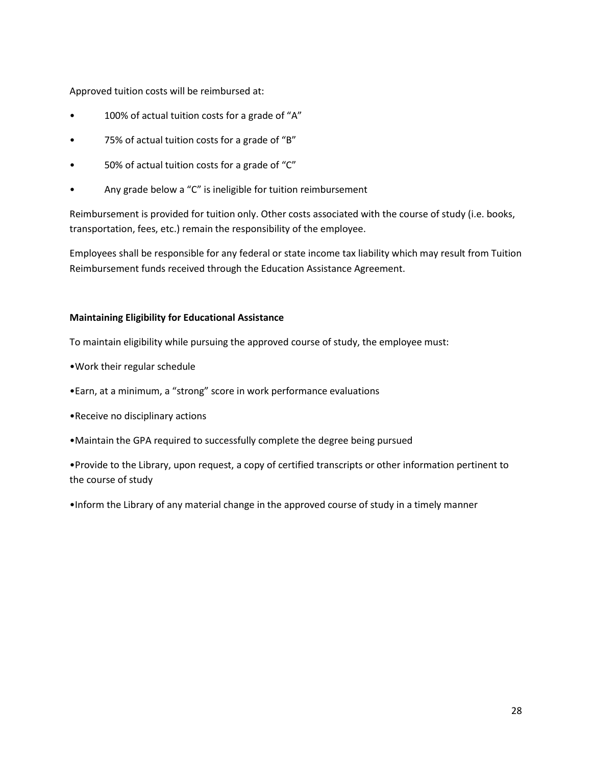Approved tuition costs will be reimbursed at:

- 100% of actual tuition costs for a grade of "A"
- 75% of actual tuition costs for a grade of "B"
- 50% of actual tuition costs for a grade of "C"
- Any grade below a "C" is ineligible for tuition reimbursement

Reimbursement is provided for tuition only. Other costs associated with the course of study (i.e. books, transportation, fees, etc.) remain the responsibility of the employee.

Employees shall be responsible for any federal or state income tax liability which may result from Tuition Reimbursement funds received through the Education Assistance Agreement.

#### **Maintaining Eligibility for Educational Assistance**

To maintain eligibility while pursuing the approved course of study, the employee must:

- •Work their regular schedule
- •Earn, at a minimum, a "strong" score in work performance evaluations
- •Receive no disciplinary actions
- •Maintain the GPA required to successfully complete the degree being pursued

•Provide to the Library, upon request, a copy of certified transcripts or other information pertinent to the course of study

•Inform the Library of any material change in the approved course of study in a timely manner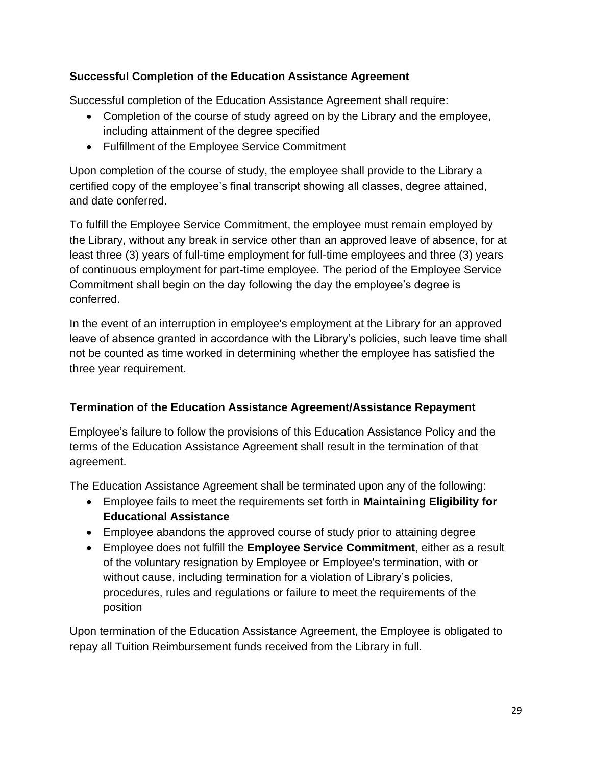# **Successful Completion of the Education Assistance Agreement**

Successful completion of the Education Assistance Agreement shall require:

- Completion of the course of study agreed on by the Library and the employee, including attainment of the degree specified
- Fulfillment of the Employee Service Commitment

Upon completion of the course of study, the employee shall provide to the Library a certified copy of the employee's final transcript showing all classes, degree attained, and date conferred.

To fulfill the Employee Service Commitment, the employee must remain employed by the Library, without any break in service other than an approved leave of absence, for at least three (3) years of full-time employment for full-time employees and three (3) years of continuous employment for part-time employee. The period of the Employee Service Commitment shall begin on the day following the day the employee's degree is conferred.

In the event of an interruption in employee's employment at the Library for an approved leave of absence granted in accordance with the Library's policies, such leave time shall not be counted as time worked in determining whether the employee has satisfied the three year requirement.

# **Termination of the Education Assistance Agreement/Assistance Repayment**

Employee's failure to follow the provisions of this Education Assistance Policy and the terms of the Education Assistance Agreement shall result in the termination of that agreement.

The Education Assistance Agreement shall be terminated upon any of the following:

- Employee fails to meet the requirements set forth in **Maintaining Eligibility for Educational Assistance**
- Employee abandons the approved course of study prior to attaining degree
- Employee does not fulfill the **Employee Service Commitment**, either as a result of the voluntary resignation by Employee or Employee's termination, with or without cause, including termination for a violation of Library's policies, procedures, rules and regulations or failure to meet the requirements of the position

Upon termination of the Education Assistance Agreement, the Employee is obligated to repay all Tuition Reimbursement funds received from the Library in full.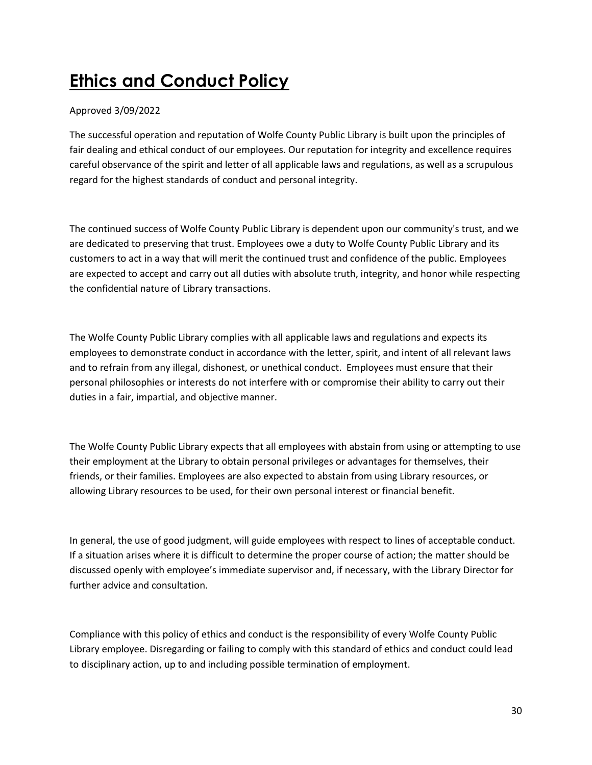# **Ethics and Conduct Policy**

# Approved 3/09/2022

The successful operation and reputation of Wolfe County Public Library is built upon the principles of fair dealing and ethical conduct of our employees. Our reputation for integrity and excellence requires careful observance of the spirit and letter of all applicable laws and regulations, as well as a scrupulous regard for the highest standards of conduct and personal integrity.

The continued success of Wolfe County Public Library is dependent upon our community's trust, and we are dedicated to preserving that trust. Employees owe a duty to Wolfe County Public Library and its customers to act in a way that will merit the continued trust and confidence of the public. Employees are expected to accept and carry out all duties with absolute truth, integrity, and honor while respecting the confidential nature of Library transactions.

The Wolfe County Public Library complies with all applicable laws and regulations and expects its employees to demonstrate conduct in accordance with the letter, spirit, and intent of all relevant laws and to refrain from any illegal, dishonest, or unethical conduct. Employees must ensure that their personal philosophies or interests do not interfere with or compromise their ability to carry out their duties in a fair, impartial, and objective manner.

The Wolfe County Public Library expects that all employees with abstain from using or attempting to use their employment at the Library to obtain personal privileges or advantages for themselves, their friends, or their families. Employees are also expected to abstain from using Library resources, or allowing Library resources to be used, for their own personal interest or financial benefit.

In general, the use of good judgment, will guide employees with respect to lines of acceptable conduct. If a situation arises where it is difficult to determine the proper course of action; the matter should be discussed openly with employee's immediate supervisor and, if necessary, with the Library Director for further advice and consultation.

Compliance with this policy of ethics and conduct is the responsibility of every Wolfe County Public Library employee. Disregarding or failing to comply with this standard of ethics and conduct could lead to disciplinary action, up to and including possible termination of employment.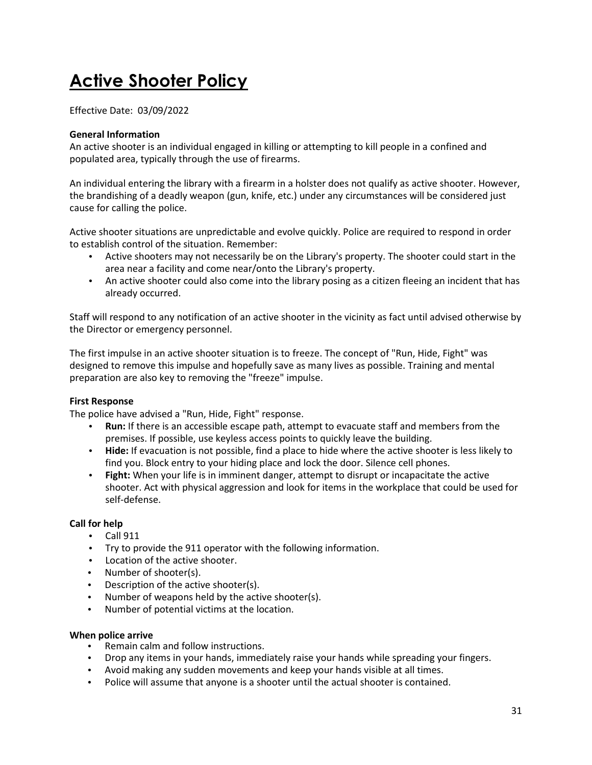# **Active Shooter Policy**

Effective Date: 03/09/2022

### **General Information**

An active shooter is an individual engaged in killing or attempting to kill people in a confined and populated area, typically through the use of firearms.

An individual entering the library with a firearm in a holster does not qualify as active shooter. However, the brandishing of a deadly weapon (gun, knife, etc.) under any circumstances will be considered just cause for calling the police.

Active shooter situations are unpredictable and evolve quickly. Police are required to respond in order to establish control of the situation. Remember:

- **•** Active shooters may not necessarily be on the Library's property. The shooter could start in the area near a facility and come near/onto the Library's property.
- **•** An active shooter could also come into the library posing as a citizen fleeing an incident that has already occurred.

Staff will respond to any notification of an active shooter in the vicinity as fact until advised otherwise by the Director or emergency personnel.

The first impulse in an active shooter situation is to freeze. The concept of "Run, Hide, Fight" was designed to remove this impulse and hopefully save as many lives as possible. Training and mental preparation are also key to removing the "freeze" impulse.

### **First Response**

The police have advised a "Run, Hide, Fight" response.

- **• Run:** If there is an accessible escape path, attempt to evacuate staff and members from the premises. If possible, use keyless access points to quickly leave the building.
- **• Hide:** If evacuation is not possible, find a place to hide where the active shooter is less likely to find you. Block entry to your hiding place and lock the door. Silence cell phones.
- **• Fight:** When your life is in imminent danger, attempt to disrupt or incapacitate the active shooter. Act with physical aggression and look for items in the workplace that could be used for self-defense.

### **Call for help**

- **•** Call 911
- **•** Try to provide the 911 operator with the following information.
- **•** Location of the active shooter.
- **•** Number of shooter(s).
- **•** Description of the active shooter(s).
- **•** Number of weapons held by the active shooter(s).
- **•** Number of potential victims at the location.

### **When police arrive**

- **•** Remain calm and follow instructions.
- **•** Drop any items in your hands, immediately raise your hands while spreading your fingers.
- **•** Avoid making any sudden movements and keep your hands visible at all times.
- **•** Police will assume that anyone is a shooter until the actual shooter is contained.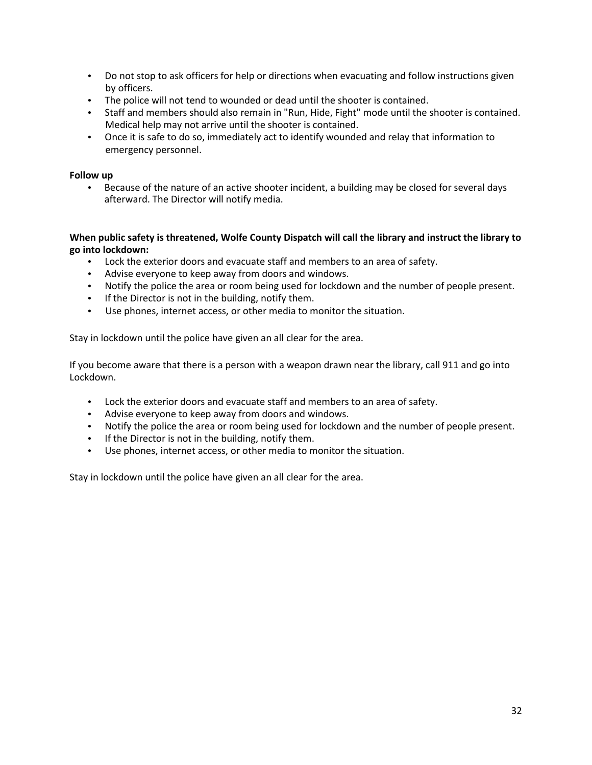- **•** Do not stop to ask officers for help or directions when evacuating and follow instructions given by officers.
- **•** The police will not tend to wounded or dead until the shooter is contained.
- **•** Staff and members should also remain in "Run, Hide, Fight" mode until the shooter is contained. Medical help may not arrive until the shooter is contained.
- **•** Once it is safe to do so, immediately act to identify wounded and relay that information to emergency personnel.

#### **Follow up**

**•** Because of the nature of an active shooter incident, a building may be closed for several days afterward. The Director will notify media.

#### **When public safety is threatened, Wolfe County Dispatch will call the library and instruct the library to go into lockdown:**

- **•** Lock the exterior doors and evacuate staff and members to an area of safety.
- **•** Advise everyone to keep away from doors and windows.
- **•** Notify the police the area or room being used for lockdown and the number of people present.
- **•** If the Director is not in the building, notify them.
- **•** Use phones, internet access, or other media to monitor the situation.

Stay in lockdown until the police have given an all clear for the area.

If you become aware that there is a person with a weapon drawn near the library, call 911 and go into Lockdown.

- **•** Lock the exterior doors and evacuate staff and members to an area of safety.
- **•** Advise everyone to keep away from doors and windows.
- **•** Notify the police the area or room being used for lockdown and the number of people present.
- **•** If the Director is not in the building, notify them.
- **•** Use phones, internet access, or other media to monitor the situation.

Stay in lockdown until the police have given an all clear for the area.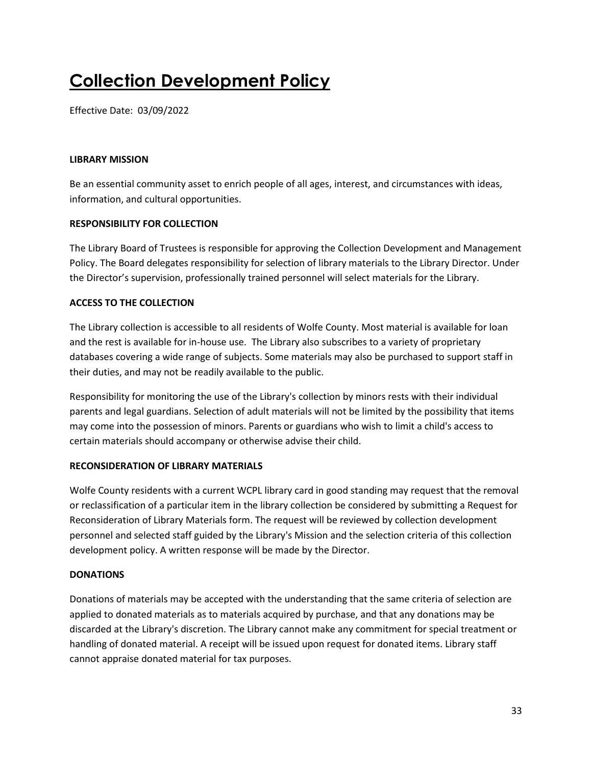# **Collection Development Policy**

Effective Date: 03/09/2022

### **LIBRARY MISSION**

Be an essential community asset to enrich people of all ages, interest, and circumstances with ideas, information, and cultural opportunities.

### **RESPONSIBILITY FOR COLLECTION**

The Library Board of Trustees is responsible for approving the Collection Development and Management Policy. The Board delegates responsibility for selection of library materials to the Library Director. Under the Director's supervision, professionally trained personnel will select materials for the Library.

## **ACCESS TO THE COLLECTION**

The Library collection is accessible to all residents of Wolfe County. Most material is available for loan and the rest is available for in-house use. The Library also subscribes to a variety of proprietary databases covering a wide range of subjects. Some materials may also be purchased to support staff in their duties, and may not be readily available to the public.

Responsibility for monitoring the use of the Library's collection by minors rests with their individual parents and legal guardians. Selection of adult materials will not be limited by the possibility that items may come into the possession of minors. Parents or guardians who wish to limit a child's access to certain materials should accompany or otherwise advise their child.

### **RECONSIDERATION OF LIBRARY MATERIALS**

Wolfe County residents with a current WCPL library card in good standing may request that the removal or reclassification of a particular item in the library collection be considered by submitting a Request for Reconsideration of Library Materials form. The request will be reviewed by collection development personnel and selected staff guided by the Library's Mission and the selection criteria of this collection development policy. A written response will be made by the Director.

### **DONATIONS**

Donations of materials may be accepted with the understanding that the same criteria of selection are applied to donated materials as to materials acquired by purchase, and that any donations may be discarded at the Library's discretion. The Library cannot make any commitment for special treatment or handling of donated material. A receipt will be issued upon request for donated items. Library staff cannot appraise donated material for tax purposes.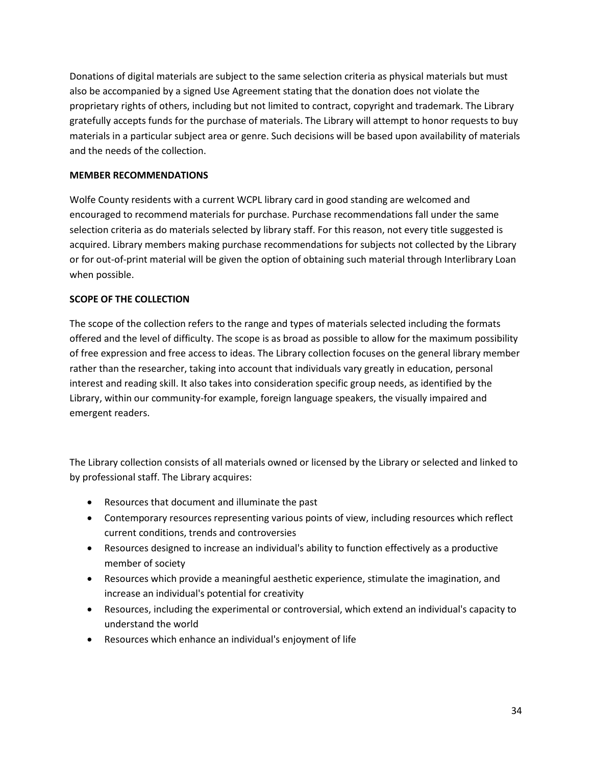Donations of digital materials are subject to the same selection criteria as physical materials but must also be accompanied by a signed Use Agreement stating that the donation does not violate the proprietary rights of others, including but not limited to contract, copyright and trademark. The Library gratefully accepts funds for the purchase of materials. The Library will attempt to honor requests to buy materials in a particular subject area or genre. Such decisions will be based upon availability of materials and the needs of the collection.

### **MEMBER RECOMMENDATIONS**

Wolfe County residents with a current WCPL library card in good standing are welcomed and encouraged to recommend materials for purchase. Purchase recommendations fall under the same selection criteria as do materials selected by library staff. For this reason, not every title suggested is acquired. Library members making purchase recommendations for subjects not collected by the Library or for out-of-print material will be given the option of obtaining such material through Interlibrary Loan when possible.

## **SCOPE OF THE COLLECTION**

The scope of the collection refers to the range and types of materials selected including the formats offered and the level of difficulty. The scope is as broad as possible to allow for the maximum possibility of free expression and free access to ideas. The Library collection focuses on the general library member rather than the researcher, taking into account that individuals vary greatly in education, personal interest and reading skill. It also takes into consideration specific group needs, as identified by the Library, within our community-for example, foreign language speakers, the visually impaired and emergent readers.

The Library collection consists of all materials owned or licensed by the Library or selected and linked to by professional staff. The Library acquires:

- Resources that document and illuminate the past
- Contemporary resources representing various points of view, including resources which reflect current conditions, trends and controversies
- Resources designed to increase an individual's ability to function effectively as a productive member of society
- Resources which provide a meaningful aesthetic experience, stimulate the imagination, and increase an individual's potential for creativity
- Resources, including the experimental or controversial, which extend an individual's capacity to understand the world
- Resources which enhance an individual's enjoyment of life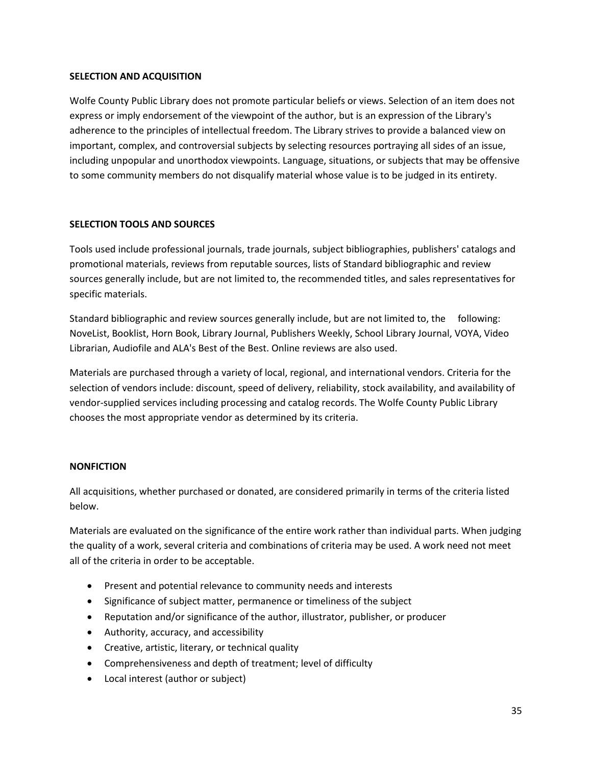### **SELECTION AND ACQUISITION**

Wolfe County Public Library does not promote particular beliefs or views. Selection of an item does not express or imply endorsement of the viewpoint of the author, but is an expression of the Library's adherence to the principles of intellectual freedom. The Library strives to provide a balanced view on important, complex, and controversial subjects by selecting resources portraying all sides of an issue, including unpopular and unorthodox viewpoints. Language, situations, or subjects that may be offensive to some community members do not disqualify material whose value is to be judged in its entirety.

### **SELECTION TOOLS AND SOURCES**

Tools used include professional journals, trade journals, subject bibliographies, publishers' catalogs and promotional materials, reviews from reputable sources, lists of Standard bibliographic and review sources generally include, but are not limited to, the recommended titles, and sales representatives for specific materials.

Standard bibliographic and review sources generally include, but are not limited to, the following: NoveList, Booklist, Horn Book, Library Journal, Publishers Weekly, School Library Journal, VOYA, Video Librarian, Audiofile and ALA's Best of the Best. Online reviews are also used.

Materials are purchased through a variety of local, regional, and international vendors. Criteria for the selection of vendors include: discount, speed of delivery, reliability, stock availability, and availability of vendor-supplied services including processing and catalog records. The Wolfe County Public Library chooses the most appropriate vendor as determined by its criteria.

### **NONFICTION**

All acquisitions, whether purchased or donated, are considered primarily in terms of the criteria listed below.

Materials are evaluated on the significance of the entire work rather than individual parts. When judging the quality of a work, several criteria and combinations of criteria may be used. A work need not meet all of the criteria in order to be acceptable.

- Present and potential relevance to community needs and interests
- Significance of subject matter, permanence or timeliness of the subject
- Reputation and/or significance of the author, illustrator, publisher, or producer
- Authority, accuracy, and accessibility
- Creative, artistic, literary, or technical quality
- Comprehensiveness and depth of treatment; level of difficulty
- Local interest (author or subject)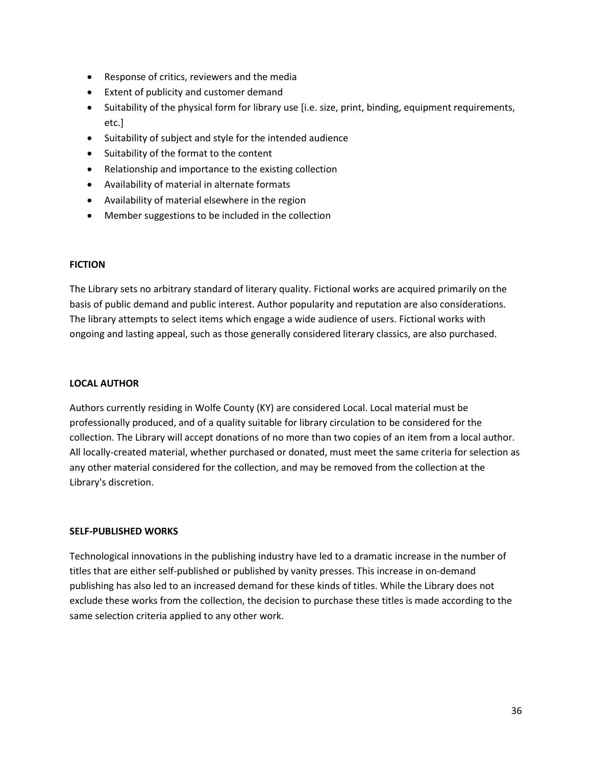- Response of critics, reviewers and the media
- Extent of publicity and customer demand
- Suitability of the physical form for library use [i.e. size, print, binding, equipment requirements, etc.]
- Suitability of subject and style for the intended audience
- Suitability of the format to the content
- Relationship and importance to the existing collection
- Availability of material in alternate formats
- Availability of material elsewhere in the region
- Member suggestions to be included in the collection

### **FICTION**

The Library sets no arbitrary standard of literary quality. Fictional works are acquired primarily on the basis of public demand and public interest. Author popularity and reputation are also considerations. The library attempts to select items which engage a wide audience of users. Fictional works with ongoing and lasting appeal, such as those generally considered literary classics, are also purchased.

### **LOCAL AUTHOR**

Authors currently residing in Wolfe County (KY) are considered Local. Local material must be professionally produced, and of a quality suitable for library circulation to be considered for the collection. The Library will accept donations of no more than two copies of an item from a local author. All locally-created material, whether purchased or donated, must meet the same criteria for selection as any other material considered for the collection, and may be removed from the collection at the Library's discretion.

### **SELF-PUBLISHED WORKS**

Technological innovations in the publishing industry have led to a dramatic increase in the number of titles that are either self-published or published by vanity presses. This increase in on-demand publishing has also led to an increased demand for these kinds of titles. While the Library does not exclude these works from the collection, the decision to purchase these titles is made according to the same selection criteria applied to any other work.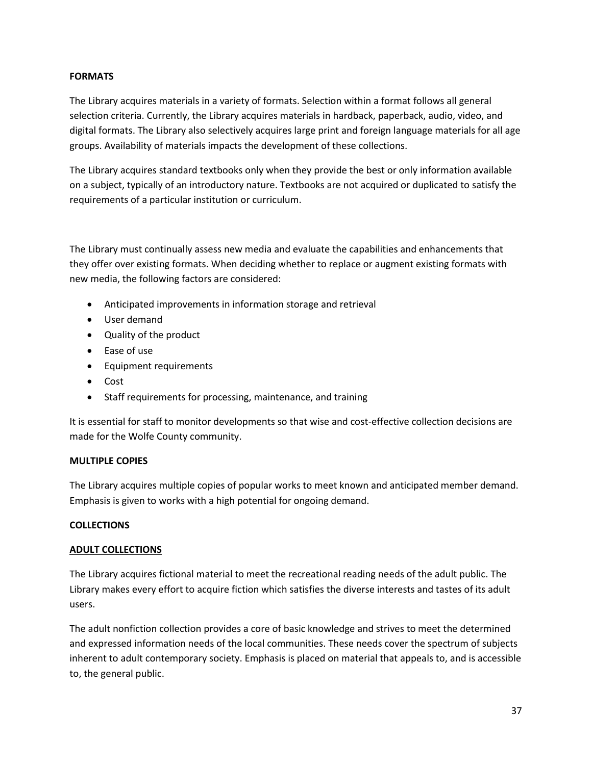# **FORMATS**

The Library acquires materials in a variety of formats. Selection within a format follows all general selection criteria. Currently, the Library acquires materials in hardback, paperback, audio, video, and digital formats. The Library also selectively acquires large print and foreign language materials for all age groups. Availability of materials impacts the development of these collections.

The Library acquires standard textbooks only when they provide the best or only information available on a subject, typically of an introductory nature. Textbooks are not acquired or duplicated to satisfy the requirements of a particular institution or curriculum.

The Library must continually assess new media and evaluate the capabilities and enhancements that they offer over existing formats. When deciding whether to replace or augment existing formats with new media, the following factors are considered:

- Anticipated improvements in information storage and retrieval
- User demand
- Quality of the product
- Ease of use
- Equipment requirements
- Cost
- Staff requirements for processing, maintenance, and training

It is essential for staff to monitor developments so that wise and cost-effective collection decisions are made for the Wolfe County community.

### **MULTIPLE COPIES**

The Library acquires multiple copies of popular works to meet known and anticipated member demand. Emphasis is given to works with a high potential for ongoing demand.

### **COLLECTIONS**

### **ADULT COLLECTIONS**

The Library acquires fictional material to meet the recreational reading needs of the adult public. The Library makes every effort to acquire fiction which satisfies the diverse interests and tastes of its adult users.

The adult nonfiction collection provides a core of basic knowledge and strives to meet the determined and expressed information needs of the local communities. These needs cover the spectrum of subjects inherent to adult contemporary society. Emphasis is placed on material that appeals to, and is accessible to, the general public.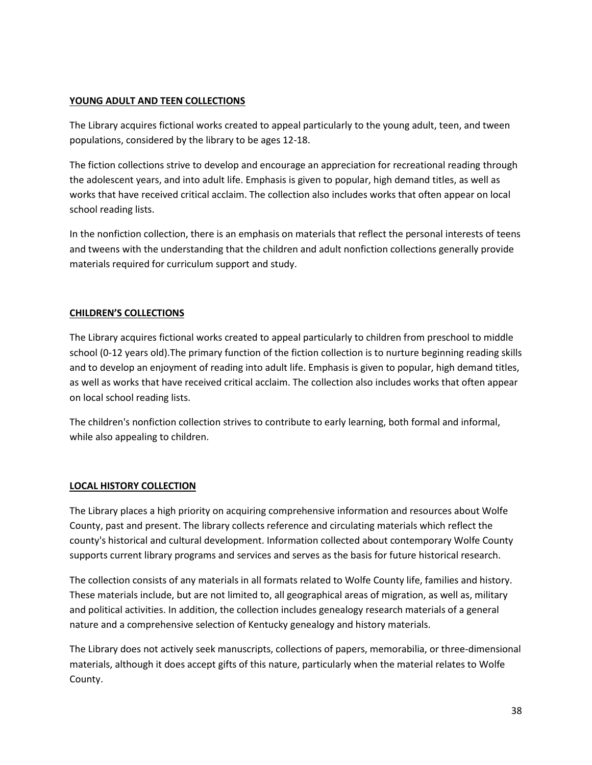# **YOUNG ADULT AND TEEN COLLECTIONS**

The Library acquires fictional works created to appeal particularly to the young adult, teen, and tween populations, considered by the library to be ages 12-18.

The fiction collections strive to develop and encourage an appreciation for recreational reading through the adolescent years, and into adult life. Emphasis is given to popular, high demand titles, as well as works that have received critical acclaim. The collection also includes works that often appear on local school reading lists.

In the nonfiction collection, there is an emphasis on materials that reflect the personal interests of teens and tweens with the understanding that the children and adult nonfiction collections generally provide materials required for curriculum support and study.

# **CHILDREN'S COLLECTIONS**

The Library acquires fictional works created to appeal particularly to children from preschool to middle school (0-12 years old).The primary function of the fiction collection is to nurture beginning reading skills and to develop an enjoyment of reading into adult life. Emphasis is given to popular, high demand titles, as well as works that have received critical acclaim. The collection also includes works that often appear on local school reading lists.

The children's nonfiction collection strives to contribute to early learning, both formal and informal, while also appealing to children.

# **LOCAL HISTORY COLLECTION**

The Library places a high priority on acquiring comprehensive information and resources about Wolfe County, past and present. The library collects reference and circulating materials which reflect the county's historical and cultural development. Information collected about contemporary Wolfe County supports current library programs and services and serves as the basis for future historical research.

The collection consists of any materials in all formats related to Wolfe County life, families and history. These materials include, but are not limited to, all geographical areas of migration, as well as, military and political activities. In addition, the collection includes genealogy research materials of a general nature and a comprehensive selection of Kentucky genealogy and history materials.

The Library does not actively seek manuscripts, collections of papers, memorabilia, or three-dimensional materials, although it does accept gifts of this nature, particularly when the material relates to Wolfe County.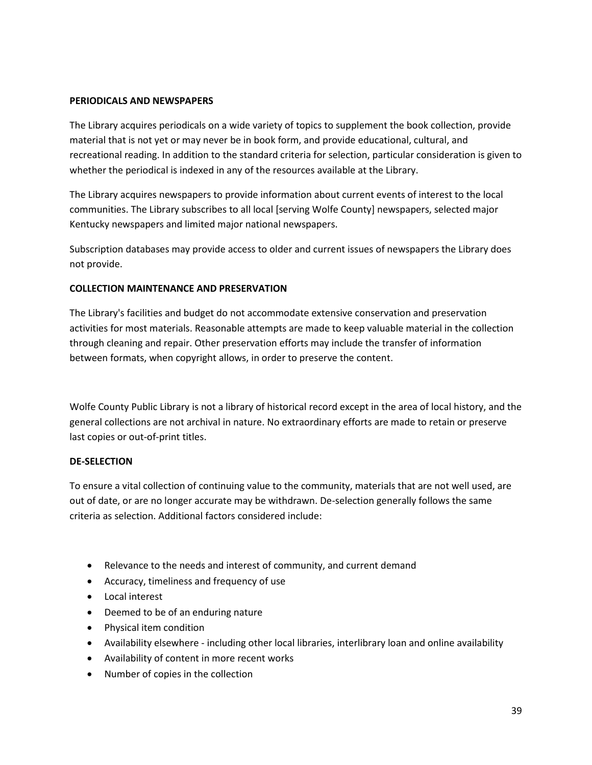#### **PERIODICALS AND NEWSPAPERS**

The Library acquires periodicals on a wide variety of topics to supplement the book collection, provide material that is not yet or may never be in book form, and provide educational, cultural, and recreational reading. In addition to the standard criteria for selection, particular consideration is given to whether the periodical is indexed in any of the resources available at the Library.

The Library acquires newspapers to provide information about current events of interest to the local communities. The Library subscribes to all local [serving Wolfe County] newspapers, selected major Kentucky newspapers and limited major national newspapers.

Subscription databases may provide access to older and current issues of newspapers the Library does not provide.

### **COLLECTION MAINTENANCE AND PRESERVATION**

The Library's facilities and budget do not accommodate extensive conservation and preservation activities for most materials. Reasonable attempts are made to keep valuable material in the collection through cleaning and repair. Other preservation efforts may include the transfer of information between formats, when copyright allows, in order to preserve the content.

Wolfe County Public Library is not a library of historical record except in the area of local history, and the general collections are not archival in nature. No extraordinary efforts are made to retain or preserve last copies or out-of-print titles.

### **DE-SELECTION**

To ensure a vital collection of continuing value to the community, materials that are not well used, are out of date, or are no longer accurate may be withdrawn. De-selection generally follows the same criteria as selection. Additional factors considered include:

- Relevance to the needs and interest of community, and current demand
- Accuracy, timeliness and frequency of use
- Local interest
- Deemed to be of an enduring nature
- Physical item condition
- Availability elsewhere including other local libraries, interlibrary loan and online availability
- Availability of content in more recent works
- Number of copies in the collection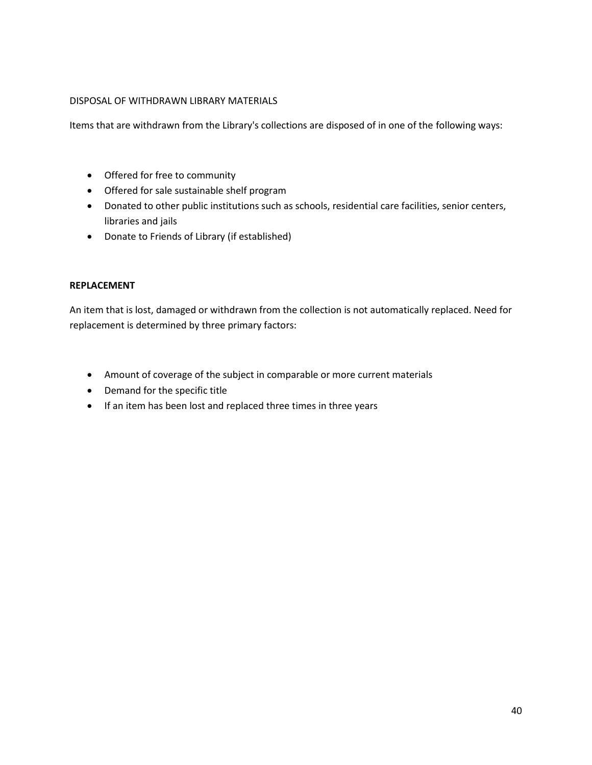### DISPOSAL OF WITHDRAWN LIBRARY MATERIALS

Items that are withdrawn from the Library's collections are disposed of in one of the following ways:

- Offered for free to community
- Offered for sale sustainable shelf program
- Donated to other public institutions such as schools, residential care facilities, senior centers, libraries and jails
- Donate to Friends of Library (if established)

#### **REPLACEMENT**

An item that is lost, damaged or withdrawn from the collection is not automatically replaced. Need for replacement is determined by three primary factors:

- Amount of coverage of the subject in comparable or more current materials
- Demand for the specific title
- If an item has been lost and replaced three times in three years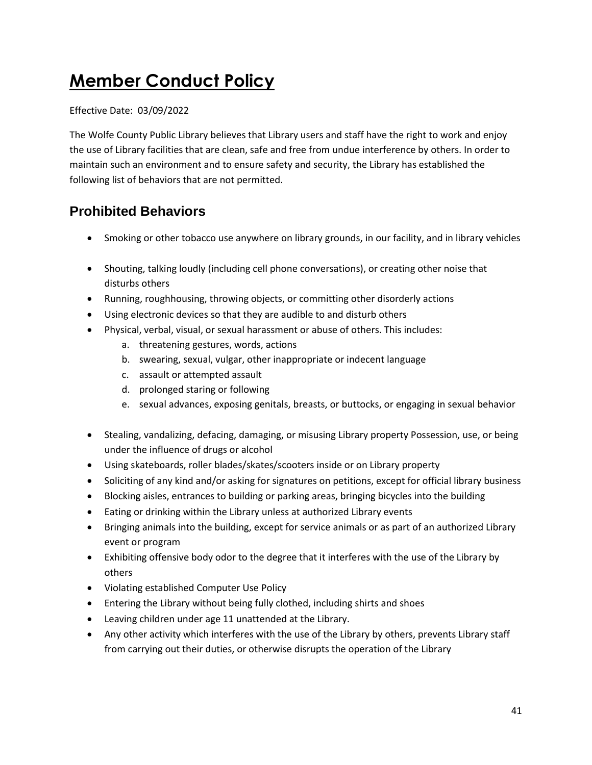# **Member Conduct Policy**

# Effective Date: 03/09/2022

The Wolfe County Public Library believes that Library users and staff have the right to work and enjoy the use of Library facilities that are clean, safe and free from undue interference by others. In order to maintain such an environment and to ensure safety and security, the Library has established the following list of behaviors that are not permitted.

# **Prohibited Behaviors**

- Smoking or other tobacco use anywhere on library grounds, in our facility, and in library vehicles
- Shouting, talking loudly (including cell phone conversations), or creating other noise that disturbs others
- Running, roughhousing, throwing objects, or committing other disorderly actions
- Using electronic devices so that they are audible to and disturb others
- Physical, verbal, visual, or sexual harassment or abuse of others. This includes:
	- a. threatening gestures, words, actions
	- b. swearing, sexual, vulgar, other inappropriate or indecent language
	- c. assault or attempted assault
	- d. prolonged staring or following
	- e. sexual advances, exposing genitals, breasts, or buttocks, or engaging in sexual behavior
- Stealing, vandalizing, defacing, damaging, or misusing Library property Possession, use, or being under the influence of drugs or alcohol
- Using skateboards, roller blades/skates/scooters inside or on Library property
- Soliciting of any kind and/or asking for signatures on petitions, except for official library business
- Blocking aisles, entrances to building or parking areas, bringing bicycles into the building
- Eating or drinking within the Library unless at authorized Library events
- Bringing animals into the building, except for service animals or as part of an authorized Library event or program
- Exhibiting offensive body odor to the degree that it interferes with the use of the Library by others
- Violating established Computer Use Policy
- Entering the Library without being fully clothed, including shirts and shoes
- Leaving children under age 11 unattended at the Library.
- Any other activity which interferes with the use of the Library by others, prevents Library staff from carrying out their duties, or otherwise disrupts the operation of the Library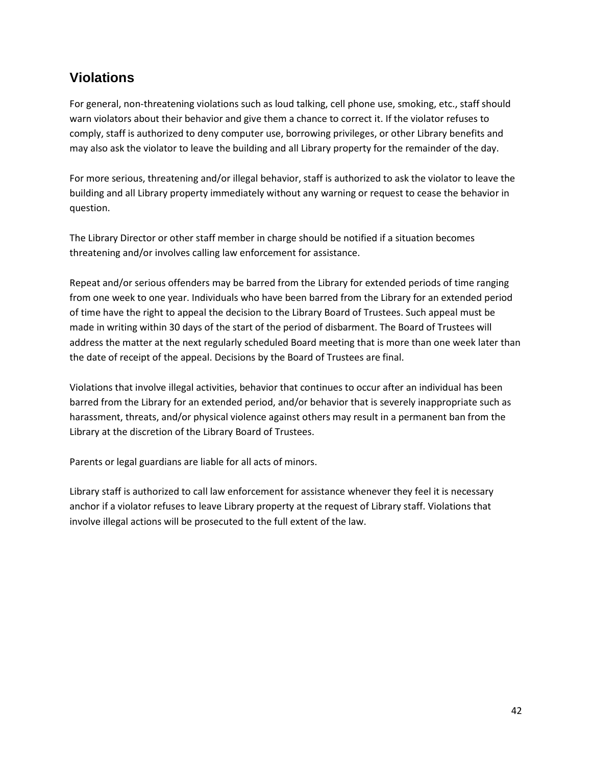# **Violations**

For general, non-threatening violations such as loud talking, cell phone use, smoking, etc., staff should warn violators about their behavior and give them a chance to correct it. If the violator refuses to comply, staff is authorized to deny computer use, borrowing privileges, or other Library benefits and may also ask the violator to leave the building and all Library property for the remainder of the day.

For more serious, threatening and/or illegal behavior, staff is authorized to ask the violator to leave the building and all Library property immediately without any warning or request to cease the behavior in question.

The Library Director or other staff member in charge should be notified if a situation becomes threatening and/or involves calling law enforcement for assistance.

Repeat and/or serious offenders may be barred from the Library for extended periods of time ranging from one week to one year. Individuals who have been barred from the Library for an extended period of time have the right to appeal the decision to the Library Board of Trustees. Such appeal must be made in writing within 30 days of the start of the period of disbarment. The Board of Trustees will address the matter at the next regularly scheduled Board meeting that is more than one week later than the date of receipt of the appeal. Decisions by the Board of Trustees are final.

Violations that involve illegal activities, behavior that continues to occur after an individual has been barred from the Library for an extended period, and/or behavior that is severely inappropriate such as harassment, threats, and/or physical violence against others may result in a permanent ban from the Library at the discretion of the Library Board of Trustees.

Parents or legal guardians are liable for all acts of minors.

Library staff is authorized to call law enforcement for assistance whenever they feel it is necessary anchor if a violator refuses to leave Library property at the request of Library staff. Violations that involve illegal actions will be prosecuted to the full extent of the law.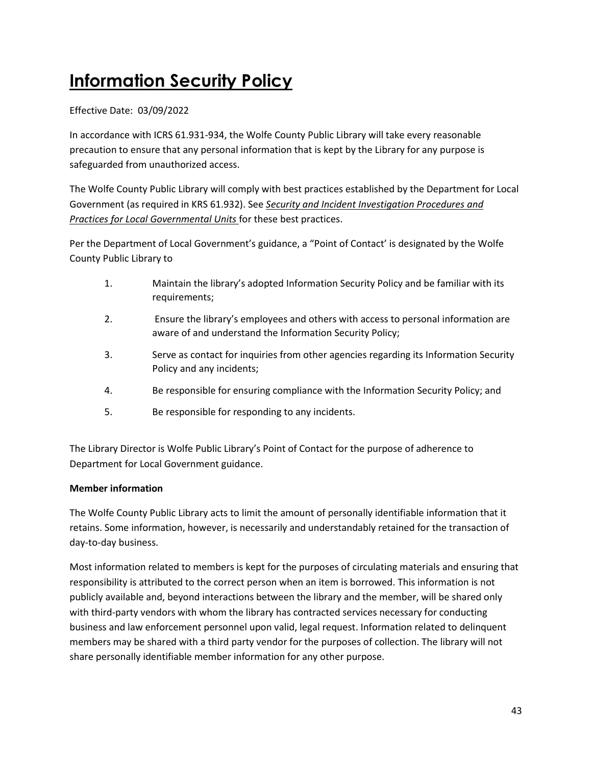# **Information Security Policy**

Effective Date: 03/09/2022

In accordance with ICRS 61.931-934, the Wolfe County Public Library will take every reasonable precaution to ensure that any personal information that is kept by the Library for any purpose is safeguarded from unauthorized access.

The Wolfe County Public Library will comply with best practices established by the Department for Local Government (as required in KRS 61.932). See *Security and Incident Investigation Procedures and Practices for Local Governmental Units* for these best practices.

Per the Department of Local Government's guidance, a "Point of Contact' is designated by the Wolfe County Public Library to

- 1. Maintain the library's adopted Information Security Policy and be familiar with its requirements;
- 2. Ensure the library's employees and others with access to personal information are aware of and understand the Information Security Policy;
- 3. Serve as contact for inquiries from other agencies regarding its Information Security Policy and any incidents;
- 4. Be responsible for ensuring compliance with the Information Security Policy; and
- 5. Be responsible for responding to any incidents.

The Library Director is Wolfe Public Library's Point of Contact for the purpose of adherence to Department for Local Government guidance.

# **Member information**

The Wolfe County Public Library acts to limit the amount of personally identifiable information that it retains. Some information, however, is necessarily and understandably retained for the transaction of day-to-day business.

Most information related to members is kept for the purposes of circulating materials and ensuring that responsibility is attributed to the correct person when an item is borrowed. This information is not publicly available and, beyond interactions between the library and the member, will be shared only with third-party vendors with whom the library has contracted services necessary for conducting business and law enforcement personnel upon valid, legal request. Information related to delinquent members may be shared with a third party vendor for the purposes of collection. The library will not share personally identifiable member information for any other purpose.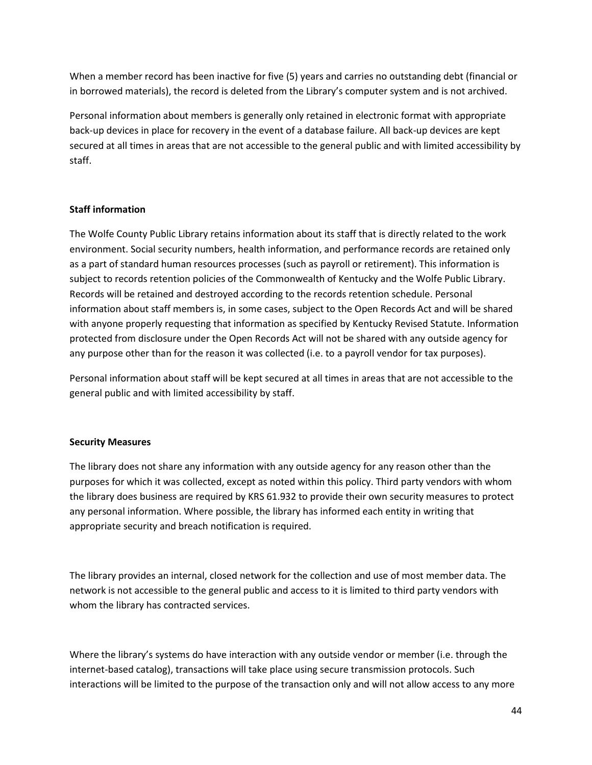When a member record has been inactive for five (5) years and carries no outstanding debt (financial or in borrowed materials), the record is deleted from the Library's computer system and is not archived.

Personal information about members is generally only retained in electronic format with appropriate back-up devices in place for recovery in the event of a database failure. All back-up devices are kept secured at all times in areas that are not accessible to the general public and with limited accessibility by staff.

# **Staff information**

The Wolfe County Public Library retains information about its staff that is directly related to the work environment. Social security numbers, health information, and performance records are retained only as a part of standard human resources processes (such as payroll or retirement). This information is subject to records retention policies of the Commonwealth of Kentucky and the Wolfe Public Library. Records will be retained and destroyed according to the records retention schedule. Personal information about staff members is, in some cases, subject to the Open Records Act and will be shared with anyone properly requesting that information as specified by Kentucky Revised Statute. Information protected from disclosure under the Open Records Act will not be shared with any outside agency for any purpose other than for the reason it was collected (i.e. to a payroll vendor for tax purposes).

Personal information about staff will be kept secured at all times in areas that are not accessible to the general public and with limited accessibility by staff.

### **Security Measures**

The library does not share any information with any outside agency for any reason other than the purposes for which it was collected, except as noted within this policy. Third party vendors with whom the library does business are required by KRS 61.932 to provide their own security measures to protect any personal information. Where possible, the library has informed each entity in writing that appropriate security and breach notification is required.

The library provides an internal, closed network for the collection and use of most member data. The network is not accessible to the general public and access to it is limited to third party vendors with whom the library has contracted services.

Where the library's systems do have interaction with any outside vendor or member (i.e. through the internet-based catalog), transactions will take place using secure transmission protocols. Such interactions will be limited to the purpose of the transaction only and will not allow access to any more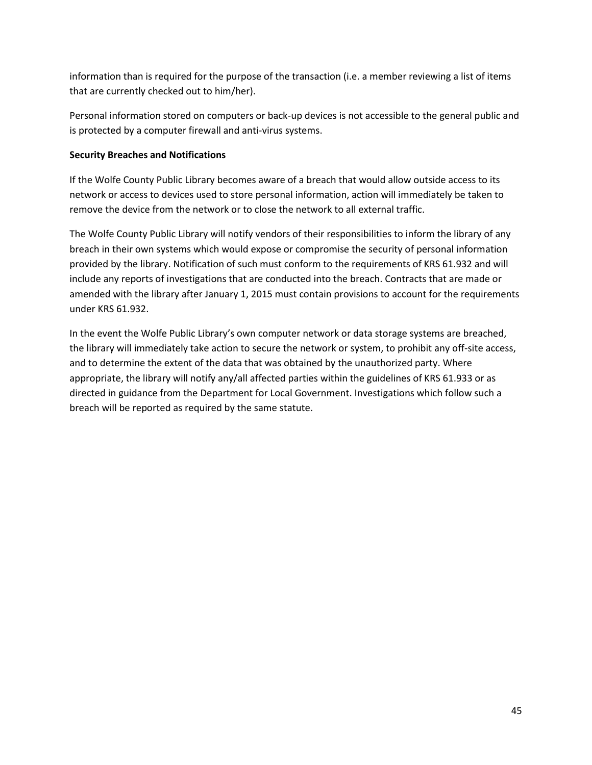information than is required for the purpose of the transaction (i.e. a member reviewing a list of items that are currently checked out to him/her).

Personal information stored on computers or back-up devices is not accessible to the general public and is protected by a computer firewall and anti-virus systems.

# **Security Breaches and Notifications**

If the Wolfe County Public Library becomes aware of a breach that would allow outside access to its network or access to devices used to store personal information, action will immediately be taken to remove the device from the network or to close the network to all external traffic.

The Wolfe County Public Library will notify vendors of their responsibilities to inform the library of any breach in their own systems which would expose or compromise the security of personal information provided by the library. Notification of such must conform to the requirements of KRS 61.932 and will include any reports of investigations that are conducted into the breach. Contracts that are made or amended with the library after January 1, 2015 must contain provisions to account for the requirements under KRS 61.932.

In the event the Wolfe Public Library's own computer network or data storage systems are breached, the library will immediately take action to secure the network or system, to prohibit any off-site access, and to determine the extent of the data that was obtained by the unauthorized party. Where appropriate, the library will notify any/all affected parties within the guidelines of KRS 61.933 or as directed in guidance from the Department for Local Government. Investigations which follow such a breach will be reported as required by the same statute.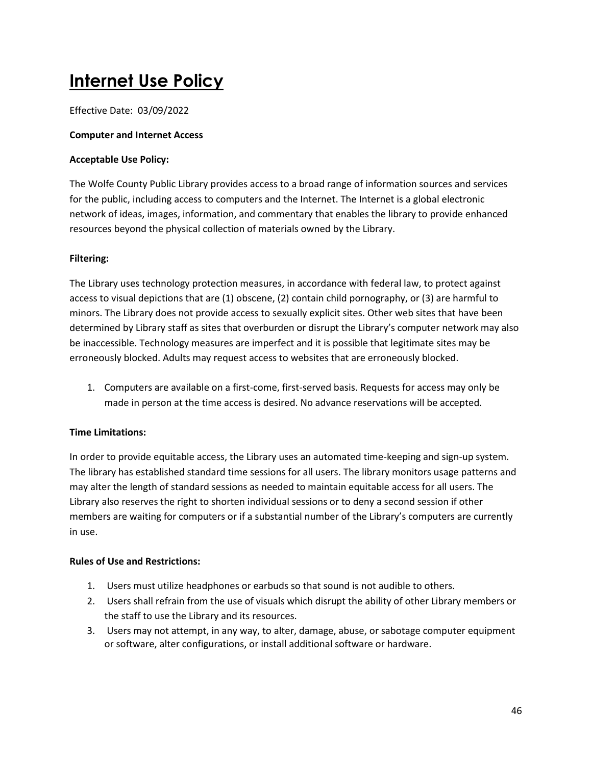# **Internet Use Policy**

Effective Date: 03/09/2022

# **Computer and Internet Access**

# **Acceptable Use Policy:**

The Wolfe County Public Library provides access to a broad range of information sources and services for the public, including access to computers and the Internet. The Internet is a global electronic network of ideas, images, information, and commentary that enables the library to provide enhanced resources beyond the physical collection of materials owned by the Library.

# **Filtering:**

The Library uses technology protection measures, in accordance with federal law, to protect against access to visual depictions that are (1) obscene, (2) contain child pornography, or (3) are harmful to minors. The Library does not provide access to sexually explicit sites. Other web sites that have been determined by Library staff as sites that overburden or disrupt the Library's computer network may also be inaccessible. Technology measures are imperfect and it is possible that legitimate sites may be erroneously blocked. Adults may request access to websites that are erroneously blocked.

1. Computers are available on a first-come, first-served basis. Requests for access may only be made in person at the time access is desired. No advance reservations will be accepted.

# **Time Limitations:**

In order to provide equitable access, the Library uses an automated time-keeping and sign-up system. The library has established standard time sessions for all users. The library monitors usage patterns and may alter the length of standard sessions as needed to maintain equitable access for all users. The Library also reserves the right to shorten individual sessions or to deny a second session if other members are waiting for computers or if a substantial number of the Library's computers are currently in use.

# **Rules of Use and Restrictions:**

- 1. Users must utilize headphones or earbuds so that sound is not audible to others.
- 2. Users shall refrain from the use of visuals which disrupt the ability of other Library members or the staff to use the Library and its resources.
- 3. Users may not attempt, in any way, to alter, damage, abuse, or sabotage computer equipment or software, alter configurations, or install additional software or hardware.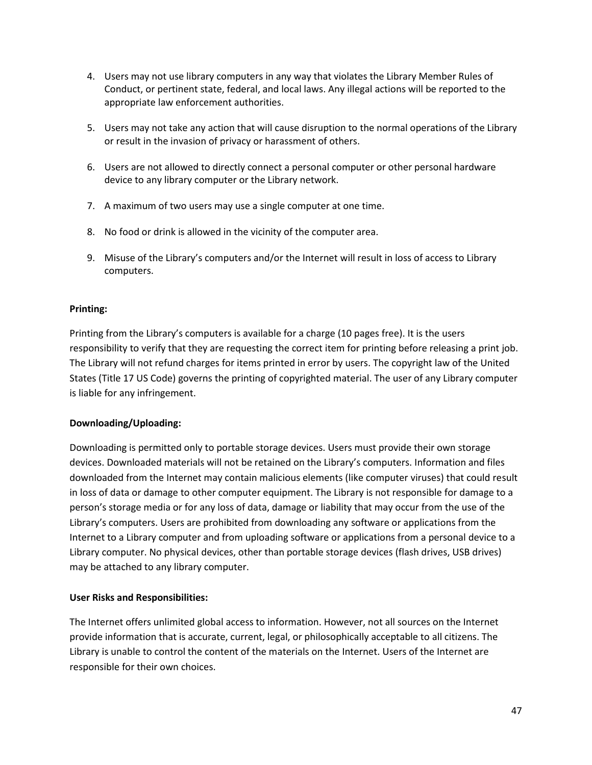- 4. Users may not use library computers in any way that violates the Library Member Rules of Conduct, or pertinent state, federal, and local laws. Any illegal actions will be reported to the appropriate law enforcement authorities.
- 5. Users may not take any action that will cause disruption to the normal operations of the Library or result in the invasion of privacy or harassment of others.
- 6. Users are not allowed to directly connect a personal computer or other personal hardware device to any library computer or the Library network.
- 7. A maximum of two users may use a single computer at one time.
- 8. No food or drink is allowed in the vicinity of the computer area.
- 9. Misuse of the Library's computers and/or the Internet will result in loss of access to Library computers.

### **Printing:**

Printing from the Library's computers is available for a charge (10 pages free). It is the users responsibility to verify that they are requesting the correct item for printing before releasing a print job. The Library will not refund charges for items printed in error by users. The copyright law of the United States (Title 17 US Code) governs the printing of copyrighted material. The user of any Library computer is liable for any infringement.

### **Downloading/Uploading:**

Downloading is permitted only to portable storage devices. Users must provide their own storage devices. Downloaded materials will not be retained on the Library's computers. Information and files downloaded from the Internet may contain malicious elements (like computer viruses) that could result in loss of data or damage to other computer equipment. The Library is not responsible for damage to a person's storage media or for any loss of data, damage or liability that may occur from the use of the Library's computers. Users are prohibited from downloading any software or applications from the Internet to a Library computer and from uploading software or applications from a personal device to a Library computer. No physical devices, other than portable storage devices (flash drives, USB drives) may be attached to any library computer.

### **User Risks and Responsibilities:**

The Internet offers unlimited global access to information. However, not all sources on the Internet provide information that is accurate, current, legal, or philosophically acceptable to all citizens. The Library is unable to control the content of the materials on the Internet. Users of the Internet are responsible for their own choices.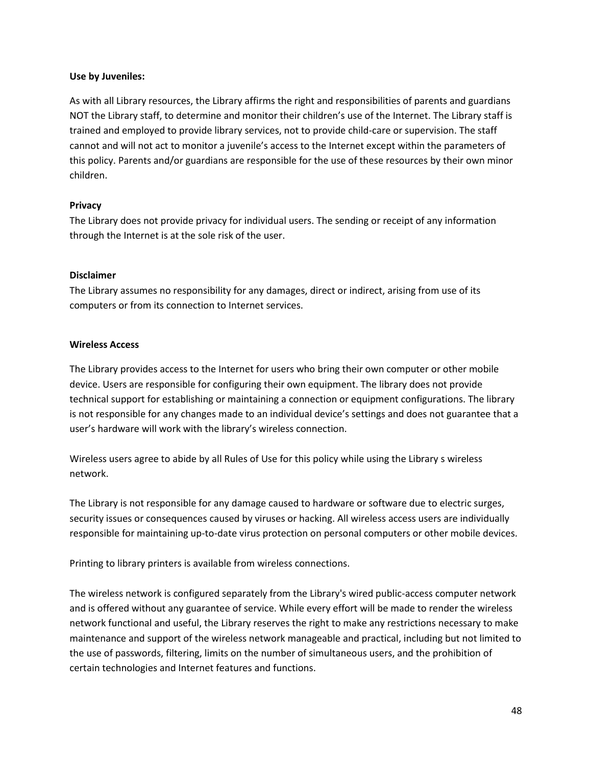#### **Use by Juveniles:**

As with all Library resources, the Library affirms the right and responsibilities of parents and guardians NOT the Library staff, to determine and monitor their children's use of the Internet. The Library staff is trained and employed to provide library services, not to provide child-care or supervision. The staff cannot and will not act to monitor a juvenile's access to the Internet except within the parameters of this policy. Parents and/or guardians are responsible for the use of these resources by their own minor children.

### **Privacy**

The Library does not provide privacy for individual users. The sending or receipt of any information through the Internet is at the sole risk of the user.

#### **Disclaimer**

The Library assumes no responsibility for any damages, direct or indirect, arising from use of its computers or from its connection to Internet services.

#### **Wireless Access**

The Library provides access to the Internet for users who bring their own computer or other mobile device. Users are responsible for configuring their own equipment. The library does not provide technical support for establishing or maintaining a connection or equipment configurations. The library is not responsible for any changes made to an individual device's settings and does not guarantee that a user's hardware will work with the library's wireless connection.

Wireless users agree to abide by all Rules of Use for this policy while using the Library s wireless network.

The Library is not responsible for any damage caused to hardware or software due to electric surges, security issues or consequences caused by viruses or hacking. All wireless access users are individually responsible for maintaining up-to-date virus protection on personal computers or other mobile devices.

Printing to library printers is available from wireless connections.

The wireless network is configured separately from the Library's wired public-access computer network and is offered without any guarantee of service. While every effort will be made to render the wireless network functional and useful, the Library reserves the right to make any restrictions necessary to make maintenance and support of the wireless network manageable and practical, including but not limited to the use of passwords, filtering, limits on the number of simultaneous users, and the prohibition of certain technologies and Internet features and functions.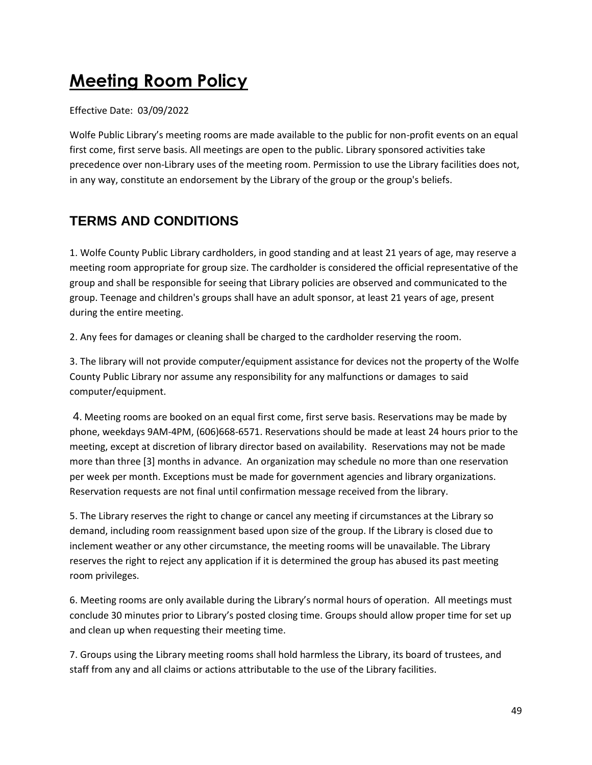# **Meeting Room Policy**

Effective Date: 03/09/2022

Wolfe Public Library's meeting rooms are made available to the public for non-profit events on an equal first come, first serve basis. All meetings are open to the public. Library sponsored activities take precedence over non‐Library uses of the meeting room. Permission to use the Library facilities does not, in any way, constitute an endorsement by the Library of the group or the group's beliefs.

# **TERMS AND CONDITIONS**

1. Wolfe County Public Library cardholders, in good standing and at least 21 years of age, may reserve a meeting room appropriate for group size. The cardholder is considered the official representative of the group and shall be responsible for seeing that Library policies are observed and communicated to the group. Teenage and children's groups shall have an adult sponsor, at least 21 years of age, present during the entire meeting.

2. Any fees for damages or cleaning shall be charged to the cardholder reserving the room.

3. The library will not provide computer/equipment assistance for devices not the property of the Wolfe County Public Library nor assume any responsibility for any malfunctions or damages to said computer/equipment.

4. Meeting rooms are booked on an equal first come, first serve basis. Reservations may be made by phone, weekdays 9AM-4PM, (606)668-6571. Reservations should be made at least 24 hours prior to the meeting, except at discretion of library director based on availability. Reservations may not be made more than three [3] months in advance. An organization may schedule no more than one reservation per week per month. Exceptions must be made for government agencies and library organizations. Reservation requests are not final until confirmation message received from the library.

5. The Library reserves the right to change or cancel any meeting if circumstances at the Library so demand, including room reassignment based upon size of the group. If the Library is closed due to inclement weather or any other circumstance, the meeting rooms will be unavailable. The Library reserves the right to reject any application if it is determined the group has abused its past meeting room privileges.

6. Meeting rooms are only available during the Library's normal hours of operation. All meetings must conclude 30 minutes prior to Library's posted closing time. Groups should allow proper time for set up and clean up when requesting their meeting time.

7. Groups using the Library meeting rooms shall hold harmless the Library, its board of trustees, and staff from any and all claims or actions attributable to the use of the Library facilities.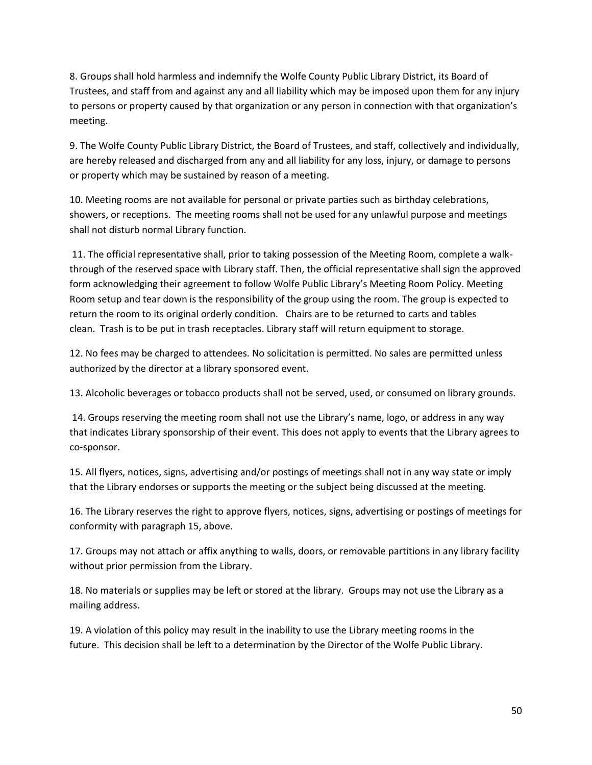8. Groups shall hold harmless and indemnify the Wolfe County Public Library District, its Board of Trustees, and staff from and against any and all liability which may be imposed upon them for any injury to persons or property caused by that organization or any person in connection with that organization's meeting.

9. The Wolfe County Public Library District, the Board of Trustees, and staff, collectively and individually, are hereby released and discharged from any and all liability for any loss, injury, or damage to persons or property which may be sustained by reason of a meeting.

10. Meeting rooms are not available for personal or private parties such as birthday celebrations, showers, or receptions. The meeting rooms shall not be used for any unlawful purpose and meetings shall not disturb normal Library function.

11. The official representative shall, prior to taking possession of the Meeting Room, complete a walkthrough of the reserved space with Library staff. Then, the official representative shall sign the approved form acknowledging their agreement to follow Wolfe Public Library's Meeting Room Policy. Meeting Room setup and tear down is the responsibility of the group using the room. The group is expected to return the room to its original orderly condition. Chairs are to be returned to carts and tables clean. Trash is to be put in trash receptacles. Library staff will return equipment to storage.

12. No fees may be charged to attendees. No solicitation is permitted. No sales are permitted unless authorized by the director at a library sponsored event.

13. Alcoholic beverages or tobacco products shall not be served, used, or consumed on library grounds.

14. Groups reserving the meeting room shall not use the Library's name, logo, or address in any way that indicates Library sponsorship of their event. This does not apply to events that the Library agrees to co‐sponsor.

15. All flyers, notices, signs, advertising and/or postings of meetings shall not in any way state or imply that the Library endorses or supports the meeting or the subject being discussed at the meeting.

16. The Library reserves the right to approve flyers, notices, signs, advertising or postings of meetings for conformity with paragraph 15, above.

17. Groups may not attach or affix anything to walls, doors, or removable partitions in any library facility without prior permission from the Library.

18. No materials or supplies may be left or stored at the library. Groups may not use the Library as a mailing address.

19. A violation of this policy may result in the inability to use the Library meeting rooms in the future. This decision shall be left to a determination by the Director of the Wolfe Public Library.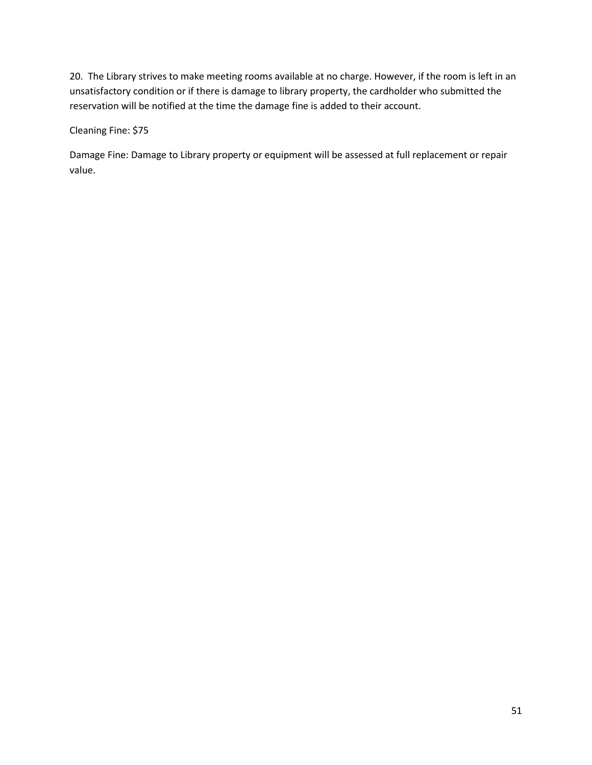20. The Library strives to make meeting rooms available at no charge. However, if the room is left in an unsatisfactory condition or if there is damage to library property, the cardholder who submitted the reservation will be notified at the time the damage fine is added to their account.

Cleaning Fine: \$75

Damage Fine: Damage to Library property or equipment will be assessed at full replacement or repair value.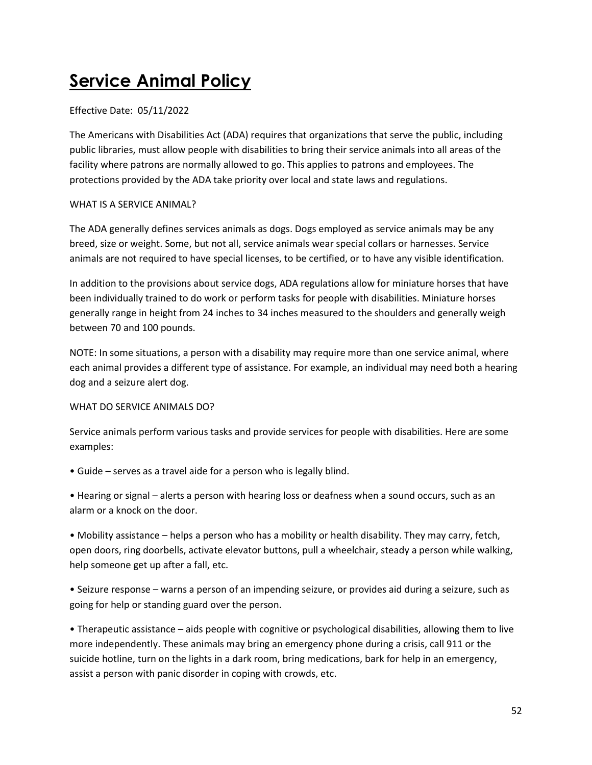# **Service Animal Policy**

# Effective Date: 05/11/2022

The Americans with Disabilities Act (ADA) requires that organizations that serve the public, including public libraries, must allow people with disabilities to bring their service animals into all areas of the facility where patrons are normally allowed to go. This applies to patrons and employees. The protections provided by the ADA take priority over local and state laws and regulations.

# WHAT IS A SERVICE ANIMAL?

The ADA generally defines services animals as dogs. Dogs employed as service animals may be any breed, size or weight. Some, but not all, service animals wear special collars or harnesses. Service animals are not required to have special licenses, to be certified, or to have any visible identification.

In addition to the provisions about service dogs, ADA regulations allow for miniature horses that have been individually trained to do work or perform tasks for people with disabilities. Miniature horses generally range in height from 24 inches to 34 inches measured to the shoulders and generally weigh between 70 and 100 pounds.

NOTE: In some situations, a person with a disability may require more than one service animal, where each animal provides a different type of assistance. For example, an individual may need both a hearing dog and a seizure alert dog.

# WHAT DO SERVICE ANIMALS DO?

Service animals perform various tasks and provide services for people with disabilities. Here are some examples:

• Guide – serves as a travel aide for a person who is legally blind.

• Hearing or signal – alerts a person with hearing loss or deafness when a sound occurs, such as an alarm or a knock on the door.

• Mobility assistance – helps a person who has a mobility or health disability. They may carry, fetch, open doors, ring doorbells, activate elevator buttons, pull a wheelchair, steady a person while walking, help someone get up after a fall, etc.

• Seizure response – warns a person of an impending seizure, or provides aid during a seizure, such as going for help or standing guard over the person.

• Therapeutic assistance – aids people with cognitive or psychological disabilities, allowing them to live more independently. These animals may bring an emergency phone during a crisis, call 911 or the suicide hotline, turn on the lights in a dark room, bring medications, bark for help in an emergency, assist a person with panic disorder in coping with crowds, etc.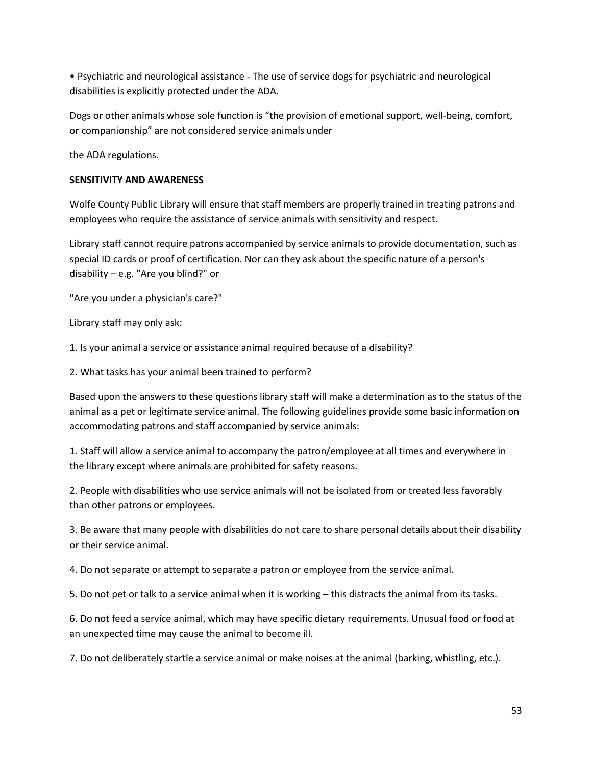• Psychiatric and neurological assistance - The use of service dogs for psychiatric and neurological disabilities is explicitly protected under the ADA.

Dogs or other animals whose sole function is "the provision of emotional support, well-being, comfort, or companionship" are not considered service animals under

the ADA regulations.

# **SENSITIVITY AND AWARENESS**

Wolfe County Public Library will ensure that staff members are properly trained in treating patrons and employees who require the assistance of service animals with sensitivity and respect.

Library staff cannot require patrons accompanied by service animals to provide documentation, such as special ID cards or proof of certification. Nor can they ask about the specific nature of a person's disability – e.g. "Are you blind?" or

"Are you under a physician's care?"

Library staff may only ask:

1. Is your animal a service or assistance animal required because of a disability?

2. What tasks has your animal been trained to perform?

Based upon the answers to these questions library staff will make a determination as to the status of the animal as a pet or legitimate service animal. The following guidelines provide some basic information on accommodating patrons and staff accompanied by service animals:

1. Staff will allow a service animal to accompany the patron/employee at all times and everywhere in the library except where animals are prohibited for safety reasons.

2. People with disabilities who use service animals will not be isolated from or treated less favorably than other patrons or employees.

3. Be aware that many people with disabilities do not care to share personal details about their disability or their service animal.

4. Do not separate or attempt to separate a patron or employee from the service animal.

5. Do not pet or talk to a service animal when it is working – this distracts the animal from its tasks.

6. Do not feed a service animal, which may have specific dietary requirements. Unusual food or food at an unexpected time may cause the animal to become ill.

7. Do not deliberately startle a service animal or make noises at the animal (barking, whistling, etc.).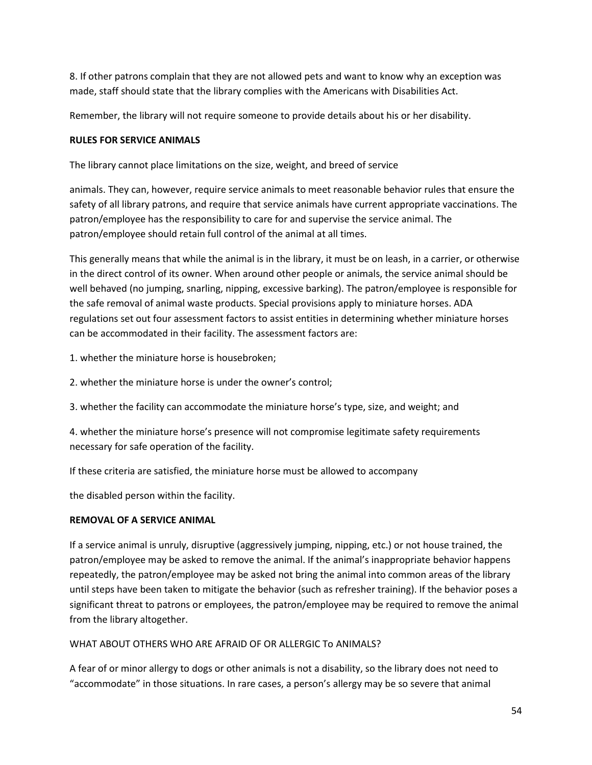8. If other patrons complain that they are not allowed pets and want to know why an exception was made, staff should state that the library complies with the Americans with Disabilities Act.

Remember, the library will not require someone to provide details about his or her disability.

# **RULES FOR SERVICE ANIMALS**

The library cannot place limitations on the size, weight, and breed of service

animals. They can, however, require service animals to meet reasonable behavior rules that ensure the safety of all library patrons, and require that service animals have current appropriate vaccinations. The patron/employee has the responsibility to care for and supervise the service animal. The patron/employee should retain full control of the animal at all times.

This generally means that while the animal is in the library, it must be on leash, in a carrier, or otherwise in the direct control of its owner. When around other people or animals, the service animal should be well behaved (no jumping, snarling, nipping, excessive barking). The patron/employee is responsible for the safe removal of animal waste products. Special provisions apply to miniature horses. ADA regulations set out four assessment factors to assist entities in determining whether miniature horses can be accommodated in their facility. The assessment factors are:

1. whether the miniature horse is housebroken;

2. whether the miniature horse is under the owner's control;

3. whether the facility can accommodate the miniature horse's type, size, and weight; and

4. whether the miniature horse's presence will not compromise legitimate safety requirements necessary for safe operation of the facility.

If these criteria are satisfied, the miniature horse must be allowed to accompany

the disabled person within the facility.

### **REMOVAL OF A SERVICE ANIMAL**

If a service animal is unruly, disruptive (aggressively jumping, nipping, etc.) or not house trained, the patron/employee may be asked to remove the animal. If the animal's inappropriate behavior happens repeatedly, the patron/employee may be asked not bring the animal into common areas of the library until steps have been taken to mitigate the behavior (such as refresher training). If the behavior poses a significant threat to patrons or employees, the patron/employee may be required to remove the animal from the library altogether.

### WHAT ABOUT OTHERS WHO ARE AFRAID OF OR ALLERGIC To ANIMALS?

A fear of or minor allergy to dogs or other animals is not a disability, so the library does not need to "accommodate" in those situations. In rare cases, a person's allergy may be so severe that animal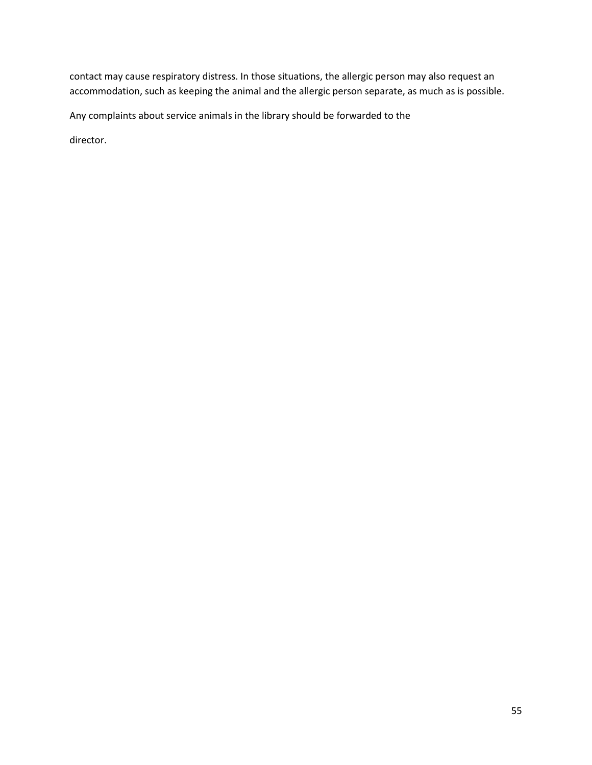contact may cause respiratory distress. In those situations, the allergic person may also request an accommodation, such as keeping the animal and the allergic person separate, as much as is possible.

Any complaints about service animals in the library should be forwarded to the

director.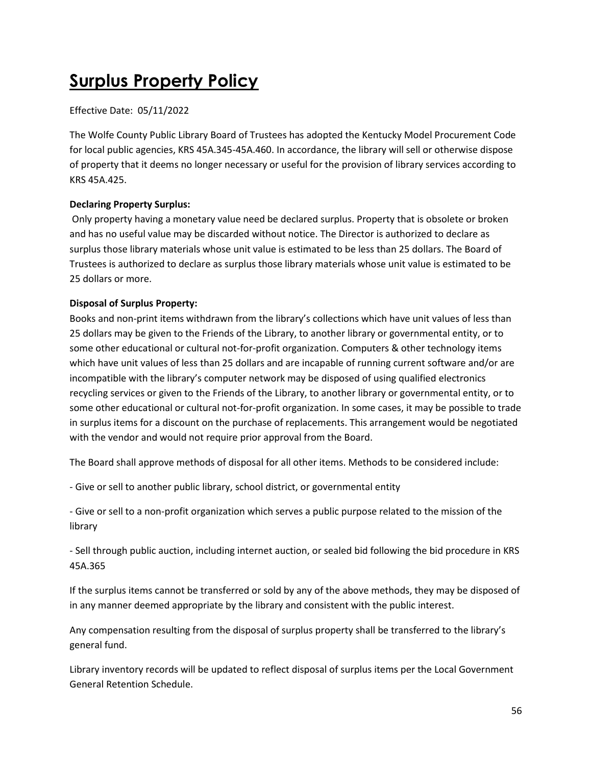# **Surplus Property Policy**

# Effective Date: 05/11/2022

The Wolfe County Public Library Board of Trustees has adopted the Kentucky Model Procurement Code for local public agencies, KRS 45A.345-45A.460. In accordance, the library will sell or otherwise dispose of property that it deems no longer necessary or useful for the provision of library services according to KRS 45A.425.

# **Declaring Property Surplus:**

Only property having a monetary value need be declared surplus. Property that is obsolete or broken and has no useful value may be discarded without notice. The Director is authorized to declare as surplus those library materials whose unit value is estimated to be less than 25 dollars. The Board of Trustees is authorized to declare as surplus those library materials whose unit value is estimated to be 25 dollars or more.

# **Disposal of Surplus Property:**

Books and non-print items withdrawn from the library's collections which have unit values of less than 25 dollars may be given to the Friends of the Library, to another library or governmental entity, or to some other educational or cultural not-for-profit organization. Computers & other technology items which have unit values of less than 25 dollars and are incapable of running current software and/or are incompatible with the library's computer network may be disposed of using qualified electronics recycling services or given to the Friends of the Library, to another library or governmental entity, or to some other educational or cultural not-for-profit organization. In some cases, it may be possible to trade in surplus items for a discount on the purchase of replacements. This arrangement would be negotiated with the vendor and would not require prior approval from the Board.

The Board shall approve methods of disposal for all other items. Methods to be considered include:

- Give or sell to another public library, school district, or governmental entity

- Give or sell to a non-profit organization which serves a public purpose related to the mission of the library

- Sell through public auction, including internet auction, or sealed bid following the bid procedure in KRS 45A.365

If the surplus items cannot be transferred or sold by any of the above methods, they may be disposed of in any manner deemed appropriate by the library and consistent with the public interest.

Any compensation resulting from the disposal of surplus property shall be transferred to the library's general fund.

Library inventory records will be updated to reflect disposal of surplus items per the Local Government General Retention Schedule.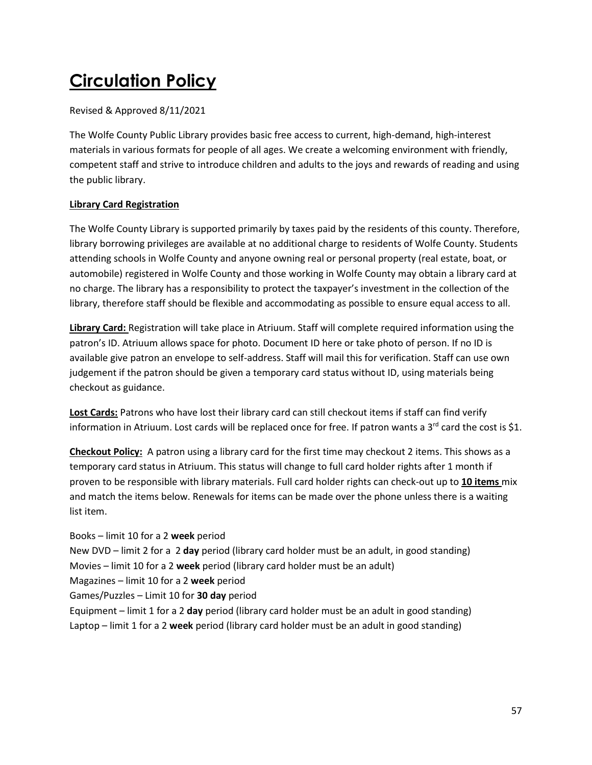# **Circulation Policy**

# Revised & Approved 8/11/2021

The Wolfe County Public Library provides basic free access to current, high-demand, high-interest materials in various formats for people of all ages. We create a welcoming environment with friendly, competent staff and strive to introduce children and adults to the joys and rewards of reading and using the public library.

# **Library Card Registration**

The Wolfe County Library is supported primarily by taxes paid by the residents of this county. Therefore, library borrowing privileges are available at no additional charge to residents of Wolfe County. Students attending schools in Wolfe County and anyone owning real or personal property (real estate, boat, or automobile) registered in Wolfe County and those working in Wolfe County may obtain a library card at no charge. The library has a responsibility to protect the taxpayer's investment in the collection of the library, therefore staff should be flexible and accommodating as possible to ensure equal access to all.

**Library Card:** Registration will take place in Atriuum. Staff will complete required information using the patron's ID. Atriuum allows space for photo. Document ID here or take photo of person. If no ID is available give patron an envelope to self-address. Staff will mail this for verification. Staff can use own judgement if the patron should be given a temporary card status without ID, using materials being checkout as guidance.

**Lost Cards:** Patrons who have lost their library card can still checkout items if staff can find verify information in Atriuum. Lost cards will be replaced once for free. If patron wants a  $3^{rd}$  card the cost is \$1.

**Checkout Policy:** A patron using a library card for the first time may checkout 2 items. This shows as a temporary card status in Atriuum. This status will change to full card holder rights after 1 month if proven to be responsible with library materials. Full card holder rights can check-out up to **10 items** mix and match the items below. Renewals for items can be made over the phone unless there is a waiting list item.

Books – limit 10 for a 2 **week** period New DVD – limit 2 for a 2 **day** period (library card holder must be an adult, in good standing) Movies – limit 10 for a 2 **week** period (library card holder must be an adult) Magazines – limit 10 for a 2 **week** period Games/Puzzles – Limit 10 for **30 day** period Equipment – limit 1 for a 2 **day** period (library card holder must be an adult in good standing) Laptop – limit 1 for a 2 **week** period (library card holder must be an adult in good standing)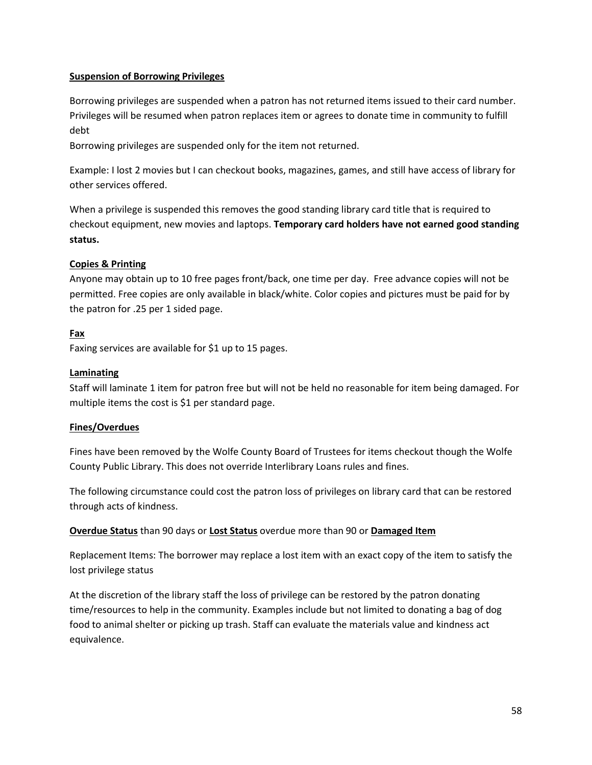### **Suspension of Borrowing Privileges**

Borrowing privileges are suspended when a patron has not returned items issued to their card number. Privileges will be resumed when patron replaces item or agrees to donate time in community to fulfill debt

Borrowing privileges are suspended only for the item not returned.

Example: I lost 2 movies but I can checkout books, magazines, games, and still have access of library for other services offered.

When a privilege is suspended this removes the good standing library card title that is required to checkout equipment, new movies and laptops. **Temporary card holders have not earned good standing status.**

# **Copies & Printing**

Anyone may obtain up to 10 free pages front/back, one time per day. Free advance copies will not be permitted. Free copies are only available in black/white. Color copies and pictures must be paid for by the patron for .25 per 1 sided page.

# **Fax**

Faxing services are available for \$1 up to 15 pages.

# **Laminating**

Staff will laminate 1 item for patron free but will not be held no reasonable for item being damaged. For multiple items the cost is \$1 per standard page.

### **Fines/Overdues**

Fines have been removed by the Wolfe County Board of Trustees for items checkout though the Wolfe County Public Library. This does not override Interlibrary Loans rules and fines.

The following circumstance could cost the patron loss of privileges on library card that can be restored through acts of kindness.

# **Overdue Status** than 90 days or **Lost Status** overdue more than 90 or **Damaged Item**

Replacement Items: The borrower may replace a lost item with an exact copy of the item to satisfy the lost privilege status

At the discretion of the library staff the loss of privilege can be restored by the patron donating time/resources to help in the community. Examples include but not limited to donating a bag of dog food to animal shelter or picking up trash. Staff can evaluate the materials value and kindness act equivalence.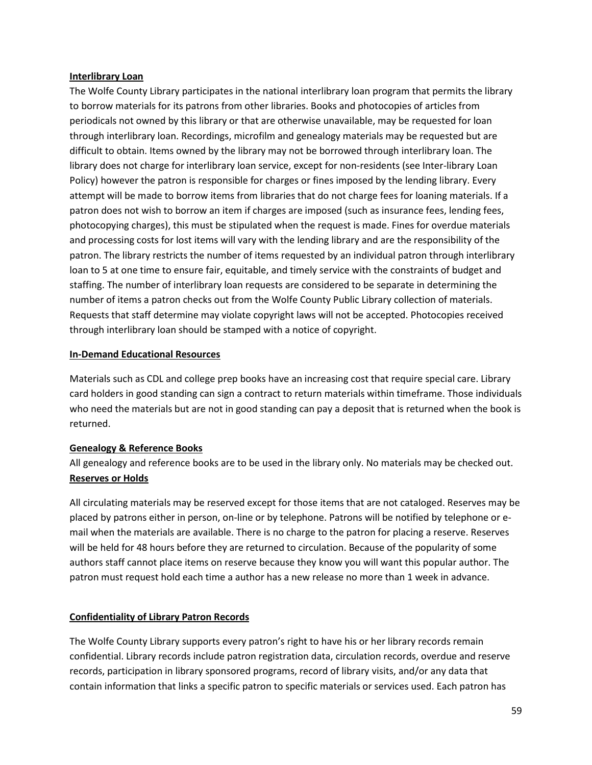### **Interlibrary Loan**

The Wolfe County Library participates in the national interlibrary loan program that permits the library to borrow materials for its patrons from other libraries. Books and photocopies of articles from periodicals not owned by this library or that are otherwise unavailable, may be requested for loan through interlibrary loan. Recordings, microfilm and genealogy materials may be requested but are difficult to obtain. Items owned by the library may not be borrowed through interlibrary loan. The library does not charge for interlibrary loan service, except for non-residents (see Inter-library Loan Policy) however the patron is responsible for charges or fines imposed by the lending library. Every attempt will be made to borrow items from libraries that do not charge fees for loaning materials. If a patron does not wish to borrow an item if charges are imposed (such as insurance fees, lending fees, photocopying charges), this must be stipulated when the request is made. Fines for overdue materials and processing costs for lost items will vary with the lending library and are the responsibility of the patron. The library restricts the number of items requested by an individual patron through interlibrary loan to 5 at one time to ensure fair, equitable, and timely service with the constraints of budget and staffing. The number of interlibrary loan requests are considered to be separate in determining the number of items a patron checks out from the Wolfe County Public Library collection of materials. Requests that staff determine may violate copyright laws will not be accepted. Photocopies received through interlibrary loan should be stamped with a notice of copyright.

#### **In-Demand Educational Resources**

Materials such as CDL and college prep books have an increasing cost that require special care. Library card holders in good standing can sign a contract to return materials within timeframe. Those individuals who need the materials but are not in good standing can pay a deposit that is returned when the book is returned.

### **Genealogy & Reference Books**

All genealogy and reference books are to be used in the library only. No materials may be checked out. **Reserves or Holds**

All circulating materials may be reserved except for those items that are not cataloged. Reserves may be placed by patrons either in person, on-line or by telephone. Patrons will be notified by telephone or email when the materials are available. There is no charge to the patron for placing a reserve. Reserves will be held for 48 hours before they are returned to circulation. Because of the popularity of some authors staff cannot place items on reserve because they know you will want this popular author. The patron must request hold each time a author has a new release no more than 1 week in advance.

### **Confidentiality of Library Patron Records**

The Wolfe County Library supports every patron's right to have his or her library records remain confidential. Library records include patron registration data, circulation records, overdue and reserve records, participation in library sponsored programs, record of library visits, and/or any data that contain information that links a specific patron to specific materials or services used. Each patron has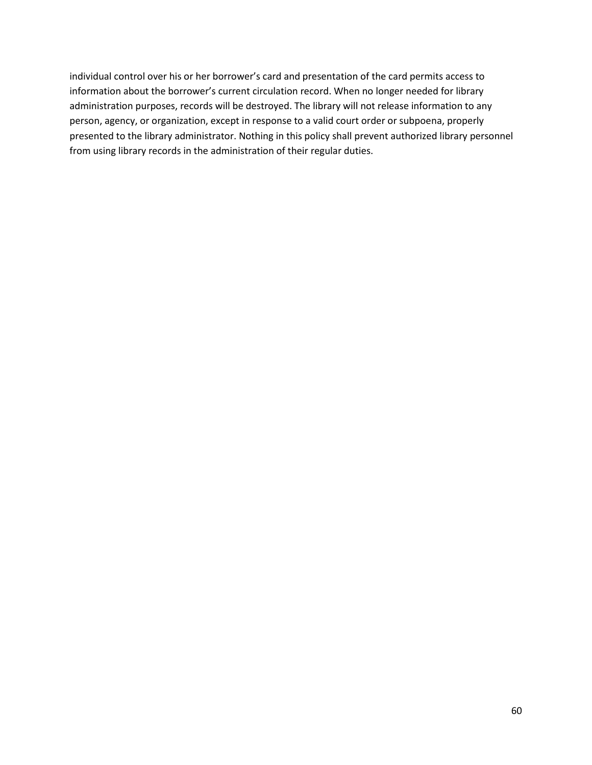individual control over his or her borrower's card and presentation of the card permits access to information about the borrower's current circulation record. When no longer needed for library administration purposes, records will be destroyed. The library will not release information to any person, agency, or organization, except in response to a valid court order or subpoena, properly presented to the library administrator. Nothing in this policy shall prevent authorized library personnel from using library records in the administration of their regular duties.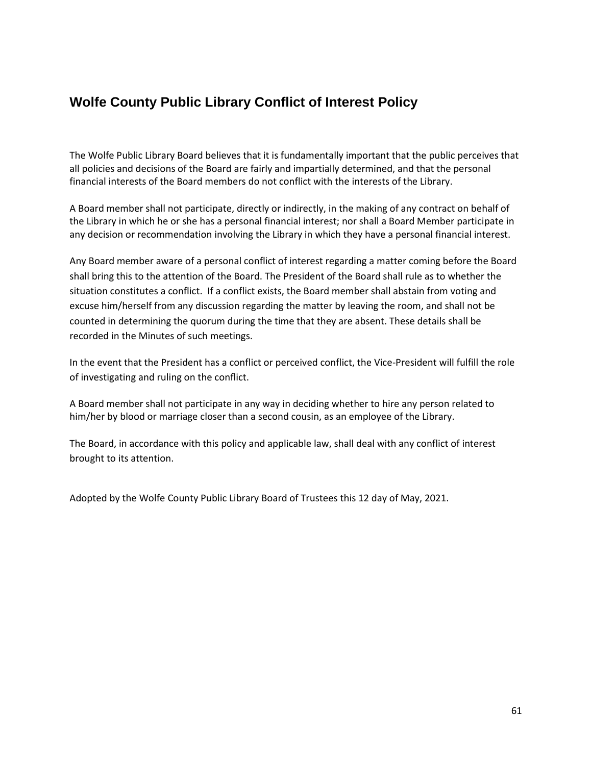# **Wolfe County Public Library Conflict of Interest Policy**

The Wolfe Public Library Board believes that it is fundamentally important that the public perceives that all policies and decisions of the Board are fairly and impartially determined, and that the personal financial interests of the Board members do not conflict with the interests of the Library.

A Board member shall not participate, directly or indirectly, in the making of any contract on behalf of the Library in which he or she has a personal financial interest; nor shall a Board Member participate in any decision or recommendation involving the Library in which they have a personal financial interest.

Any Board member aware of a personal conflict of interest regarding a matter coming before the Board shall bring this to the attention of the Board. The President of the Board shall rule as to whether the situation constitutes a conflict. If a conflict exists, the Board member shall abstain from voting and excuse him/herself from any discussion regarding the matter by leaving the room, and shall not be counted in determining the quorum during the time that they are absent. These details shall be recorded in the Minutes of such meetings.

In the event that the President has a conflict or perceived conflict, the Vice-President will fulfill the role of investigating and ruling on the conflict.

A Board member shall not participate in any way in deciding whether to hire any person related to him/her by blood or marriage closer than a second cousin, as an employee of the Library.

The Board, in accordance with this policy and applicable law, shall deal with any conflict of interest brought to its attention.

Adopted by the Wolfe County Public Library Board of Trustees this 12 day of May, 2021.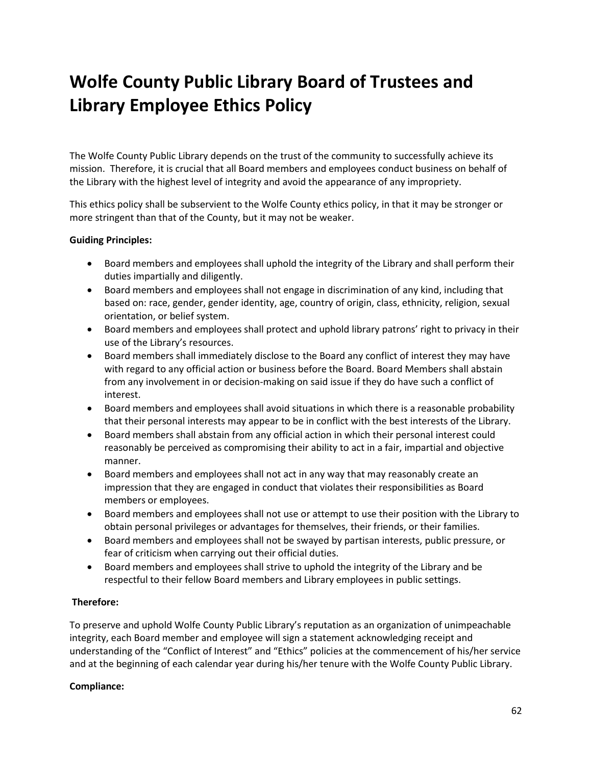# **Wolfe County Public Library Board of Trustees and Library Employee Ethics Policy**

The Wolfe County Public Library depends on the trust of the community to successfully achieve its mission. Therefore, it is crucial that all Board members and employees conduct business on behalf of the Library with the highest level of integrity and avoid the appearance of any impropriety.

This ethics policy shall be subservient to the Wolfe County ethics policy, in that it may be stronger or more stringent than that of the County, but it may not be weaker.

# **Guiding Principles:**

- Board members and employees shall uphold the integrity of the Library and shall perform their duties impartially and diligently.
- Board members and employees shall not engage in discrimination of any kind, including that based on: race, gender, gender identity, age, country of origin, class, ethnicity, religion, sexual orientation, or belief system.
- Board members and employees shall protect and uphold library patrons' right to privacy in their use of the Library's resources.
- Board members shall immediately disclose to the Board any conflict of interest they may have with regard to any official action or business before the Board. Board Members shall abstain from any involvement in or decision-making on said issue if they do have such a conflict of interest.
- Board members and employees shall avoid situations in which there is a reasonable probability that their personal interests may appear to be in conflict with the best interests of the Library.
- Board members shall abstain from any official action in which their personal interest could reasonably be perceived as compromising their ability to act in a fair, impartial and objective manner.
- Board members and employees shall not act in any way that may reasonably create an impression that they are engaged in conduct that violates their responsibilities as Board members or employees.
- Board members and employees shall not use or attempt to use their position with the Library to obtain personal privileges or advantages for themselves, their friends, or their families.
- Board members and employees shall not be swayed by partisan interests, public pressure, or fear of criticism when carrying out their official duties.
- Board members and employees shall strive to uphold the integrity of the Library and be respectful to their fellow Board members and Library employees in public settings.

### **Therefore:**

To preserve and uphold Wolfe County Public Library's reputation as an organization of unimpeachable integrity, each Board member and employee will sign a statement acknowledging receipt and understanding of the "Conflict of Interest" and "Ethics" policies at the commencement of his/her service and at the beginning of each calendar year during his/her tenure with the Wolfe County Public Library.

### **Compliance:**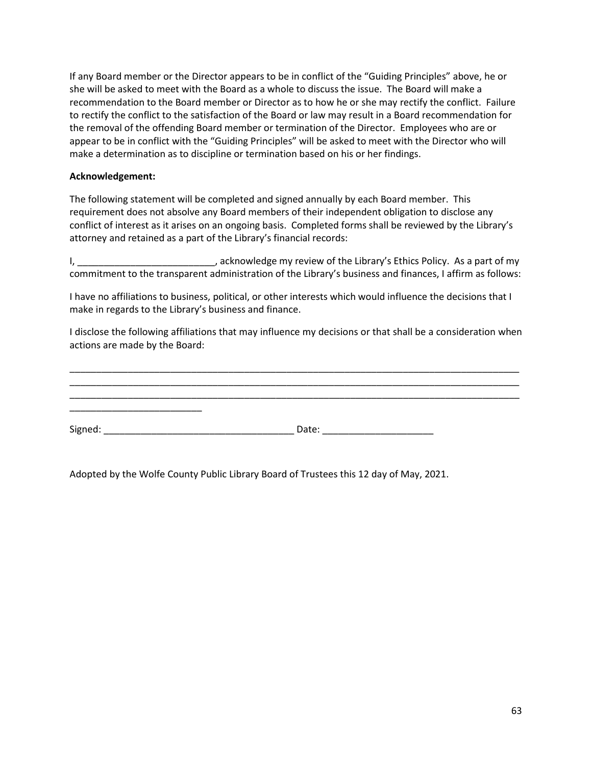If any Board member or the Director appears to be in conflict of the "Guiding Principles" above, he or she will be asked to meet with the Board as a whole to discuss the issue. The Board will make a recommendation to the Board member or Director as to how he or she may rectify the conflict. Failure to rectify the conflict to the satisfaction of the Board or law may result in a Board recommendation for the removal of the offending Board member or termination of the Director. Employees who are or appear to be in conflict with the "Guiding Principles" will be asked to meet with the Director who will make a determination as to discipline or termination based on his or her findings.

#### **Acknowledgement:**

The following statement will be completed and signed annually by each Board member. This requirement does not absolve any Board members of their independent obligation to disclose any conflict of interest as it arises on an ongoing basis. Completed forms shall be reviewed by the Library's attorney and retained as a part of the Library's financial records:

I, the contract of the Library's Ethics Policy. As a part of my review of the Library's Ethics Policy. As a part of my commitment to the transparent administration of the Library's business and finances, I affirm as follows:

I have no affiliations to business, political, or other interests which would influence the decisions that I make in regards to the Library's business and finance.

I disclose the following affiliations that may influence my decisions or that shall be a consideration when actions are made by the Board:

| Signed: | Date: |
|---------|-------|

Adopted by the Wolfe County Public Library Board of Trustees this 12 day of May, 2021.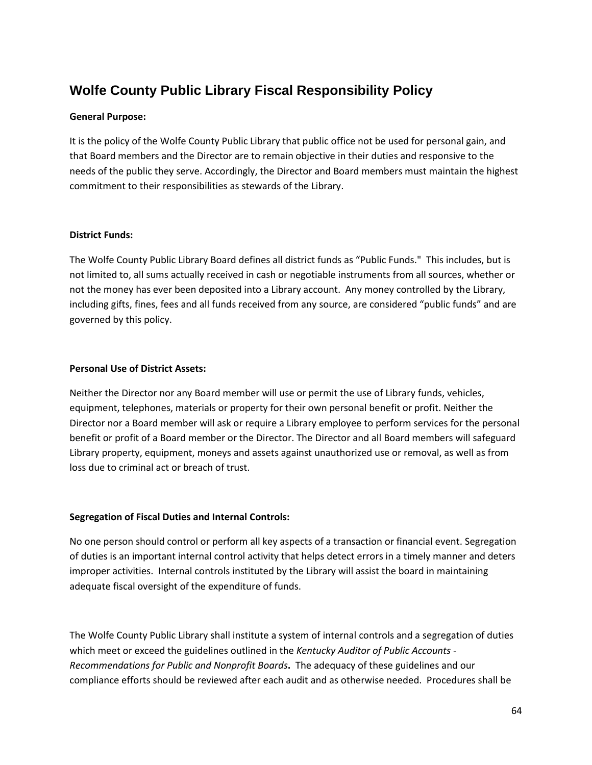# **Wolfe County Public Library Fiscal Responsibility Policy**

# **General Purpose:**

It is the policy of the Wolfe County Public Library that public office not be used for personal gain, and that Board members and the Director are to remain objective in their duties and responsive to the needs of the public they serve. Accordingly, the Director and Board members must maintain the highest commitment to their responsibilities as stewards of the Library.

# **District Funds:**

The Wolfe County Public Library Board defines all district funds as "Public Funds." This includes, but is not limited to, all sums actually received in cash or negotiable instruments from all sources, whether or not the money has ever been deposited into a Library account. Any money controlled by the Library, including gifts, fines, fees and all funds received from any source, are considered "public funds" and are governed by this policy.

# **Personal Use of District Assets:**

Neither the Director nor any Board member will use or permit the use of Library funds, vehicles, equipment, telephones, materials or property for their own personal benefit or profit. Neither the Director nor a Board member will ask or require a Library employee to perform services for the personal benefit or profit of a Board member or the Director. The Director and all Board members will safeguard Library property, equipment, moneys and assets against unauthorized use or removal, as well as from loss due to criminal act or breach of trust.

# **Segregation of Fiscal Duties and Internal Controls:**

No one person should control or perform all key aspects of a transaction or financial event. Segregation of duties is an important internal control activity that helps detect errors in a timely manner and deters improper activities. Internal controls instituted by the Library will assist the board in maintaining adequate fiscal oversight of the expenditure of funds.

The Wolfe County Public Library shall institute a system of internal controls and a segregation of duties which meet or exceed the guidelines outlined in the *Kentucky Auditor of Public Accounts - Recommendations for Public and Nonprofit Boards***.** The adequacy of these guidelines and our compliance efforts should be reviewed after each audit and as otherwise needed. Procedures shall be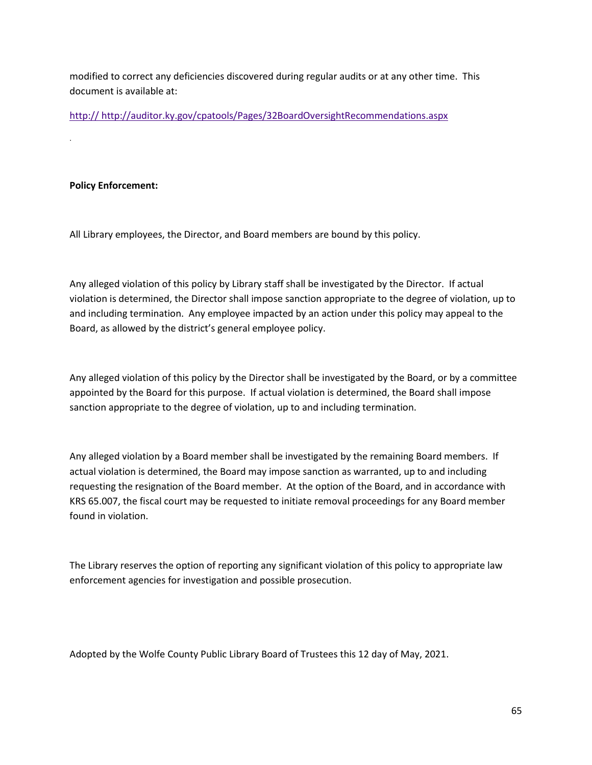modified to correct any deficiencies discovered during regular audits or at any other time. This document is available at:

http:// http://auditor.ky.gov/cpatools/Pages/32BoardOversightRecommendations.aspx

# **Policy Enforcement:**

.

All Library employees, the Director, and Board members are bound by this policy.

Any alleged violation of this policy by Library staff shall be investigated by the Director. If actual violation is determined, the Director shall impose sanction appropriate to the degree of violation, up to and including termination. Any employee impacted by an action under this policy may appeal to the Board, as allowed by the district's general employee policy.

Any alleged violation of this policy by the Director shall be investigated by the Board, or by a committee appointed by the Board for this purpose. If actual violation is determined, the Board shall impose sanction appropriate to the degree of violation, up to and including termination.

Any alleged violation by a Board member shall be investigated by the remaining Board members. If actual violation is determined, the Board may impose sanction as warranted, up to and including requesting the resignation of the Board member. At the option of the Board, and in accordance with KRS 65.007, the fiscal court may be requested to initiate removal proceedings for any Board member found in violation.

The Library reserves the option of reporting any significant violation of this policy to appropriate law enforcement agencies for investigation and possible prosecution.

Adopted by the Wolfe County Public Library Board of Trustees this 12 day of May, 2021.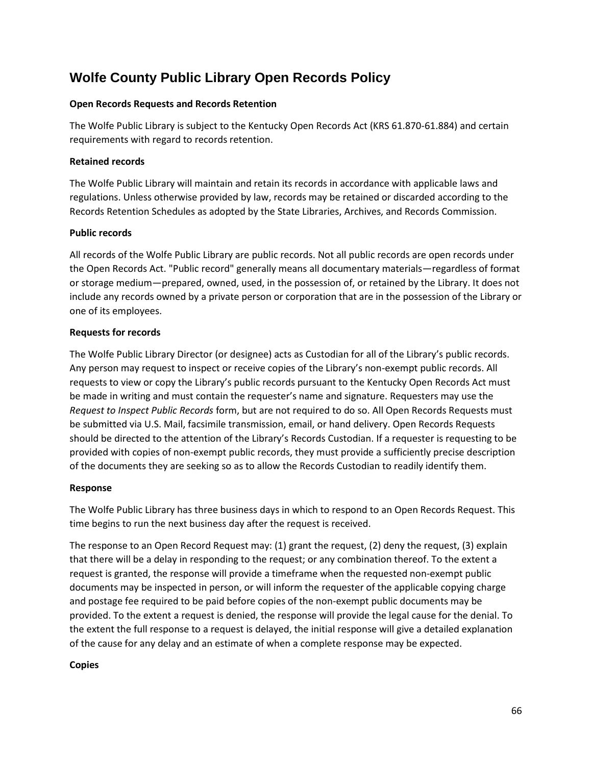# **Wolfe County Public Library Open Records Policy**

# **Open Records Requests and Records Retention**

The Wolfe Public Library is subject to the Kentucky Open Records Act (KRS 61.870-61.884) and certain requirements with regard to records retention.

### **Retained records**

The Wolfe Public Library will maintain and retain its records in accordance with applicable laws and regulations. Unless otherwise provided by law, records may be retained or discarded according to the Records Retention Schedules as adopted by the State Libraries, Archives, and Records Commission.

# **Public records**

All records of the Wolfe Public Library are public records. Not all public records are open records under the Open Records Act. "Public record" generally means all documentary materials—regardless of format or storage medium—prepared, owned, used, in the possession of, or retained by the Library. It does not include any records owned by a private person or corporation that are in the possession of the Library or one of its employees.

# **Requests for records**

The Wolfe Public Library Director (or designee) acts as Custodian for all of the Library's public records. Any person may request to inspect or receive copies of the Library's non-exempt public records. All requests to view or copy the Library's public records pursuant to the Kentucky Open Records Act must be made in writing and must contain the requester's name and signature. Requesters may use the *Request to Inspect Public Records* form, but are not required to do so. All Open Records Requests must be submitted via U.S. Mail, facsimile transmission, email, or hand delivery. Open Records Requests should be directed to the attention of the Library's Records Custodian. If a requester is requesting to be provided with copies of non-exempt public records, they must provide a sufficiently precise description of the documents they are seeking so as to allow the Records Custodian to readily identify them.

### **Response**

The Wolfe Public Library has three business days in which to respond to an Open Records Request. This time begins to run the next business day after the request is received.

The response to an Open Record Request may: (1) grant the request, (2) deny the request, (3) explain that there will be a delay in responding to the request; or any combination thereof. To the extent a request is granted, the response will provide a timeframe when the requested non-exempt public documents may be inspected in person, or will inform the requester of the applicable copying charge and postage fee required to be paid before copies of the non-exempt public documents may be provided. To the extent a request is denied, the response will provide the legal cause for the denial. To the extent the full response to a request is delayed, the initial response will give a detailed explanation of the cause for any delay and an estimate of when a complete response may be expected.

# **Copies**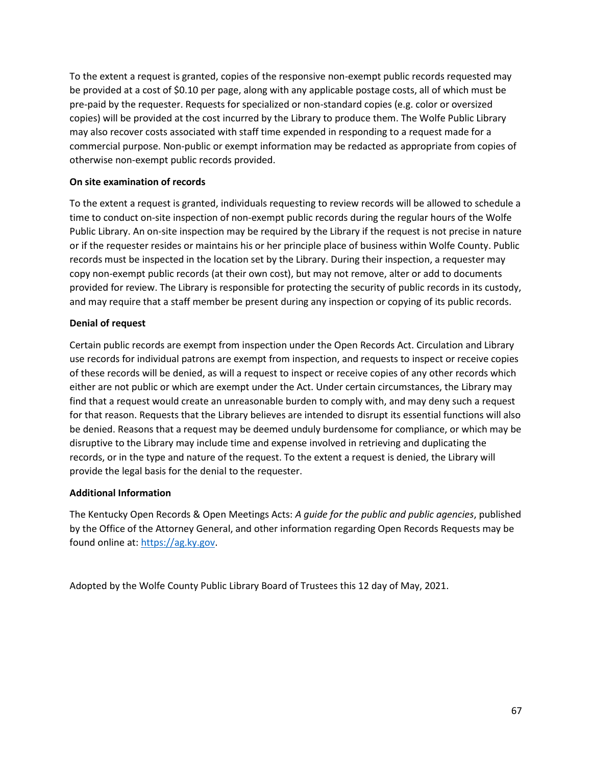To the extent a request is granted, copies of the responsive non-exempt public records requested may be provided at a cost of \$0.10 per page, along with any applicable postage costs, all of which must be pre-paid by the requester. Requests for specialized or non-standard copies (e.g. color or oversized copies) will be provided at the cost incurred by the Library to produce them. The Wolfe Public Library may also recover costs associated with staff time expended in responding to a request made for a commercial purpose. Non-public or exempt information may be redacted as appropriate from copies of otherwise non-exempt public records provided.

# **On site examination of records**

To the extent a request is granted, individuals requesting to review records will be allowed to schedule a time to conduct on-site inspection of non-exempt public records during the regular hours of the Wolfe Public Library. An on-site inspection may be required by the Library if the request is not precise in nature or if the requester resides or maintains his or her principle place of business within Wolfe County. Public records must be inspected in the location set by the Library. During their inspection, a requester may copy non-exempt public records (at their own cost), but may not remove, alter or add to documents provided for review. The Library is responsible for protecting the security of public records in its custody, and may require that a staff member be present during any inspection or copying of its public records.

# **Denial of request**

Certain public records are exempt from inspection under the Open Records Act. Circulation and Library use records for individual patrons are exempt from inspection, and requests to inspect or receive copies of these records will be denied, as will a request to inspect or receive copies of any other records which either are not public or which are exempt under the Act. Under certain circumstances, the Library may find that a request would create an unreasonable burden to comply with, and may deny such a request for that reason. Requests that the Library believes are intended to disrupt its essential functions will also be denied. Reasons that a request may be deemed unduly burdensome for compliance, or which may be disruptive to the Library may include time and expense involved in retrieving and duplicating the records, or in the type and nature of the request. To the extent a request is denied, the Library will provide the legal basis for the denial to the requester.

### **Additional Information**

The Kentucky Open Records & Open Meetings Acts: *A guide for the public and public agencies*, published by the Office of the Attorney General, and other information regarding Open Records Requests may be found online at[: https://ag.ky.gov.](https://ag.ky.gov/)

Adopted by the Wolfe County Public Library Board of Trustees this 12 day of May, 2021.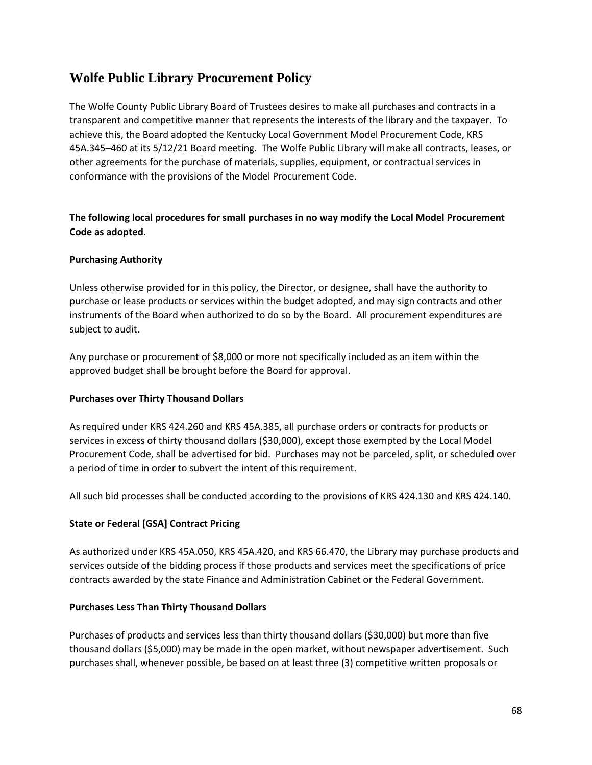# **Wolfe Public Library Procurement Policy**

The Wolfe County Public Library Board of Trustees desires to make all purchases and contracts in a transparent and competitive manner that represents the interests of the library and the taxpayer. To achieve this, the Board adopted the Kentucky Local Government Model Procurement Code, KRS 45A.345–460 at its 5/12/21 Board meeting. The Wolfe Public Library will make all contracts, leases, or other agreements for the purchase of materials, supplies, equipment, or contractual services in conformance with the provisions of the Model Procurement Code.

**The following local procedures for small purchases in no way modify the Local Model Procurement Code as adopted.**

# **Purchasing Authority**

Unless otherwise provided for in this policy, the Director, or designee, shall have the authority to purchase or lease products or services within the budget adopted, and may sign contracts and other instruments of the Board when authorized to do so by the Board. All procurement expenditures are subject to audit.

Any purchase or procurement of \$8,000 or more not specifically included as an item within the approved budget shall be brought before the Board for approval.

# **Purchases over Thirty Thousand Dollars**

As required under KRS 424.260 and KRS 45A.385, all purchase orders or contracts for products or services in excess of thirty thousand dollars (\$30,000), except those exempted by the Local Model Procurement Code, shall be advertised for bid. Purchases may not be parceled, split, or scheduled over a period of time in order to subvert the intent of this requirement.

All such bid processes shall be conducted according to the provisions of KRS 424.130 and KRS 424.140.

# **State or Federal [GSA] Contract Pricing**

As authorized under KRS 45A.050, KRS 45A.420, and KRS 66.470, the Library may purchase products and services outside of the bidding process if those products and services meet the specifications of price contracts awarded by the state Finance and Administration Cabinet or the Federal Government.

### **Purchases Less Than Thirty Thousand Dollars**

Purchases of products and services less than thirty thousand dollars (\$30,000) but more than five thousand dollars (\$5,000) may be made in the open market, without newspaper advertisement. Such purchases shall, whenever possible, be based on at least three (3) competitive written proposals or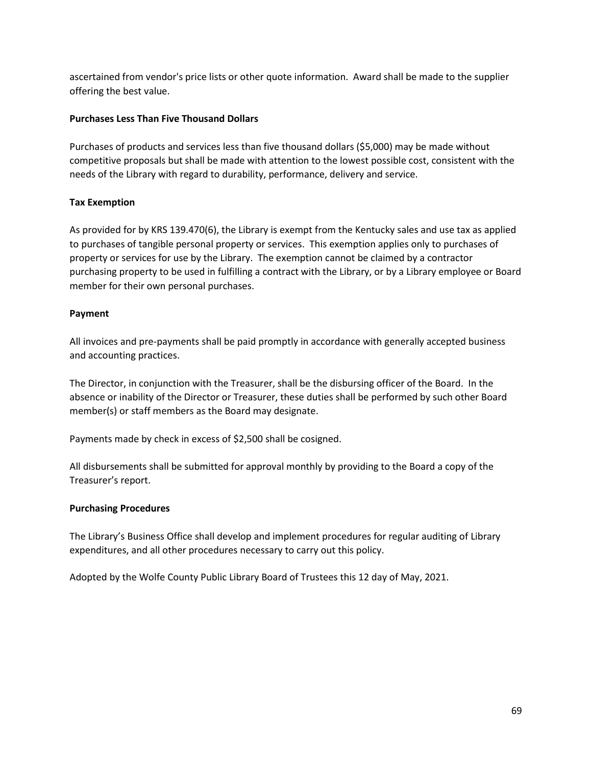ascertained from vendor's price lists or other quote information. Award shall be made to the supplier offering the best value.

# **Purchases Less Than Five Thousand Dollars**

Purchases of products and services less than five thousand dollars (\$5,000) may be made without competitive proposals but shall be made with attention to the lowest possible cost, consistent with the needs of the Library with regard to durability, performance, delivery and service.

# **Tax Exemption**

As provided for by KRS 139.470(6), the Library is exempt from the Kentucky sales and use tax as applied to purchases of tangible personal property or services. This exemption applies only to purchases of property or services for use by the Library. The exemption cannot be claimed by a contractor purchasing property to be used in fulfilling a contract with the Library, or by a Library employee or Board member for their own personal purchases.

# **Payment**

All invoices and pre-payments shall be paid promptly in accordance with generally accepted business and accounting practices.

The Director, in conjunction with the Treasurer, shall be the disbursing officer of the Board. In the absence or inability of the Director or Treasurer, these duties shall be performed by such other Board member(s) or staff members as the Board may designate.

Payments made by check in excess of \$2,500 shall be cosigned.

All disbursements shall be submitted for approval monthly by providing to the Board a copy of the Treasurer's report.

### **Purchasing Procedures**

The Library's Business Office shall develop and implement procedures for regular auditing of Library expenditures, and all other procedures necessary to carry out this policy.

Adopted by the Wolfe County Public Library Board of Trustees this 12 day of May, 2021.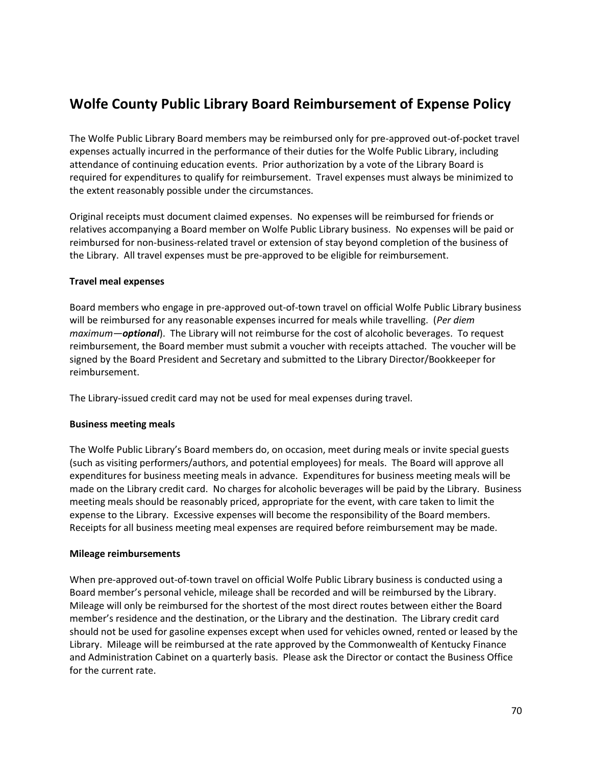# **Wolfe County Public Library Board Reimbursement of Expense Policy**

The Wolfe Public Library Board members may be reimbursed only for pre-approved out-of-pocket travel expenses actually incurred in the performance of their duties for the Wolfe Public Library, including attendance of continuing education events. Prior authorization by a vote of the Library Board is required for expenditures to qualify for reimbursement. Travel expenses must always be minimized to the extent reasonably possible under the circumstances.

Original receipts must document claimed expenses. No expenses will be reimbursed for friends or relatives accompanying a Board member on Wolfe Public Library business. No expenses will be paid or reimbursed for non-business-related travel or extension of stay beyond completion of the business of the Library. All travel expenses must be pre-approved to be eligible for reimbursement.

### **Travel meal expenses**

Board members who engage in pre-approved out-of-town travel on official Wolfe Public Library business will be reimbursed for any reasonable expenses incurred for meals while travelling. (*Per diem maximum—optional*). The Library will not reimburse for the cost of alcoholic beverages. To request reimbursement, the Board member must submit a voucher with receipts attached. The voucher will be signed by the Board President and Secretary and submitted to the Library Director/Bookkeeper for reimbursement.

The Library-issued credit card may not be used for meal expenses during travel.

### **Business meeting meals**

The Wolfe Public Library's Board members do, on occasion, meet during meals or invite special guests (such as visiting performers/authors, and potential employees) for meals. The Board will approve all expenditures for business meeting meals in advance. Expenditures for business meeting meals will be made on the Library credit card. No charges for alcoholic beverages will be paid by the Library. Business meeting meals should be reasonably priced, appropriate for the event, with care taken to limit the expense to the Library. Excessive expenses will become the responsibility of the Board members. Receipts for all business meeting meal expenses are required before reimbursement may be made.

### **Mileage reimbursements**

When pre-approved out-of-town travel on official Wolfe Public Library business is conducted using a Board member's personal vehicle, mileage shall be recorded and will be reimbursed by the Library. Mileage will only be reimbursed for the shortest of the most direct routes between either the Board member's residence and the destination, or the Library and the destination. The Library credit card should not be used for gasoline expenses except when used for vehicles owned, rented or leased by the Library. Mileage will be reimbursed at the rate approved by the Commonwealth of Kentucky Finance and Administration Cabinet on a quarterly basis. Please ask the Director or contact the Business Office for the current rate.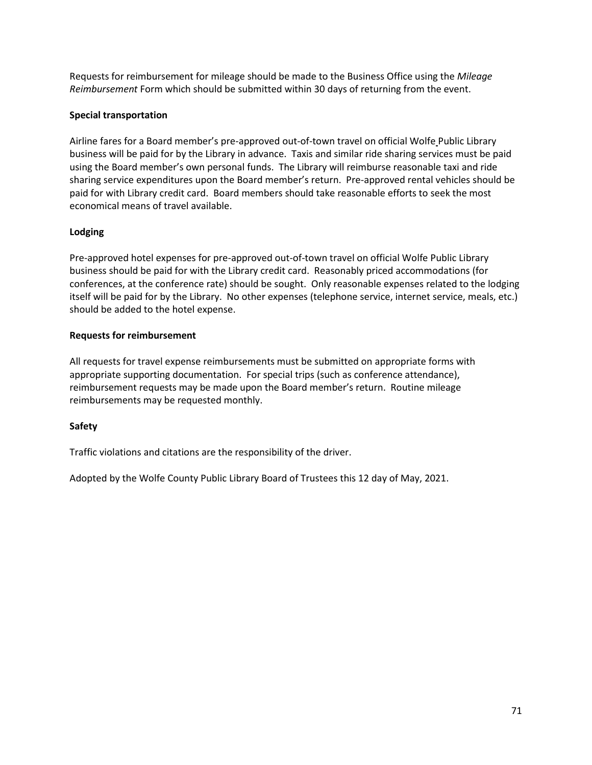Requests for reimbursement for mileage should be made to the Business Office using the *Mileage Reimbursement* Form which should be submitted within 30 days of returning from the event.

# **Special transportation**

Airline fares for a Board member's pre-approved out-of-town travel on official Wolfe Public Library business will be paid for by the Library in advance. Taxis and similar ride sharing services must be paid using the Board member's own personal funds. The Library will reimburse reasonable taxi and ride sharing service expenditures upon the Board member's return. Pre-approved rental vehicles should be paid for with Library credit card. Board members should take reasonable efforts to seek the most economical means of travel available.

# **Lodging**

Pre-approved hotel expenses for pre-approved out-of-town travel on official Wolfe Public Library business should be paid for with the Library credit card. Reasonably priced accommodations (for conferences, at the conference rate) should be sought. Only reasonable expenses related to the lodging itself will be paid for by the Library. No other expenses (telephone service, internet service, meals, etc.) should be added to the hotel expense.

# **Requests for reimbursement**

All requests for travel expense reimbursements must be submitted on appropriate forms with appropriate supporting documentation. For special trips (such as conference attendance), reimbursement requests may be made upon the Board member's return. Routine mileage reimbursements may be requested monthly.

# **Safety**

Traffic violations and citations are the responsibility of the driver.

Adopted by the Wolfe County Public Library Board of Trustees this 12 day of May, 2021.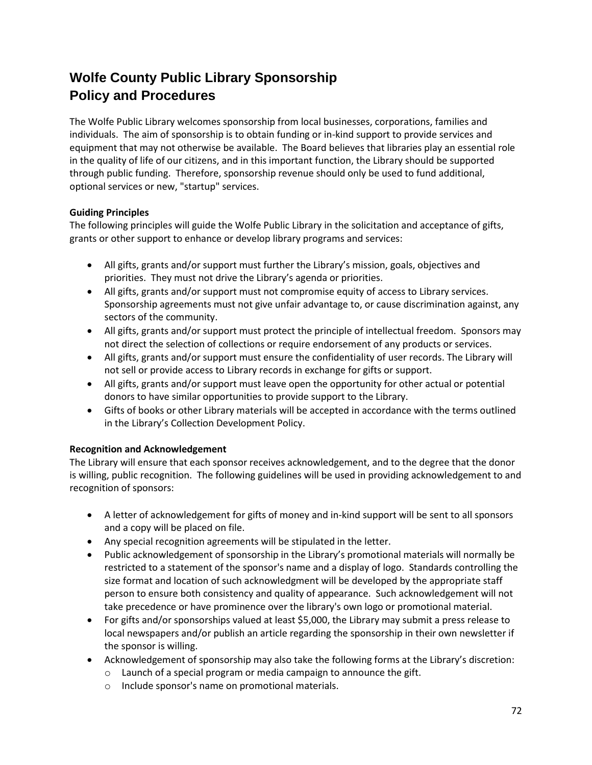# **Wolfe County Public Library Sponsorship Policy and Procedures**

The Wolfe Public Library welcomes sponsorship from local businesses, corporations, families and individuals. The aim of sponsorship is to obtain funding or in-kind support to provide services and equipment that may not otherwise be available. The Board believes that libraries play an essential role in the quality of life of our citizens, and in this important function, the Library should be supported through public funding. Therefore, sponsorship revenue should only be used to fund additional, optional services or new, "startup" services.

### **Guiding Principles**

The following principles will guide the Wolfe Public Library in the solicitation and acceptance of gifts, grants or other support to enhance or develop library programs and services:

- All gifts, grants and/or support must further the Library's mission, goals, objectives and priorities. They must not drive the Library's agenda or priorities.
- All gifts, grants and/or support must not compromise equity of access to Library services. Sponsorship agreements must not give unfair advantage to, or cause discrimination against, any sectors of the community.
- All gifts, grants and/or support must protect the principle of intellectual freedom. Sponsors may not direct the selection of collections or require endorsement of any products or services.
- All gifts, grants and/or support must ensure the confidentiality of user records. The Library will not sell or provide access to Library records in exchange for gifts or support.
- All gifts, grants and/or support must leave open the opportunity for other actual or potential donors to have similar opportunities to provide support to the Library.
- Gifts of books or other Library materials will be accepted in accordance with the terms outlined in the Library's Collection Development Policy.

#### **Recognition and Acknowledgement**

The Library will ensure that each sponsor receives acknowledgement, and to the degree that the donor is willing, public recognition. The following guidelines will be used in providing acknowledgement to and recognition of sponsors:

- A letter of acknowledgement for gifts of money and in-kind support will be sent to all sponsors and a copy will be placed on file.
- Any special recognition agreements will be stipulated in the letter.
- Public acknowledgement of sponsorship in the Library's promotional materials will normally be restricted to a statement of the sponsor's name and a display of logo. Standards controlling the size format and location of such acknowledgment will be developed by the appropriate staff person to ensure both consistency and quality of appearance. Such acknowledgement will not take precedence or have prominence over the library's own logo or promotional material.
- For gifts and/or sponsorships valued at least \$5,000, the Library may submit a press release to local newspapers and/or publish an article regarding the sponsorship in their own newsletter if the sponsor is willing.
- Acknowledgement of sponsorship may also take the following forms at the Library's discretion:
	- $\circ$  Launch of a special program or media campaign to announce the gift.
	- o Include sponsor's name on promotional materials.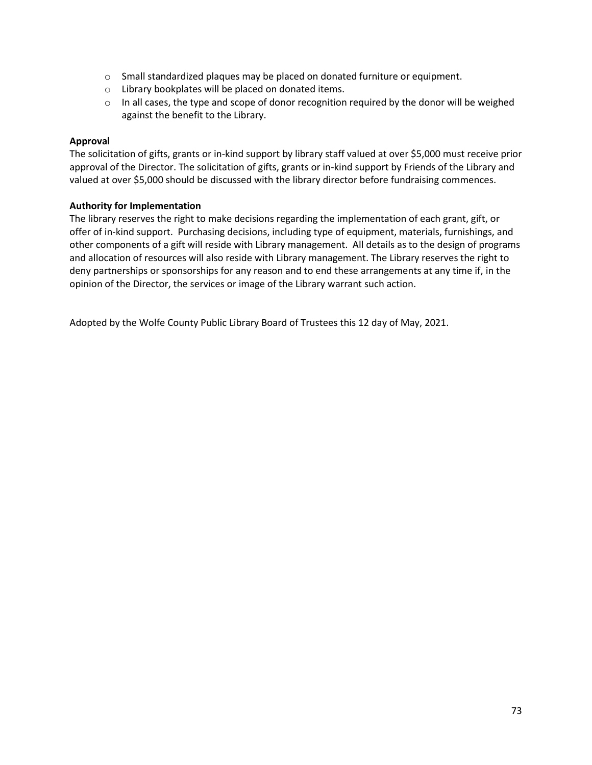- o Small standardized plaques may be placed on donated furniture or equipment.
- o Library bookplates will be placed on donated items.
- $\circ$  In all cases, the type and scope of donor recognition required by the donor will be weighed against the benefit to the Library.

### **Approval**

The solicitation of gifts, grants or in-kind support by library staff valued at over \$5,000 must receive prior approval of the Director. The solicitation of gifts, grants or in-kind support by Friends of the Library and valued at over \$5,000 should be discussed with the library director before fundraising commences.

### **Authority for Implementation**

The library reserves the right to make decisions regarding the implementation of each grant, gift, or offer of in-kind support. Purchasing decisions, including type of equipment, materials, furnishings, and other components of a gift will reside with Library management. All details as to the design of programs and allocation of resources will also reside with Library management. The Library reserves the right to deny partnerships or sponsorships for any reason and to end these arrangements at any time if, in the opinion of the Director, the services or image of the Library warrant such action.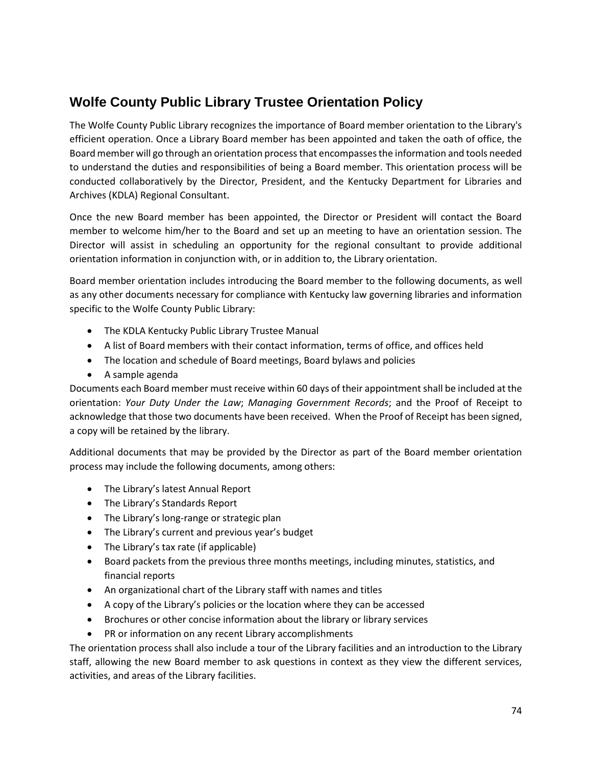## **Wolfe County Public Library Trustee Orientation Policy**

The Wolfe County Public Library recognizes the importance of Board member orientation to the Library's efficient operation. Once a Library Board member has been appointed and taken the oath of office, the Board member will go through an orientation processthat encompasses the information and tools needed to understand the duties and responsibilities of being a Board member. This orientation process will be conducted collaboratively by the Director, President, and the Kentucky Department for Libraries and Archives (KDLA) Regional Consultant.

Once the new Board member has been appointed, the Director or President will contact the Board member to welcome him/her to the Board and set up an meeting to have an orientation session. The Director will assist in scheduling an opportunity for the regional consultant to provide additional orientation information in conjunction with, or in addition to, the Library orientation.

Board member orientation includes introducing the Board member to the following documents, as well as any other documents necessary for compliance with Kentucky law governing libraries and information specific to the Wolfe County Public Library:

- The KDLA Kentucky Public Library Trustee Manual
- A list of Board members with their contact information, terms of office, and offices held
- The location and schedule of Board meetings, Board bylaws and policies
- A sample agenda

Documents each Board member must receive within 60 days of their appointment shall be included at the orientation: *Your Duty Under the Law*; *Managing Government Records*; and the Proof of Receipt to acknowledge that those two documents have been received. When the Proof of Receipt has been signed, a copy will be retained by the library.

Additional documents that may be provided by the Director as part of the Board member orientation process may include the following documents, among others:

- The Library's latest Annual Report
- The Library's Standards Report
- The Library's long-range or strategic plan
- The Library's current and previous year's budget
- The Library's tax rate (if applicable)
- Board packets from the previous three months meetings, including minutes, statistics, and financial reports
- An organizational chart of the Library staff with names and titles
- A copy of the Library's policies or the location where they can be accessed
- Brochures or other concise information about the library or library services
- PR or information on any recent Library accomplishments

The orientation process shall also include a tour of the Library facilities and an introduction to the Library staff, allowing the new Board member to ask questions in context as they view the different services, activities, and areas of the Library facilities.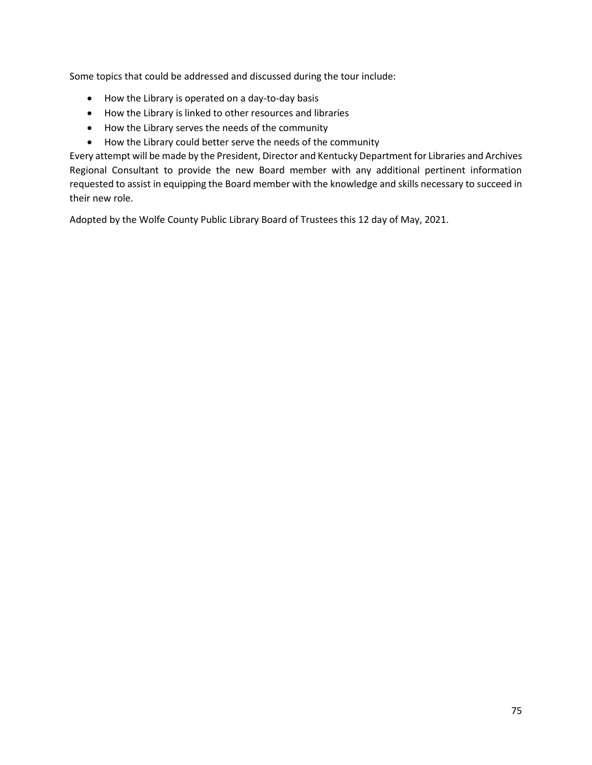Some topics that could be addressed and discussed during the tour include:

- How the Library is operated on a day-to-day basis
- How the Library is linked to other resources and libraries
- How the Library serves the needs of the community
- How the Library could better serve the needs of the community

Every attempt will be made by the President, Director and Kentucky Department for Libraries and Archives Regional Consultant to provide the new Board member with any additional pertinent information requested to assist in equipping the Board member with the knowledge and skills necessary to succeed in their new role.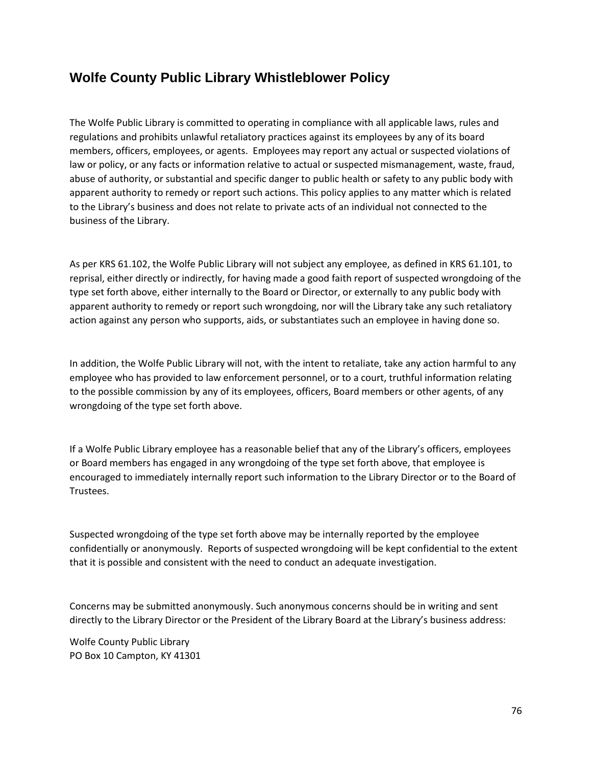## **Wolfe County Public Library Whistleblower Policy**

The Wolfe Public Library is committed to operating in compliance with all applicable laws, rules and regulations and prohibits unlawful retaliatory practices against its employees by any of its board members, officers, employees, or agents. Employees may report any actual or suspected violations of law or policy, or any facts or information relative to actual or suspected mismanagement, waste, fraud, abuse of authority, or substantial and specific danger to public health or safety to any public body with apparent authority to remedy or report such actions. This policy applies to any matter which is related to the Library's business and does not relate to private acts of an individual not connected to the business of the Library.

As per KRS 61.102, the Wolfe Public Library will not subject any employee, as defined in KRS 61.101, to reprisal, either directly or indirectly, for having made a good faith report of suspected wrongdoing of the type set forth above, either internally to the Board or Director, or externally to any public body with apparent authority to remedy or report such wrongdoing, nor will the Library take any such retaliatory action against any person who supports, aids, or substantiates such an employee in having done so.

In addition, the Wolfe Public Library will not, with the intent to retaliate, take any action harmful to any employee who has provided to law enforcement personnel, or to a court, truthful information relating to the possible commission by any of its employees, officers, Board members or other agents, of any wrongdoing of the type set forth above.

If a Wolfe Public Library employee has a reasonable belief that any of the Library's officers, employees or Board members has engaged in any wrongdoing of the type set forth above, that employee is encouraged to immediately internally report such information to the Library Director or to the Board of Trustees.

Suspected wrongdoing of the type set forth above may be internally reported by the employee confidentially or anonymously. Reports of suspected wrongdoing will be kept confidential to the extent that it is possible and consistent with the need to conduct an adequate investigation.

Concerns may be submitted anonymously. Such anonymous concerns should be in writing and sent directly to the Library Director or the President of the Library Board at the Library's business address:

Wolfe County Public Library PO Box 10 Campton, KY 41301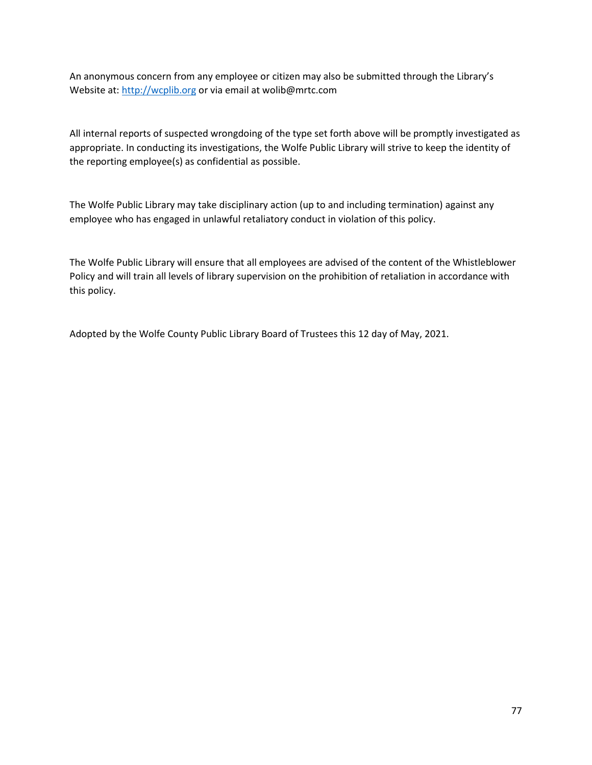An anonymous concern from any employee or citizen may also be submitted through the Library's Website at: [http://wcplib.org](http://wcplib.org/) or via email at wolib@mrtc.com

All internal reports of suspected wrongdoing of the type set forth above will be promptly investigated as appropriate. In conducting its investigations, the Wolfe Public Library will strive to keep the identity of the reporting employee(s) as confidential as possible.

The Wolfe Public Library may take disciplinary action (up to and including termination) against any employee who has engaged in unlawful retaliatory conduct in violation of this policy.

The Wolfe Public Library will ensure that all employees are advised of the content of the Whistleblower Policy and will train all levels of library supervision on the prohibition of retaliation in accordance with this policy.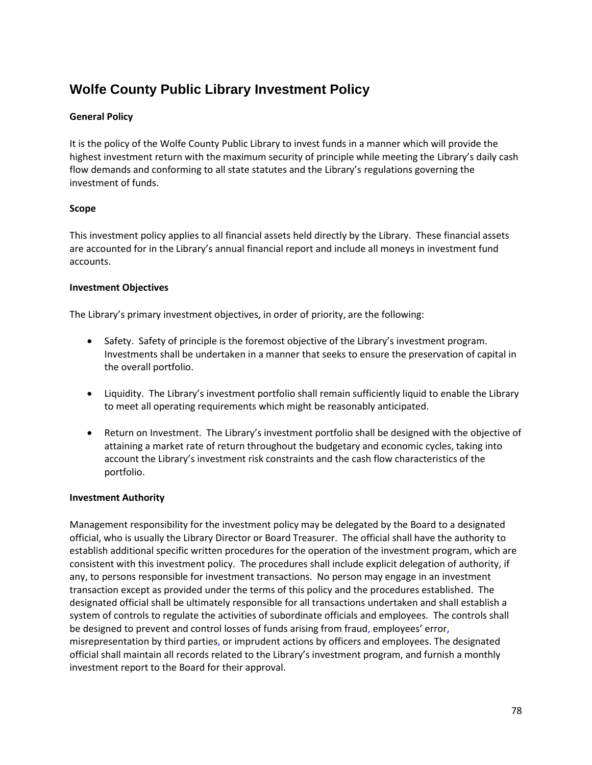## **Wolfe County Public Library Investment Policy**

## **General Policy**

It is the policy of the Wolfe County Public Library to invest funds in a manner which will provide the highest investment return with the maximum security of principle while meeting the Library's daily cash flow demands and conforming to all state statutes and the Library's regulations governing the investment of funds.

## **Scope**

This investment policy applies to all financial assets held directly by the Library. These financial assets are accounted for in the Library's annual financial report and include all moneys in investment fund accounts.

### **Investment Objectives**

The Library's primary investment objectives, in order of priority, are the following:

- Safety. Safety of principle is the foremost objective of the Library's investment program. Investments shall be undertaken in a manner that seeks to ensure the preservation of capital in the overall portfolio.
- Liquidity. The Library's investment portfolio shall remain sufficiently liquid to enable the Library to meet all operating requirements which might be reasonably anticipated.
- Return on Investment. The Library's investment portfolio shall be designed with the objective of attaining a market rate of return throughout the budgetary and economic cycles, taking into account the Library's investment risk constraints and the cash flow characteristics of the portfolio.

#### **Investment Authority**

Management responsibility for the investment policy may be delegated by the Board to a designated official, who is usually the Library Director or Board Treasurer. The official shall have the authority to establish additional specific written procedures for the operation of the investment program, which are consistent with this investment policy. The procedures shall include explicit delegation of authority, if any, to persons responsible for investment transactions. No person may engage in an investment transaction except as provided under the terms of this policy and the procedures established. The designated official shall be ultimately responsible for all transactions undertaken and shall establish a system of controls to regulate the activities of subordinate officials and employees. The controls shall be designed to prevent and control losses of funds arising from fraud, employees' error, misrepresentation by third parties, or imprudent actions by officers and employees. The designated official shall maintain all records related to the Library's investment program, and furnish a monthly investment report to the Board for their approval.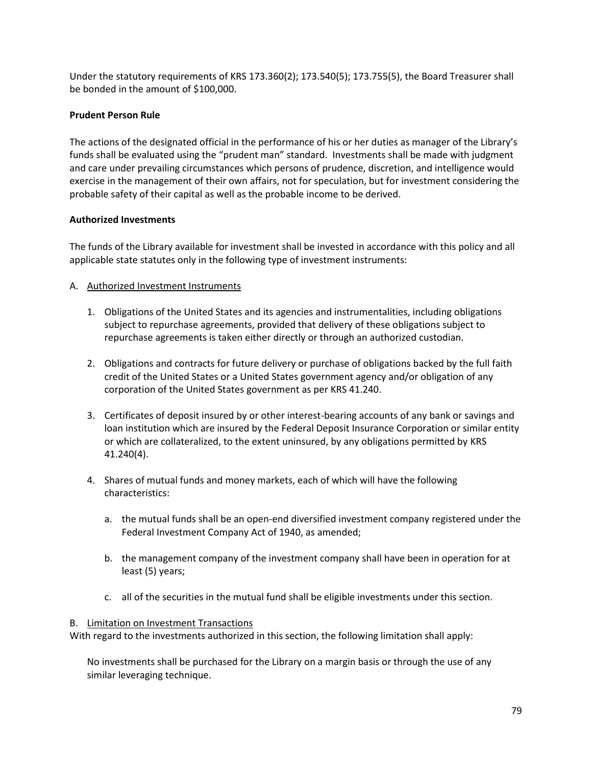Under the statutory requirements of KRS 173.360(2); 173.540(5); 173.755(5), the Board Treasurer shall be bonded in the amount of \$100,000.

## **Prudent Person Rule**

The actions of the designated official in the performance of his or her duties as manager of the Library's funds shall be evaluated using the "prudent man" standard. Investments shall be made with judgment and care under prevailing circumstances which persons of prudence, discretion, and intelligence would exercise in the management of their own affairs, not for speculation, but for investment considering the probable safety of their capital as well as the probable income to be derived.

### **Authorized Investments**

The funds of the Library available for investment shall be invested in accordance with this policy and all applicable state statutes only in the following type of investment instruments:

### A. Authorized Investment Instruments

- 1. Obligations of the United States and its agencies and instrumentalities, including obligations subject to repurchase agreements, provided that delivery of these obligations subject to repurchase agreements is taken either directly or through an authorized custodian.
- 2. Obligations and contracts for future delivery or purchase of obligations backed by the full faith credit of the United States or a United States government agency and/or obligation of any corporation of the United States government as per KRS 41.240.
- 3. Certificates of deposit insured by or other interest-bearing accounts of any bank or savings and loan institution which are insured by the Federal Deposit Insurance Corporation or similar entity or which are collateralized, to the extent uninsured, by any obligations permitted by KRS 41.240(4).
- 4. Shares of mutual funds and money markets, each of which will have the following characteristics:
	- a. the mutual funds shall be an open-end diversified investment company registered under the Federal Investment Company Act of 1940, as amended;
	- b. the management company of the investment company shall have been in operation for at least (5) years;
	- c. all of the securities in the mutual fund shall be eligible investments under this section.

#### B. Limitation on Investment Transactions

With regard to the investments authorized in this section, the following limitation shall apply:

No investments shall be purchased for the Library on a margin basis or through the use of any similar leveraging technique.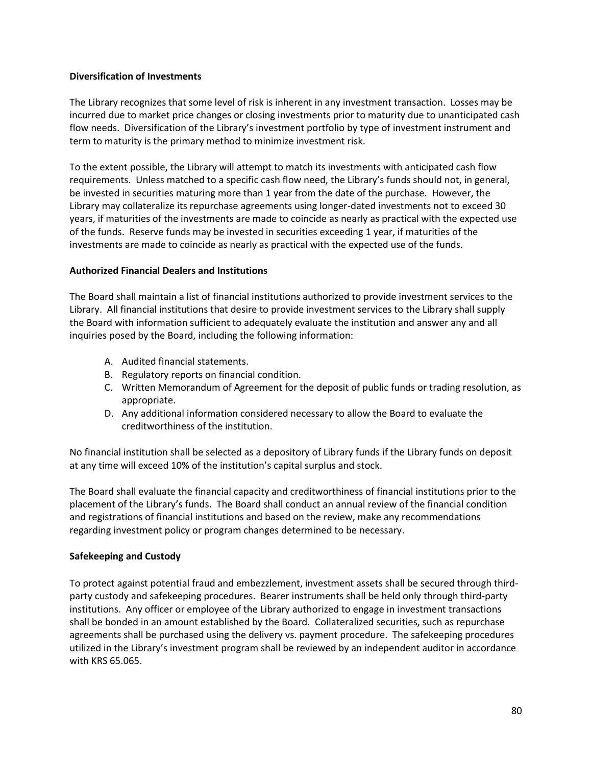#### **Diversification of Investments**

The Library recognizes that some level of risk is inherent in any investment transaction. Losses may be incurred due to market price changes or closing investments prior to maturity due to unanticipated cash flow needs. Diversification of the Library's investment portfolio by type of investment instrument and term to maturity is the primary method to minimize investment risk.

To the extent possible, the Library will attempt to match its investments with anticipated cash flow requirements. Unless matched to a specific cash flow need, the Library's funds should not, in general, be invested in securities maturing more than 1 year from the date of the purchase. However, the Library may collateralize its repurchase agreements using longer-dated investments not to exceed 30 years, if maturities of the investments are made to coincide as nearly as practical with the expected use of the funds. Reserve funds may be invested in securities exceeding 1 year, if maturities of the investments are made to coincide as nearly as practical with the expected use of the funds.

### **Authorized Financial Dealers and Institutions**

The Board shall maintain a list of financial institutions authorized to provide investment services to the Library. All financial institutions that desire to provide investment services to the Library shall supply the Board with information sufficient to adequately evaluate the institution and answer any and all inquiries posed by the Board, including the following information:

- A. Audited financial statements.
- B. Regulatory reports on financial condition.
- C. Written Memorandum of Agreement for the deposit of public funds or trading resolution, as appropriate.
- D. Any additional information considered necessary to allow the Board to evaluate the creditworthiness of the institution.

No financial institution shall be selected as a depository of Library funds if the Library funds on deposit at any time will exceed 10% of the institution's capital surplus and stock.

The Board shall evaluate the financial capacity and creditworthiness of financial institutions prior to the placement of the Library's funds. The Board shall conduct an annual review of the financial condition and registrations of financial institutions and based on the review, make any recommendations regarding investment policy or program changes determined to be necessary.

## **Safekeeping and Custody**

To protect against potential fraud and embezzlement, investment assets shall be secured through thirdparty custody and safekeeping procedures. Bearer instruments shall be held only through third-party institutions. Any officer or employee of the Library authorized to engage in investment transactions shall be bonded in an amount established by the Board. Collateralized securities, such as repurchase agreements shall be purchased using the delivery vs. payment procedure. The safekeeping procedures utilized in the Library's investment program shall be reviewed by an independent auditor in accordance with KRS 65.065.